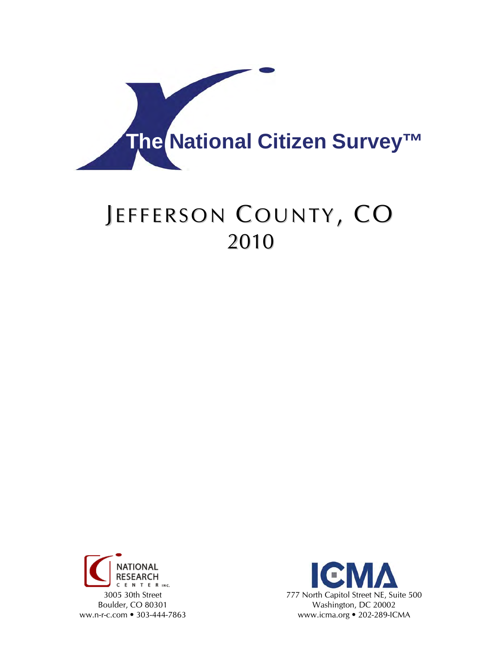

# JEFFERSON COUNTY, CO 2010



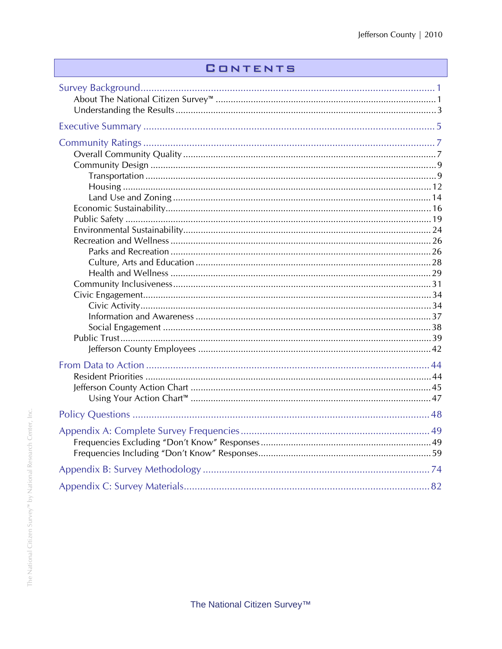### **CONTENTS**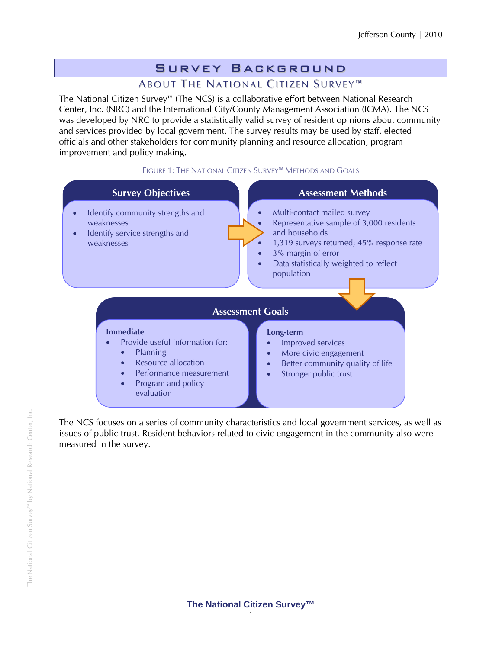# Survey Background

### ABOUT THE NATIONAL CITIZEN SURVEY<sup>™</sup>

The National Citizen Survey™ (The NCS) is a collaborative effort between National Research Center, Inc. (NRC) and the International City/County Management Association (ICMA). The NCS was developed by NRC to provide a statistically valid survey of resident opinions about community and services provided by local government. The survey results may be used by staff, elected officials and other stakeholders for community planning and resource allocation, program improvement and policy making.

#### FIGURE 1: THE NATIONAL CITIZEN SURVEY™ METHODS AND GOALS



The NCS focuses on a series of community characteristics and local government services, as well as issues of public trust. Resident behaviors related to civic engagement in the community also were measured in the survey.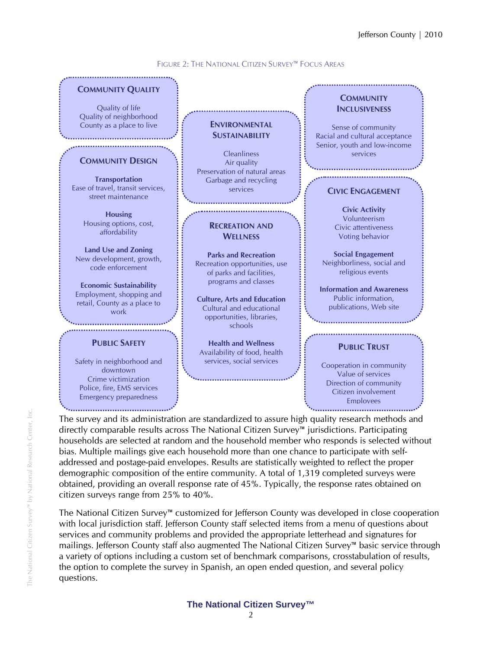

FIGURE 2: THE NATIONAL CITIZEN SURVEY™ FOCUS AREAS

The survey and its administration are standardized to assure high quality research methods and directly comparable results across The National Citizen Survey™ jurisdictions. Participating households are selected at random and the household member who responds is selected without bias. Multiple mailings give each household more than one chance to participate with selfaddressed and postage-paid envelopes. Results are statistically weighted to reflect the proper demographic composition of the entire community. A total of 1,319 completed surveys were obtained, providing an overall response rate of 45%. Typically, the response rates obtained on citizen surveys range from 25% to 40%.

The National Citizen Survey™ customized for Jefferson County was developed in close cooperation with local jurisdiction staff. Jefferson County staff selected items from a menu of questions about services and community problems and provided the appropriate letterhead and signatures for mailings. Jefferson County staff also augmented The National Citizen Survey™ basic service through a variety of options including a custom set of benchmark comparisons, crosstabulation of results, the option to complete the survey in Spanish, an open ended question, and several policy questions.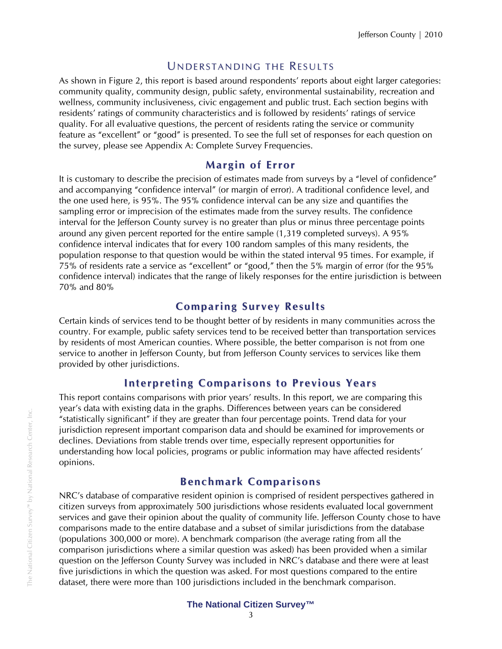### UNDERSTANDING THE RESULTS

As shown in Figure 2, this report is based around respondents' reports about eight larger categories: community quality, community design, public safety, environmental sustainability, recreation and wellness, community inclusiveness, civic engagement and public trust. Each section begins with residents' ratings of community characteristics and is followed by residents' ratings of service quality. For all evaluative questions, the percent of residents rating the service or community feature as "excellent" or "good" is presented. To see the full set of responses for each question on the survey, please see Appendix A: Complete Survey Frequencies.

### **Margin of Error**

It is customary to describe the precision of estimates made from surveys by a "level of confidence" and accompanying "confidence interval" (or margin of error). A traditional confidence level, and the one used here, is 95%. The 95% confidence interval can be any size and quantifies the sampling error or imprecision of the estimates made from the survey results. The confidence interval for the Jefferson County survey is no greater than plus or minus three percentage points around any given percent reported for the entire sample (1,319 completed surveys). A 95% confidence interval indicates that for every 100 random samples of this many residents, the population response to that question would be within the stated interval 95 times. For example, if 75% of residents rate a service as "excellent" or "good," then the 5% margin of error (for the 95% confidence interval) indicates that the range of likely responses for the entire jurisdiction is between 70% and 80%

### **Co mparing Survey Results**

Certain kinds of services tend to be thought better of by residents in many communities across the country. For example, public safety services tend to be received better than transportation services by residents of most American counties. Where possible, the better comparison is not from one service to another in Jefferson County, but from Jefferson County services to services like them provided by other jurisdictions.

### **Interpreting Co mparisons to Previous Years**

This report contains comparisons with prior years' results. In this report, we are comparing this year's data with existing data in the graphs. Differences between years can be considered "statistically significant" if they are greater than four percentage points. Trend data for your jurisdiction represent important comparison data and should be examined for improvements or declines. Deviations from stable trends over time, especially represent opportunities for understanding how local policies, programs or public information may have affected residents' opinions.

### **Benchmark Comparisons**

NRC's database of comparative resident opinion is comprised of resident perspectives gathered in citizen surveys from approximately 500 jurisdictions whose residents evaluated local government services and gave their opinion about the quality of community life. Jefferson County chose to have comparisons made to the entire database and a subset of similar jurisdictions from the database (populations 300,000 or more). A benchmark comparison (the average rating from all the comparison jurisdictions where a similar question was asked) has been provided when a similar question on the Jefferson County Survey was included in NRC's database and there were at least five jurisdictions in which the question was asked. For most questions compared to the entire dataset, there were more than 100 jurisdictions included in the benchmark comparison.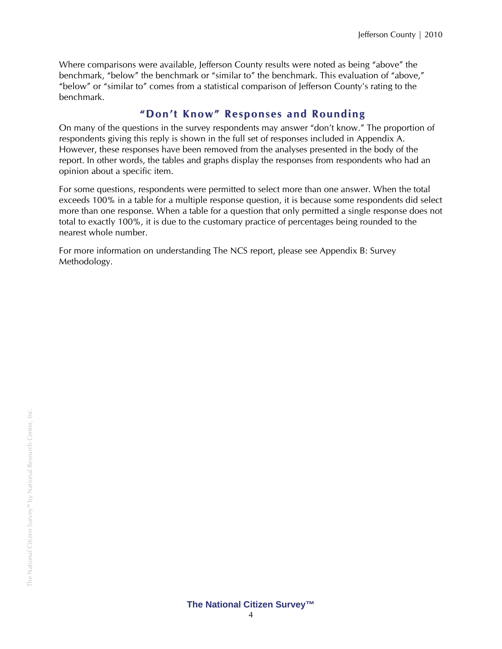Where comparisons were available, Jefferson County results were noted as being "above" the benchmark, "below" the benchmark or "similar to" the benchmark. This evaluation of "above," "below" or "similar to" comes from a statistical comparison of Jefferson County's rating to the benchmark.

### **" Don't Kno w" Responses and Rounding**

On many of the questions in the survey respondents may answer "don't know." The proportion of respondents giving this reply is shown in the full set of responses included in Appendix A. However, these responses have been removed from the analyses presented in the body of the report. In other words, the tables and graphs display the responses from respondents who had an opinion about a specific item.

For some questions, respondents were permitted to select more than one answer. When the total exceeds 100% in a table for a multiple response question, it is because some respondents did select more than one response. When a table for a question that only permitted a single response does not total to exactly 100%, it is due to the customary practice of percentages being rounded to the nearest whole number.

For more information on understanding The NCS report, please see Appendix B: Survey Methodology.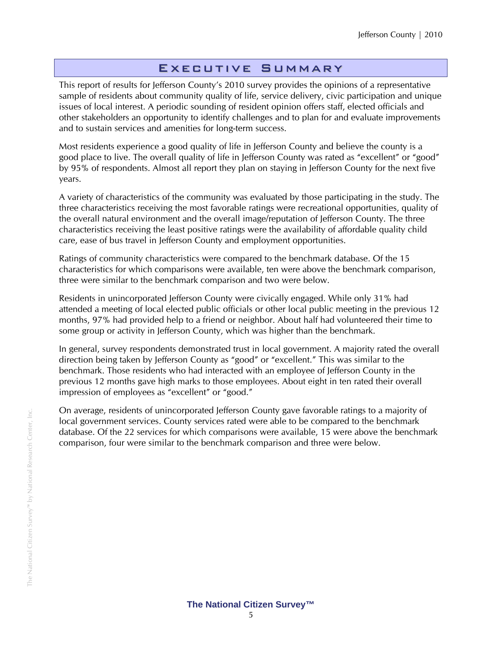### Executive Summary

This report of results for Jefferson County's 2010 survey provides the opinions of a representative sample of residents about community quality of life, service delivery, civic participation and unique issues of local interest. A periodic sounding of resident opinion offers staff, elected officials and other stakeholders an opportunity to identify challenges and to plan for and evaluate improvements and to sustain services and amenities for long-term success.

Most residents experience a good quality of life in Jefferson County and believe the county is a good place to live. The overall quality of life in Jefferson County was rated as "excellent" or "good" by 95% of respondents. Almost all report they plan on staying in Jefferson County for the next five years.

A variety of characteristics of the community was evaluated by those participating in the study. The three characteristics receiving the most favorable ratings were recreational opportunities, quality of the overall natural environment and the overall image/reputation of Jefferson County. The three characteristics receiving the least positive ratings were the availability of affordable quality child care, ease of bus travel in Jefferson County and employment opportunities.

Ratings of community characteristics were compared to the benchmark database. Of the 15 characteristics for which comparisons were available, ten were above the benchmark comparison, three were similar to the benchmark comparison and two were below.

Residents in unincorporated Jefferson County were civically engaged. While only 31% had attended a meeting of local elected public officials or other local public meeting in the previous 12 months, 97% had provided help to a friend or neighbor. About half had volunteered their time to some group or activity in Jefferson County, which was higher than the benchmark.

In general, survey respondents demonstrated trust in local government. A majority rated the overall direction being taken by Jefferson County as "good" or "excellent." This was similar to the benchmark. Those residents who had interacted with an employee of Jefferson County in the previous 12 months gave high marks to those employees. About eight in ten rated their overall impression of employees as "excellent" or "good."

On average, residents of unincorporated Jefferson County gave favorable ratings to a majority of local government services. County services rated were able to be compared to the benchmark database. Of the 22 services for which comparisons were available, 15 were above the benchmark comparison, four were similar to the benchmark comparison and three were below.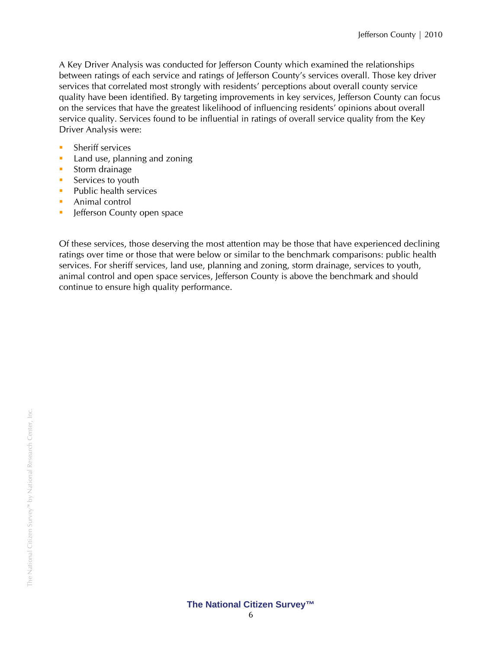A Key Driver Analysis was conducted for Jefferson County which examined the relationships between ratings of each service and ratings of Jefferson County's services overall. Those key driver services that correlated most strongly with residents' perceptions about overall county service quality have been identified. By targeting improvements in key services, Jefferson County can focus on the services that have the greatest likelihood of influencing residents' opinions about overall service quality. Services found to be influential in ratings of overall service quality from the Key Driver Analysis were:

- **Sheriff services**
- **Land use, planning and zoning**
- **Storm drainage**
- Services to youth
- $\blacksquare$  Public health services
- **Animal control**
- **In Jefferson County open space**

Of these services, those deserving the most attention may be those that have experienced declining ratings over time or those that were below or similar to the benchmark comparisons: public health services. For sheriff services, land use, planning and zoning, storm drainage, services to youth, animal control and open space services, Jefferson County is above the benchmark and should continue to ensure high quality performance.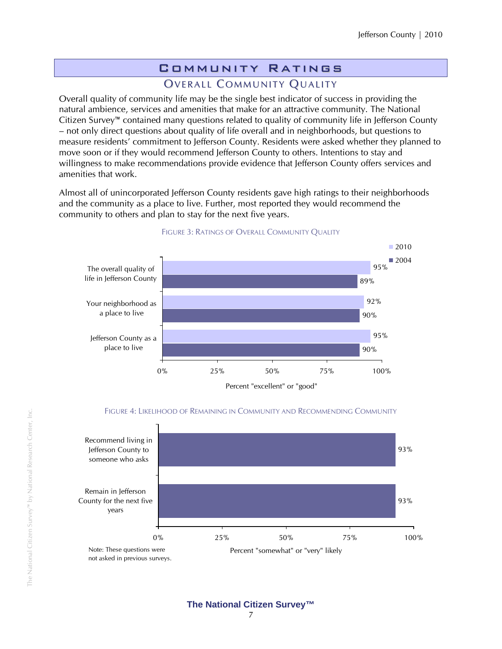# Community Ratings

### OVERALL COMMUNITY QUALITY

Overall quality of community life may be the single best indicator of success in providing the natural ambience, services and amenities that make for an attractive community. The National Citizen Survey™ contained many questions related to quality of community life in Jefferson County – not only direct questions about quality of life overall and in neighborhoods, but questions to measure residents' commitment to Jefferson County. Residents were asked whether they planned to move soon or if they would recommend Jefferson County to others. Intentions to stay and willingness to make recommendations provide evidence that Jefferson County offers services and amenities that work.

Almost all of unincorporated Jefferson County residents gave high ratings to their neighborhoods and the community as a place to live. Further, most reported they would recommend the community to others and plan to stay for the next five years.



#### FIGURE 3: RATINGS OF OVERALL COMMUNITY QUALITY



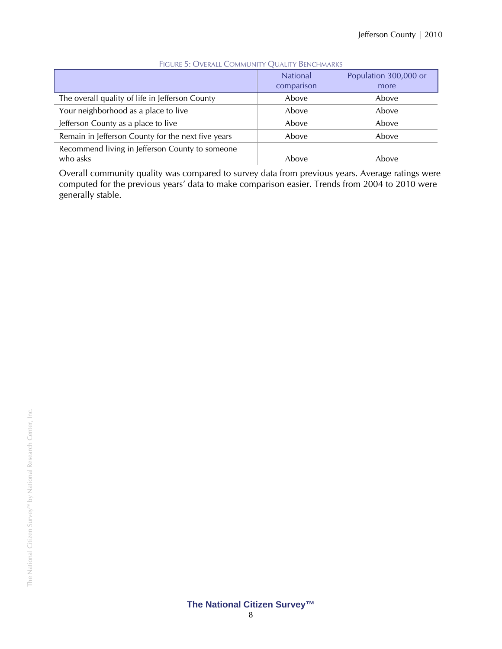|                                                             | <b>National</b><br>comparison | Population 300,000 or<br>more |
|-------------------------------------------------------------|-------------------------------|-------------------------------|
| The overall quality of life in Jefferson County             | Above                         | Above                         |
| Your neighborhood as a place to live                        | Above                         | Above                         |
| Jefferson County as a place to live                         | Above                         | Above                         |
| Remain in Jefferson County for the next five years          | Above                         | Above                         |
| Recommend living in Jefferson County to someone<br>who asks | Above                         | Above                         |

#### FIGURE 5: OVERALL COMMUNITY QUALITY BENCHMARKS

Overall community quality was compared to survey data from previous years. Average ratings were computed for the previous years' data to make comparison easier. Trends from 2004 to 2010 were generally stable.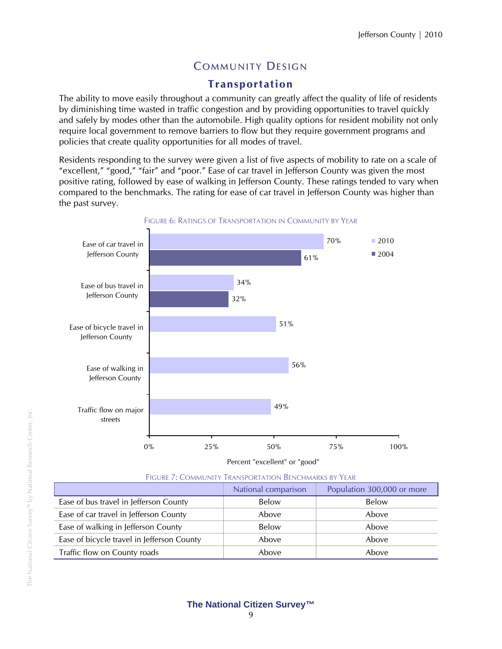# **COMMUNITY DESIGN**

### **Transportation**

The ability to move easily throughout a community can greatly affect the quality of life of residents by diminishing time wasted in traffic congestion and by providing opportunities to travel quickly and safely by modes other than the automobile. High quality options for resident mobility not only require local government to remove barriers to flow but they require government programs and policies that create quality opportunities for all modes of travel.

Residents responding to the survey were given a list of five aspects of mobility to rate on a scale of "excellent," "good," "fair" and "poor." Ease of car travel in Jefferson County was given the most positive rating, followed by ease of walking in Jefferson County. These ratings tended to vary when compared to the benchmarks. The rating for ease of car travel in Jefferson County was higher than the past survey.



Percent "excellent" or "good"

| FIGURE 7: COMMUNITY TRANSPORTATION BENCHMARKS BY YEAR |                     |                            |
|-------------------------------------------------------|---------------------|----------------------------|
|                                                       | National comparison | Population 300,000 or more |
| Ease of bus travel in Jefferson County                | Below               | Below                      |
| Ease of car travel in Jefferson County                | Above               | Above                      |
|                                                       |                     |                            |

Ease of walking in Jefferson County **Below** Below Below Above Ease of bicycle travel in Jefferson County The Above Above Above Above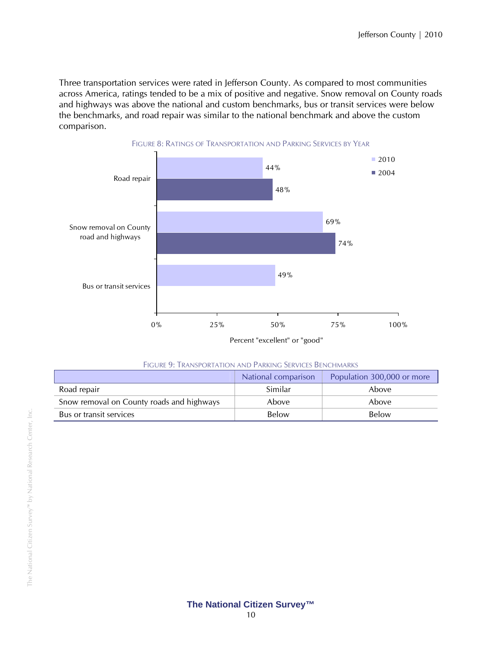Three transportation services were rated in Jefferson County. As compared to most communities across America, ratings tended to be a mix of positive and negative. Snow removal on County roads and highways was above the national and custom benchmarks, bus or transit services were below the benchmarks, and road repair was similar to the national benchmark and above the custom comparison.



|  |  | Figure 9: Transportation and Parking Services Benchmarks |  |  |
|--|--|----------------------------------------------------------|--|--|
|--|--|----------------------------------------------------------|--|--|

|                                           | National comparison | Population 300,000 or more |
|-------------------------------------------|---------------------|----------------------------|
| Road repair                               | Similar             | Above                      |
| Snow removal on County roads and highways | Above               | Above                      |
| Bus or transit services                   | Below               | Below                      |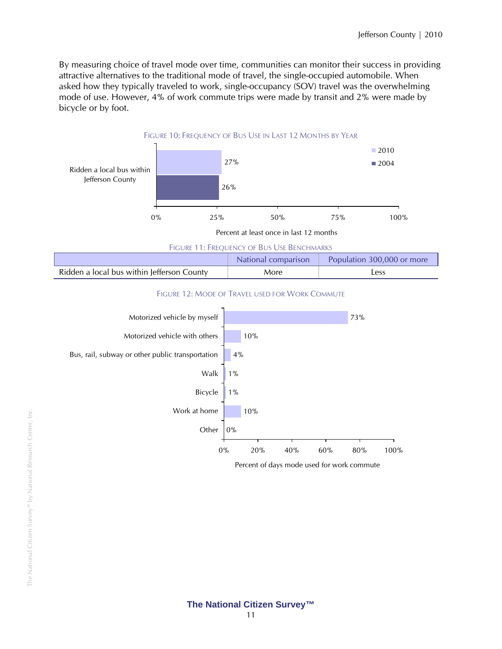By measuring choice of travel mode over time, communities can monitor their success in providing attractive alternatives to the traditional mode of travel, the single-occupied automobile. When asked how they typically traveled to work, single-occupancy (SOV) travel was the overwhelming mode of use. However, 4% of work commute trips were made by transit and 2% were made by bicycle or by foot.



#### **The National Citizen Survey™**  11

0% 20% 40% 60% 80% 100%

Percent of days mode used for work commute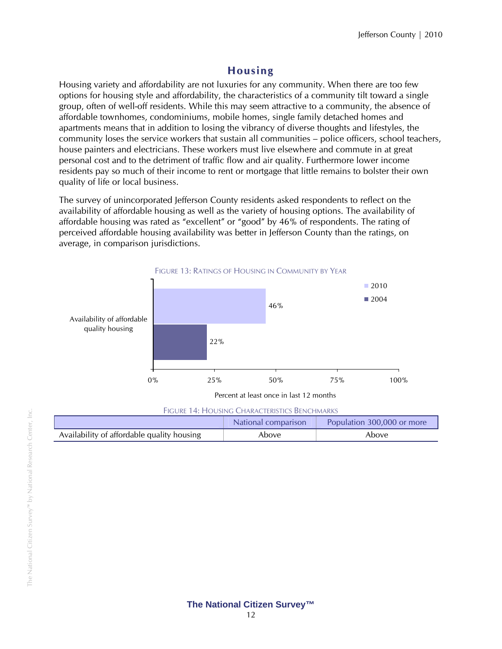### **Housing**

Housing variety and affordability are not luxuries for any community. When there are too few options for housing style and affordability, the characteristics of a community tilt toward a single group, often of well-off residents. While this may seem attractive to a community, the absence of affordable townhomes, condominiums, mobile homes, single family detached homes and apartments means that in addition to losing the vibrancy of diverse thoughts and lifestyles, the community loses the service workers that sustain all communities – police officers, school teachers, house painters and electricians. These workers must live elsewhere and commute in at great personal cost and to the detriment of traffic flow and air quality. Furthermore lower income residents pay so much of their income to rent or mortgage that little remains to bolster their own quality of life or local business.

The survey of unincorporated Jefferson County residents asked respondents to reflect on the availability of affordable housing as well as the variety of housing options. The availability of affordable housing was rated as "excellent" or "good" by 46% of respondents. The rating of perceived affordable housing availability was better in Jefferson County than the ratings, on average, in comparison jurisdictions.



Percent at least once in last 12 months

| FIGURE 14: HOUSING CHARACTERISTICS BENCHMARKS |
|-----------------------------------------------|
|                                               |

|                                            | National comparison | Population 300,000 or more |
|--------------------------------------------|---------------------|----------------------------|
| Availability of affordable quality housing | Above               | Above                      |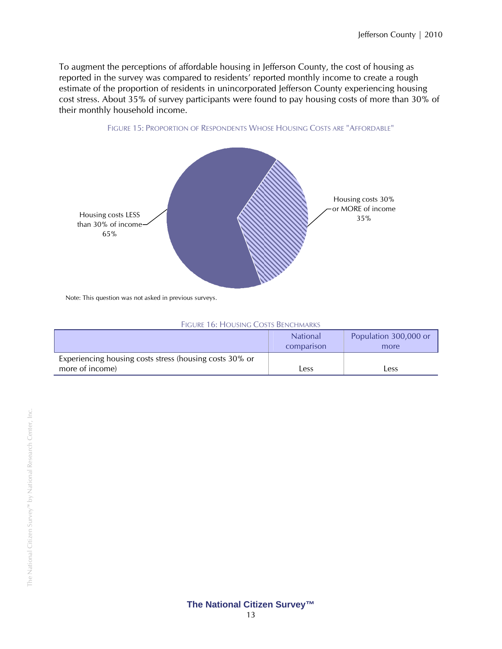To augment the perceptions of affordable housing in Jefferson County, the cost of housing as reported in the survey was compared to residents' reported monthly income to create a rough estimate of the proportion of residents in unincorporated Jefferson County experiencing housing cost stress. About 35% of survey participants were found to pay housing costs of more than 30% of their monthly household income.





Note: This question was not asked in previous surveys.

|  | Figure 16: Housing Costs Benchmarks |
|--|-------------------------------------|
|--|-------------------------------------|

|                                                                            | <b>National</b><br>comparison | Population 300,000 or<br>more |
|----------------------------------------------------------------------------|-------------------------------|-------------------------------|
| Experiencing housing costs stress (housing costs 30% or<br>more of income) | $\mathsf{ess}$                | Less                          |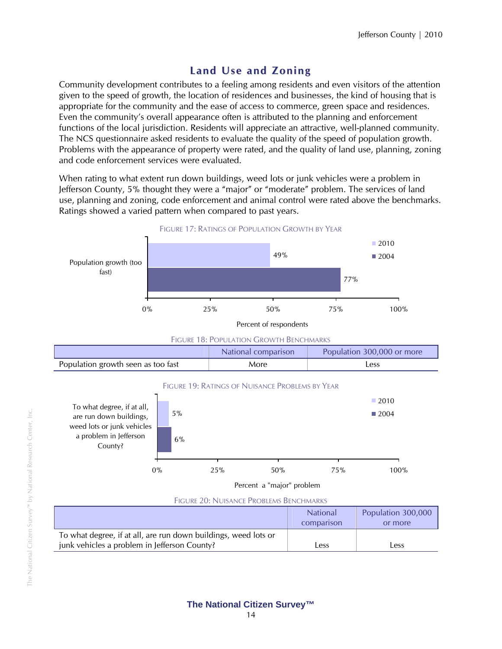# **Land Use and Zoning**

Community development contributes to a feeling among residents and even visitors of the attention given to the speed of growth, the location of residences and businesses, the kind of housing that is appropriate for the community and the ease of access to commerce, green space and residences. Even the community's overall appearance often is attributed to the planning and enforcement functions of the local jurisdiction. Residents will appreciate an attractive, well-planned community. The NCS questionnaire asked residents to evaluate the quality of the speed of population growth. Problems with the appearance of property were rated, and the quality of land use, planning, zoning and code enforcement services were evaluated.

When rating to what extent run down buildings, weed lots or junk vehicles were a problem in Jefferson County, 5% thought they were a "major" or "moderate" problem. The services of land use, planning and zoning, code enforcement and animal control were rated above the benchmarks. Ratings showed a varied pattern when compared to past years.



| comparison                                                                                                                           | or more |
|--------------------------------------------------------------------------------------------------------------------------------------|---------|
| To what degree, if at all, are run down buildings, weed lots or<br>junk vehicles a problem in Jefferson County?<br>$_{\text{L}}$ ess | Less    |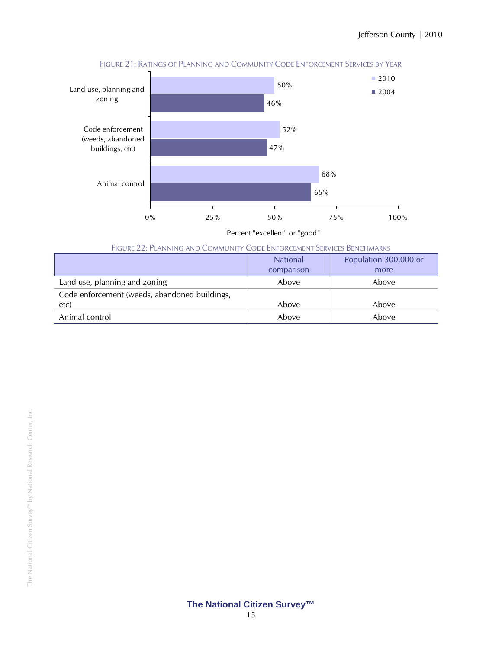

FIGURE 21: RATINGS OF PLANNING AND COMMUNITY CODE ENFORCEMENT SERVICES BY YEAR

Percent "excellent" or "good"

|  | FIGURE 22: PLANNING AND COMMUNITY CODE ENFORCEMENT SERVICES BENCHMARKS |
|--|------------------------------------------------------------------------|
|--|------------------------------------------------------------------------|

|                                               | <b>National</b><br>comparison | Population 300,000 or<br>more |
|-----------------------------------------------|-------------------------------|-------------------------------|
| Land use, planning and zoning                 | Above                         | Above                         |
| Code enforcement (weeds, abandoned buildings, |                               |                               |
| etc)                                          | Above                         | Above                         |
| Animal control                                | Above                         | Above                         |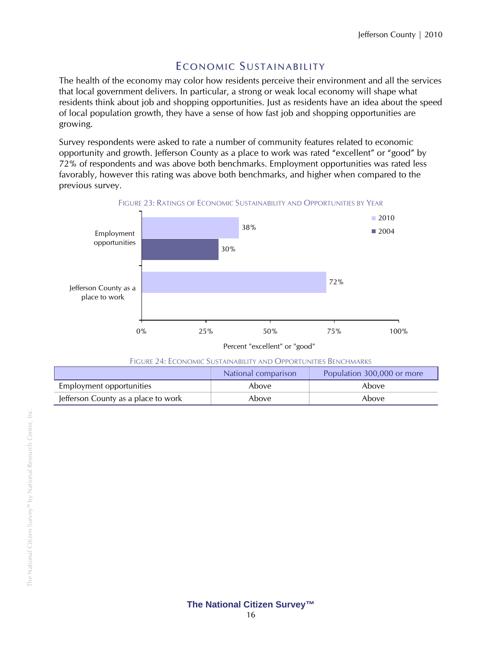### E CONOMIC SUSTAINABILITY

The health of the economy may color how residents perceive their environment and all the services that local government delivers. In particular, a strong or weak local economy will shape what residents think about job and shopping opportunities. Just as residents have an idea about the speed of local population growth, they have a sense of how fast job and shopping opportunities are growing.

Survey respondents were asked to rate a number of community features related to economic opportunity and growth. Jefferson County as a place to work was rated "excellent" or "good" by 72% of respondents and was above both benchmarks. Employment opportunities was rated less favorably, however this rating was above both benchmarks, and higher when compared to the previous survey.



| <b>FIGURE 24: ECONOMIC SUSTAINABILITY AND OPPORTUNITIES BENCHMARKS</b> |
|------------------------------------------------------------------------|
|                                                                        |

|                                     | National comparison | Population 300,000 or more |
|-------------------------------------|---------------------|----------------------------|
| Employment opportunities            | Above               | Above                      |
| Jefferson County as a place to work | Above               | Above                      |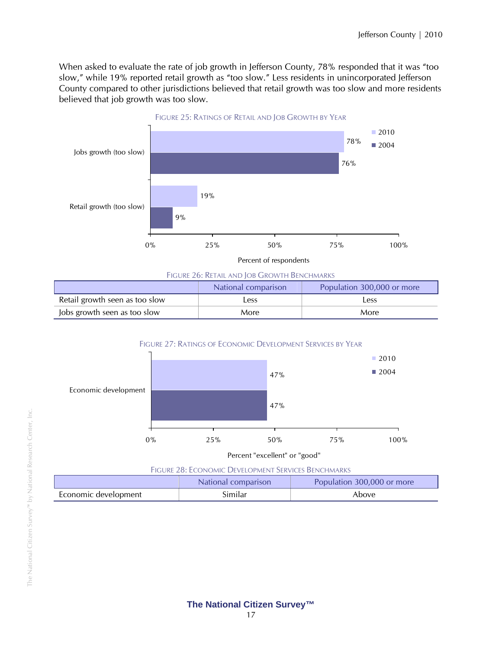When asked to evaluate the rate of job growth in Jefferson County, 78% responded that it was "too slow," while 19% reported retail growth as "too slow." Less residents in unincorporated Jefferson County compared to other jurisdictions believed that retail growth was too slow and more residents believed that job growth was too slow.



FIGURE 26: RETAIL AND JOB GROWTH BENCHMARKS

|                                | National comparison | Population 300,000 or more |
|--------------------------------|---------------------|----------------------------|
| Retail growth seen as too slow | Less                | Less                       |
| Jobs growth seen as too slow   | More                | More                       |

FIGURE 27: RATINGS OF ECONOMIC DEVELOPMENT SERVICES BY YEAR



Percent "excellent" or "good"

FIGURE 28: ECONOMIC DEVELOPMENT SERVICES BENCHMARKS

|                      | National comparison | Population 300,000 or more |  |
|----------------------|---------------------|----------------------------|--|
| Economic development | Similar             | Above                      |  |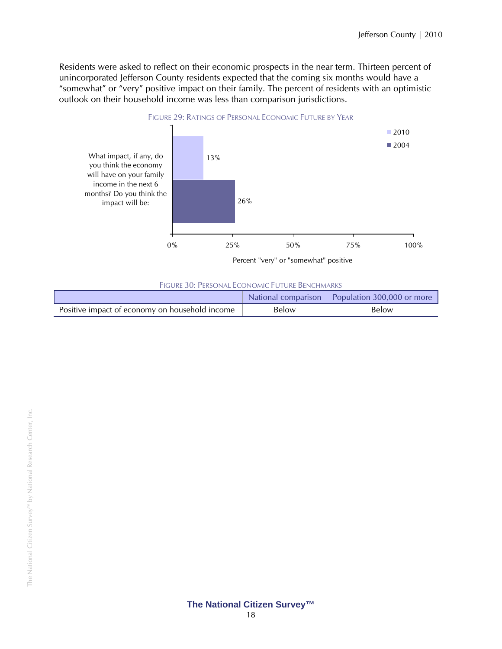Residents were asked to reflect on their economic prospects in the near term. Thirteen percent of unincorporated Jefferson County residents expected that the coming six months would have a "somewhat" or "very" positive impact on their family. The percent of residents with an optimistic outlook on their household income was less than comparison jurisdictions.



FIGURE 30: PERSONAL ECONOMIC FUTURE BENCHMARKS

|                                                |       | National comparison   Population 300,000 or more |
|------------------------------------------------|-------|--------------------------------------------------|
| Positive impact of economy on household income | Below | Below                                            |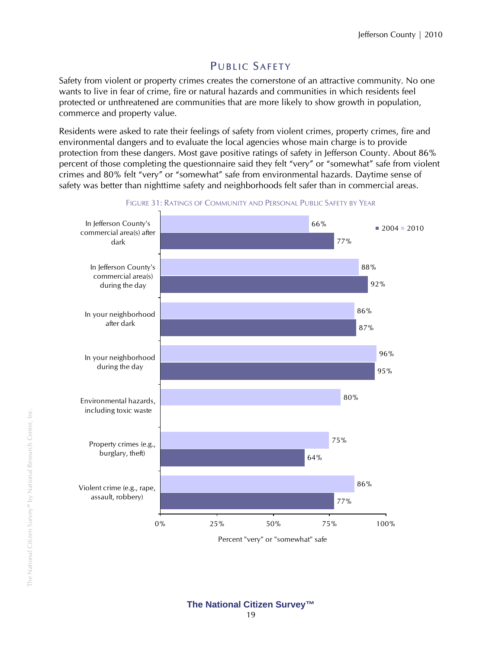# PUBLIC SAFETY

Safety from violent or property crimes creates the cornerstone of an attractive community. No one wants to live in fear of crime, fire or natural hazards and communities in which residents feel protected or unthreatened are communities that are more likely to show growth in population, commerce and property value.

Residents were asked to rate their feelings of safety from violent crimes, property crimes, fire and environmental dangers and to evaluate the local agencies whose main charge is to provide protection from these dangers. Most gave positive ratings of safety in Jefferson County. About 86% percent of those completing the questionnaire said they felt "very" or "somewhat" safe from violent crimes and 80% felt "very" or "somewhat" safe from environmental hazards. Daytime sense of safety was better than nighttime safety and neighborhoods felt safer than in commercial areas.



FIGURE 31: RATINGS OF COMMUNITY AND PERSONAL PUBLIC SAFETY BY YEAR

Percent "very" or "somewhat" safe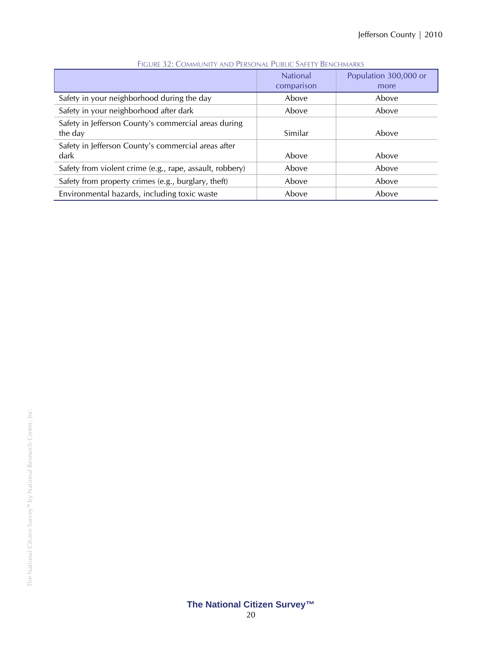|                                                                 | <b>National</b><br>comparison | Population 300,000 or<br>more |
|-----------------------------------------------------------------|-------------------------------|-------------------------------|
| Safety in your neighborhood during the day                      | Above                         | Above                         |
| Safety in your neighborhood after dark                          | Above                         | Above                         |
| Safety in Jefferson County's commercial areas during<br>the day | Similar                       | Above                         |
| Safety in Jefferson County's commercial areas after<br>dark     | Above                         | Above                         |
| Safety from violent crime (e.g., rape, assault, robbery)        | Above                         | Above                         |
| Safety from property crimes (e.g., burglary, theft)             | Above                         | Above                         |
| Environmental hazards, including toxic waste                    | Above                         | Above                         |

#### FIGURE 32: COMMUNITY AND PERSONAL PUBLIC SAFETY BENCHMARKS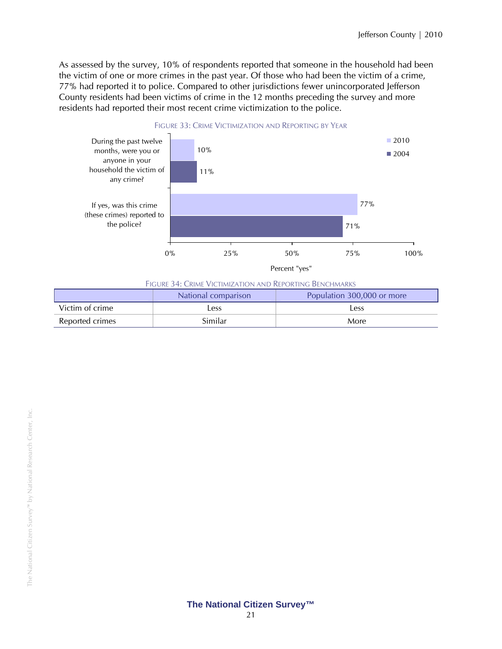As assessed by the survey, 10% of respondents reported that someone in the household had been the victim of one or more crimes in the past year. Of those who had been the victim of a crime, 77% had reported it to police. Compared to other jurisdictions fewer unincorporated Jefferson County residents had been victims of crime in the 12 months preceding the survey and more residents had reported their most recent crime victimization to the police.



| Figure 34: Crime Victimization and Reporting Benchmarks |  |
|---------------------------------------------------------|--|

|                 | National comparison | Population 300,000 or more |
|-----------------|---------------------|----------------------------|
| Victim of crime | Less                | Less                       |
| Reported crimes | Similar             | More                       |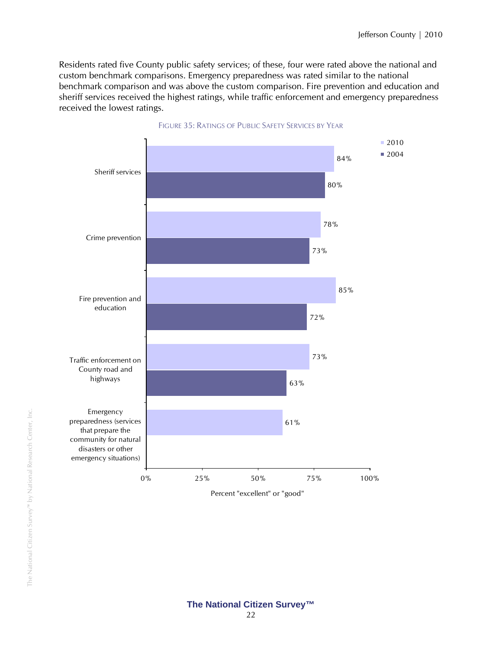Residents rated five County public safety services; of these, four were rated above the national and custom benchmark comparisons. Emergency preparedness was rated similar to the national benchmark comparison and was above the custom comparison. Fire prevention and education and sheriff services received the highest ratings, while traffic enforcement and emergency preparedness received the lowest ratings.



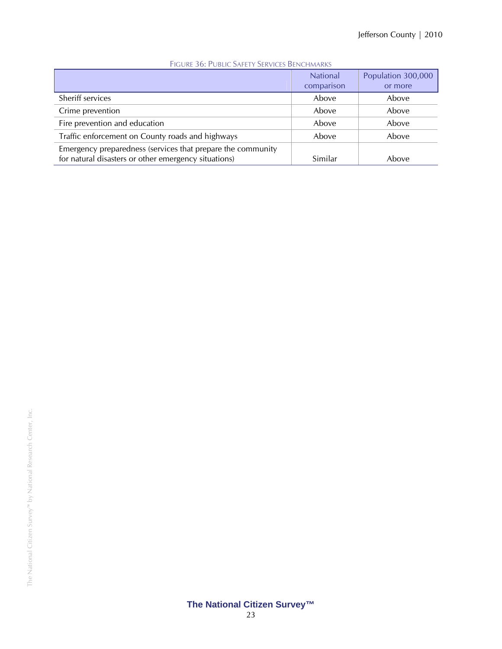|                                                                                                                     | <b>National</b><br>comparison | Population 300,000<br>or more |
|---------------------------------------------------------------------------------------------------------------------|-------------------------------|-------------------------------|
| Sheriff services                                                                                                    | Above                         | Above                         |
| Crime prevention                                                                                                    | Above                         | Above                         |
| Fire prevention and education                                                                                       | Above                         | Above                         |
| Traffic enforcement on County roads and highways                                                                    | Above                         | Above                         |
| Emergency preparedness (services that prepare the community<br>for natural disasters or other emergency situations) | Similar                       | Above                         |

### FIGURE 36: PUBLIC SAFETY SERVICES BENCHMARKS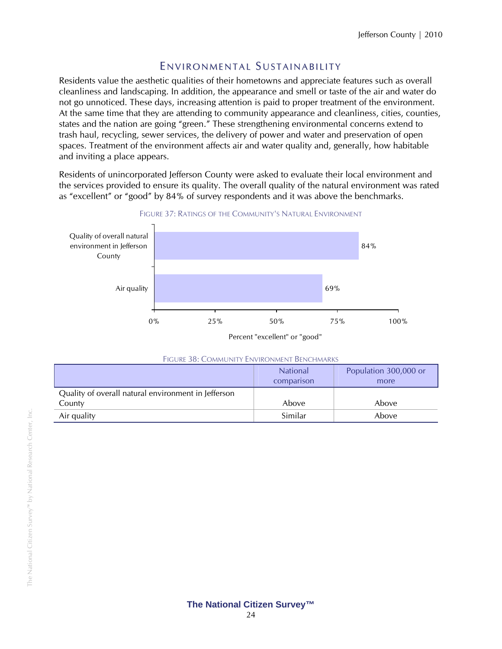### ENVIRONMENTAL SUSTAINABILITY

Residents value the aesthetic qualities of their hometowns and appreciate features such as overall cleanliness and landscaping. In addition, the appearance and smell or taste of the air and water do not go unnoticed. These days, increasing attention is paid to proper treatment of the environment. At the same time that they are attending to community appearance and cleanliness, cities, counties, states and the nation are going "green." These strengthening environmental concerns extend to trash haul, recycling, sewer services, the delivery of power and water and preservation of open spaces. Treatment of the environment affects air and water quality and, generally, how habitable and inviting a place appears.

Residents of unincorporated Jefferson County were asked to evaluate their local environment and the services provided to ensure its quality. The overall quality of the natural environment was rated as "excellent" or "good" by 84% of survey respondents and it was above the benchmarks.



Percent "excellent" or "good"

| FIGURE 30. COMMUNITY ENVIRONMENT DENCHMARKS                   |                               |                               |  |
|---------------------------------------------------------------|-------------------------------|-------------------------------|--|
|                                                               | <b>National</b><br>comparison | Population 300,000 or<br>more |  |
| Quality of overall natural environment in Jefferson<br>County | Above                         | Above                         |  |
| Air quality                                                   | Similar                       | Above                         |  |

#### FIGURE 38: COMMUNITY ENVIRONMENT BENCHMARKS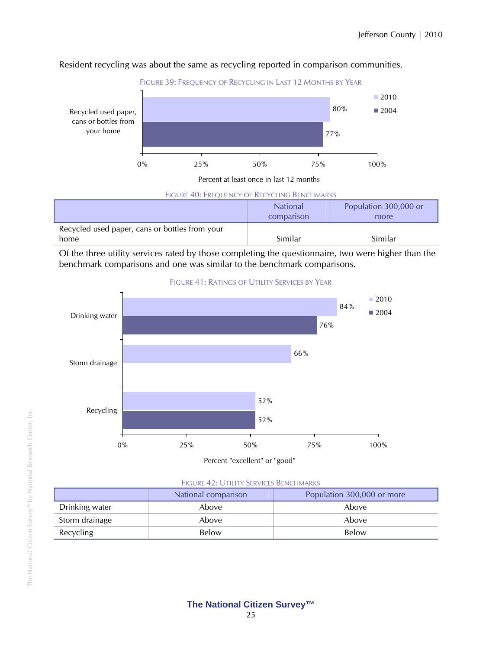

#### Resident recycling was about the same as recycling reported in comparison communities.

Percent at least once in last 12 months

#### FIGURE 40: FREQUENCY OF RECYCLING BENCHMARKS **National** comparison Population 300,000 or more Recycled used paper, cans or bottles from your home Similar Similar

Of the three utility services rated by those completing the questionnaire, two were higher than the benchmark comparisons and one was similar to the benchmark comparisons.



#### FIGURE 41: RATINGS OF UTILITY SERVICES BY YEAR

#### FIGURE 42: UTILITY SERVICES BENCHMARKS

|                | National comparison<br>Population 300,000 or more |       |
|----------------|---------------------------------------------------|-------|
| Drinking water | Above                                             | Above |
| Storm drainage | Above                                             | Above |
| Recycling      | Below                                             | Below |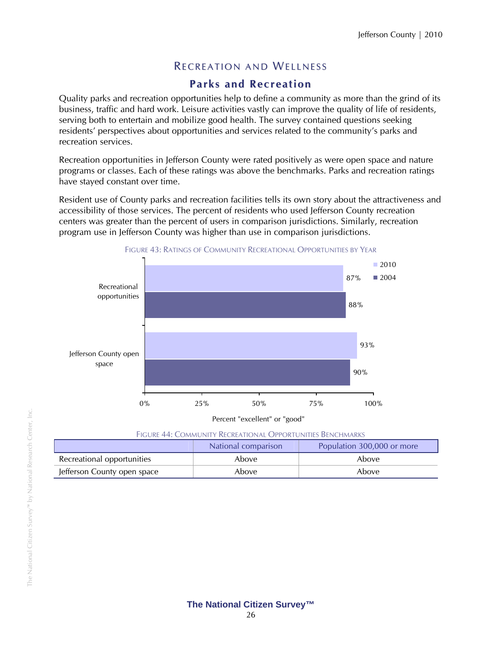### RECREATION AND WELLNESS

### **Parks and Recreation**

Quality parks and recreation opportunities help to define a community as more than the grind of its business, traffic and hard work. Leisure activities vastly can improve the quality of life of residents, serving both to entertain and mobilize good health. The survey contained questions seeking residents' perspectives about opportunities and services related to the community's parks and recreation services.

Recreation opportunities in Jefferson County were rated positively as were open space and nature programs or classes. Each of these ratings was above the benchmarks. Parks and recreation ratings have stayed constant over time.

Resident use of County parks and recreation facilities tells its own story about the attractiveness and accessibility of those services. The percent of residents who used Jefferson County recreation centers was greater than the percent of users in comparison jurisdictions. Similarly, recreation program use in Jefferson County was higher than use in comparison jurisdictions.



FIGURE 43: RATINGS OF COMMUNITY RECREATIONAL OPPORTUNITIES BY YEAR

| <b>FIGURE 44: COMMUNITY RECREATIONAL OPPORTUNITIES BENCHMARKS</b> |  |  |
|-------------------------------------------------------------------|--|--|

|                             | National comparison | Population 300,000 or more |
|-----------------------------|---------------------|----------------------------|
| Recreational opportunities  | Abovel              | Above                      |
| Jefferson County open space | Above               | Above                      |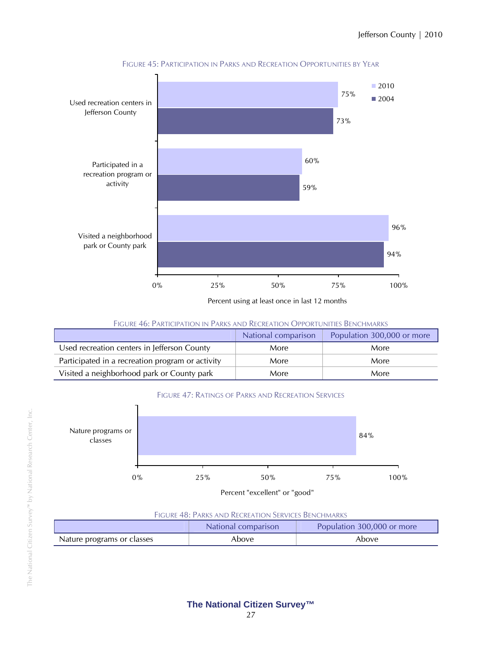

FIGURE 45: PARTICIPATION IN PARKS AND RECREATION OPPORTUNITIES BY YEAR

Percent using at least once in last 12 months

FIGURE 46: PARTICIPATION IN PARKS AND RECREATION OPPORTUNITIES BENCHMARKS

|                                                  | National comparison | Population 300,000 or more |
|--------------------------------------------------|---------------------|----------------------------|
| Used recreation centers in Jefferson County      | More                | More                       |
| Participated in a recreation program or activity | More                | More                       |
| Visited a neighborhood park or County park       | More                | More                       |





#### FIGURE 48: PARKS AND RECREATION SERVICES BENCHMARKS

|                            | National comparison | Population 300,000 or more |
|----------------------------|---------------------|----------------------------|
| Nature programs or classes | Above               | Above                      |

Г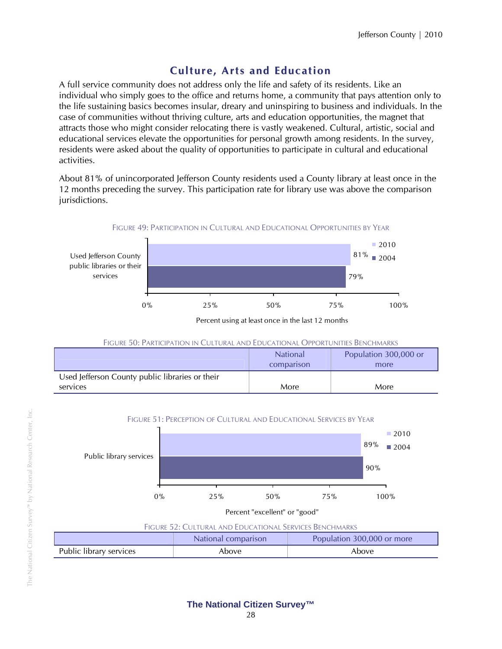### **Culture, Arts and Education**

A full service community does not address only the life and safety of its residents. Like an individual who simply goes to the office and returns home, a community that pays attention only to the life sustaining basics becomes insular, dreary and uninspiring to business and individuals. In the case of communities without thriving culture, arts and education opportunities, the magnet that attracts those who might consider relocating there is vastly weakened. Cultural, artistic, social and educational services elevate the opportunities for personal growth among residents. In the survey, residents were asked about the quality of opportunities to participate in cultural and educational activities.

About 81% of unincorporated Jefferson County residents used a County library at least once in the 12 months preceding the survey. This participation rate for library use was above the comparison jurisdictions.



Percent using at least once in the last 12 months

#### FIGURE 50: PARTICIPATION IN CULTURAL AND EDUCATIONAL OPPORTUNITIES BENCHMARKS

|                                                             | <b>National</b><br>comparison | Population 300,000 or<br>more |
|-------------------------------------------------------------|-------------------------------|-------------------------------|
| Used Jefferson County public libraries or their<br>services | More                          | More                          |



|                         | Population 300,000 or more<br>National comparison |       |  |
|-------------------------|---------------------------------------------------|-------|--|
| Public library services | Above                                             | Above |  |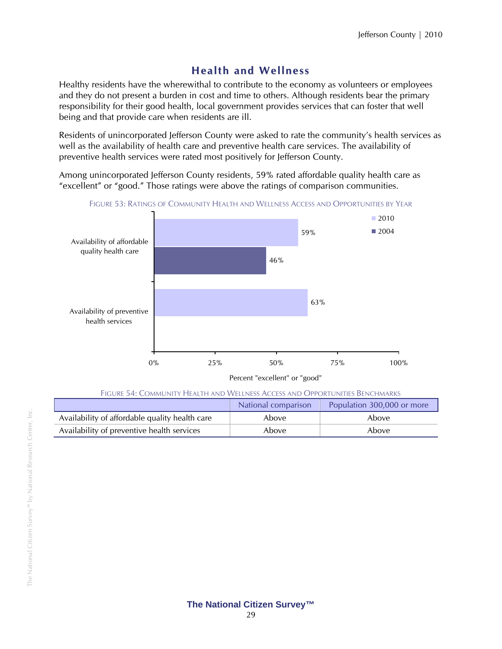### **Health and Wellness**

Healthy residents have the wherewithal to contribute to the economy as volunteers or employees and they do not present a burden in cost and time to others. Although residents bear the primary responsibility for their good health, local government provides services that can foster that well being and that provide care when residents are ill.

Residents of unincorporated Jefferson County were asked to rate the community's health services as well as the availability of health care and preventive health care services. The availability of preventive health services were rated most positively for Jefferson County.

Among unincorporated Jefferson County residents, 59% rated affordable quality health care as "excellent" or "good." Those ratings were above the ratings of comparison communities.



FIGURE 53: RATINGS OF COMMUNITY HEALTH AND WELLNESS ACCESS AND OPPORTUNITIES BY YEAR

Percent "excellent" or "good"

FIGURE 54: COMMUNITY HEALTH AND WELLNESS ACCESS AND OPPORTUNITIES BENCHMARKS

|                                                | National comparison | Population 300,000 or more |
|------------------------------------------------|---------------------|----------------------------|
| Availability of affordable quality health care | Above               | Above                      |
| Availability of preventive health services     | Above               | Above                      |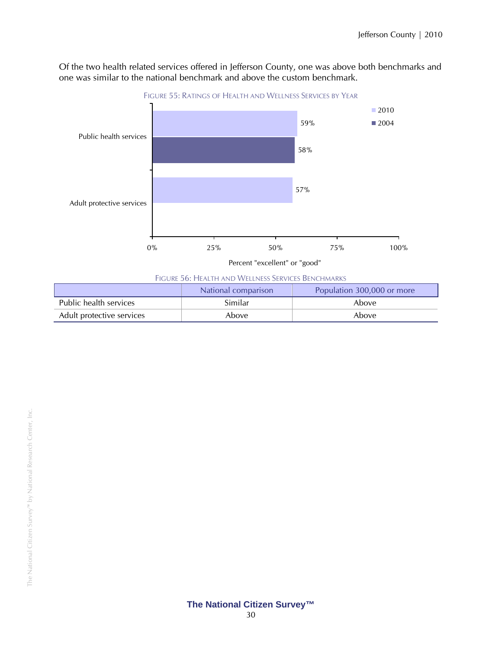Of the two health related services offered in Jefferson County, one was above both benchmarks and one was similar to the national benchmark and above the custom benchmark.



FIGURE 56: HEALTH AND WELLNESS SERVICES BENCHMARKS

|                           | National comparison | Population 300,000 or more |
|---------------------------|---------------------|----------------------------|
| Public health services    | Similar             | Above                      |
| Adult protective services | Above               | Above                      |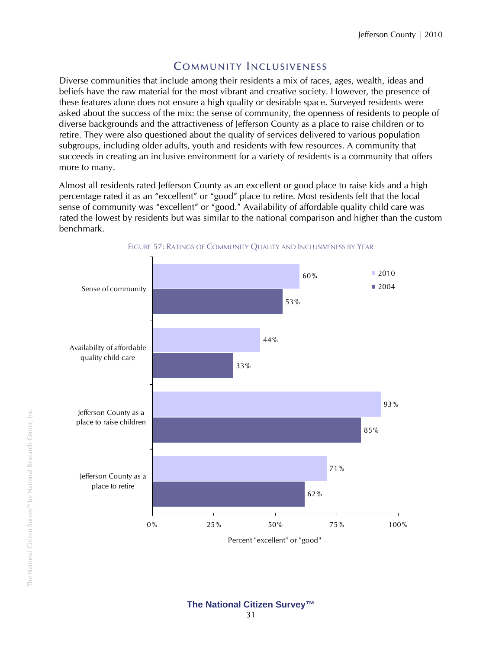### **COMMUNITY INCLUSIVENESS**

Diverse communities that include among their residents a mix of races, ages, wealth, ideas and beliefs have the raw material for the most vibrant and creative society. However, the presence of these features alone does not ensure a high quality or desirable space. Surveyed residents were asked about the success of the mix: the sense of community, the openness of residents to people of diverse backgrounds and the attractiveness of Jefferson County as a place to raise children or to retire. They were also questioned about the quality of services delivered to various population subgroups, including older adults, youth and residents with few resources. A community that succeeds in creating an inclusive environment for a variety of residents is a community that offers more to many.

Almost all residents rated Jefferson County as an excellent or good place to raise kids and a high percentage rated it as an "excellent" or "good" place to retire. Most residents felt that the local sense of community was "excellent" or "good." Availability of affordable quality child care was rated the lowest by residents but was similar to the national comparison and higher than the custom benchmark.

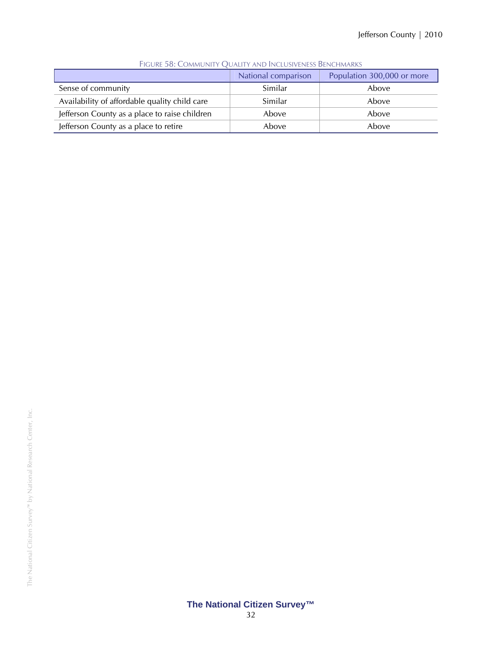|                                               | National comparison | Population 300,000 or more |  |  |
|-----------------------------------------------|---------------------|----------------------------|--|--|
| Sense of community                            | Similar             | Above                      |  |  |
| Availability of affordable quality child care | Similar             | Above                      |  |  |
| Jefferson County as a place to raise children | Above               | Above                      |  |  |
| Jefferson County as a place to retire         | Above               | Above                      |  |  |

FIGURE 58: COMMUNITY QUALITY AND INCLUSIVENESS BENCHMARKS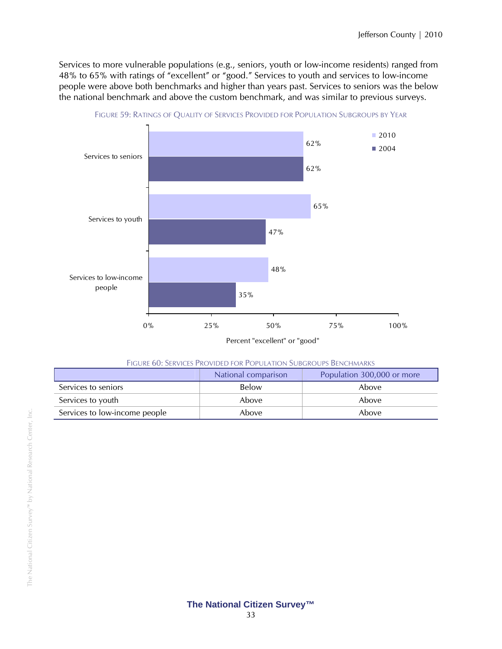Services to more vulnerable populations (e.g., seniors, youth or low-income residents) ranged from 48% to 65% with ratings of "excellent" or "good." Services to youth and services to low-income people were above both benchmarks and higher than years past. Services to seniors was the below the national benchmark and above the custom benchmark, and was similar to previous surveys.



FIGURE 59: RATINGS OF QUALITY OF SERVICES PROVIDED FOR POPULATION SUBGROUPS BY YEAR

| Figure 60: Services Provided for Population Subgroups Benchmarks |  |  |  |  |  |
|------------------------------------------------------------------|--|--|--|--|--|
|------------------------------------------------------------------|--|--|--|--|--|

|                               | National comparison | Population 300,000 or more |
|-------------------------------|---------------------|----------------------------|
| Services to seniors           | Below               | Above                      |
| Services to youth             | Above               | Above                      |
| Services to low-income people | Above               | Above                      |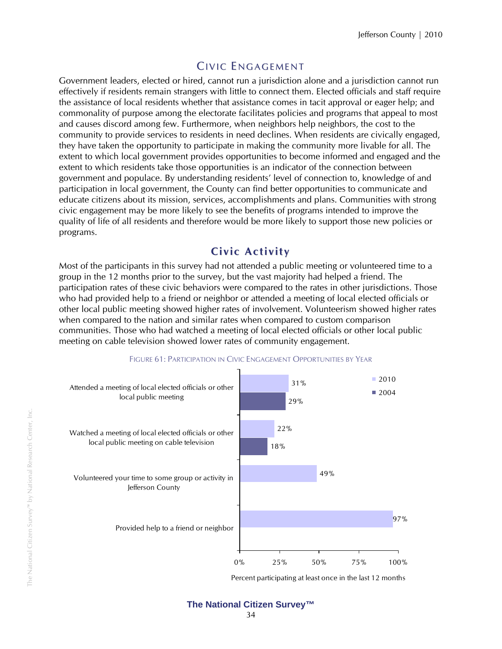# CIVIC ENGAGEMENT

Government leaders, elected or hired, cannot run a jurisdiction alone and a jurisdiction cannot run effectively if residents remain strangers with little to connect them. Elected officials and staff require the assistance of local residents whether that assistance comes in tacit approval or eager help; and commonality of purpose among the electorate facilitates policies and programs that appeal to most and causes discord among few. Furthermore, when neighbors help neighbors, the cost to the community to provide services to residents in need declines. When residents are civically engaged, they have taken the opportunity to participate in making the community more livable for all. The extent to which local government provides opportunities to become informed and engaged and the extent to which residents take those opportunities is an indicator of the connection between government and populace. By understanding residents' level of connection to, knowledge of and participation in local government, the County can find better opportunities to communicate and educate citizens about its mission, services, accomplishments and plans. Communities with strong civic engagement may be more likely to see the benefits of programs intended to improve the quality of life of all residents and therefore would be more likely to support those new policies or programs.

### **Civic Activity**

Most of the participants in this survey had not attended a public meeting or volunteered time to a group in the 12 months prior to the survey, but the vast majority had helped a friend. The participation rates of these civic behaviors were compared to the rates in other jurisdictions. Those who had provided help to a friend or neighbor or attended a meeting of local elected officials or other local public meeting showed higher rates of involvement. Volunteerism showed higher rates when compared to the nation and similar rates when compared to custom comparison communities. Those who had watched a meeting of local elected officials or other local public meeting on cable television showed lower rates of community engagement.



FIGURE 61: PARTICIPATION IN CIVIC ENGAGEMENT OPPORTUNITIES BY YEAR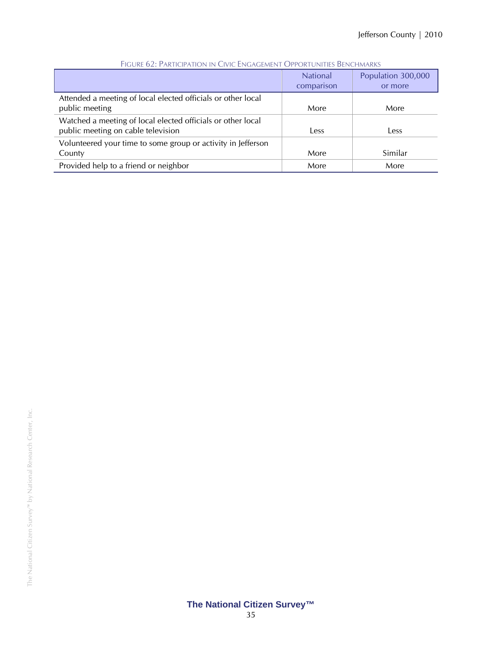|                                                                                                   | <b>National</b><br>comparison | Population 300,000<br>or more |
|---------------------------------------------------------------------------------------------------|-------------------------------|-------------------------------|
| Attended a meeting of local elected officials or other local<br>public meeting                    | More                          | More                          |
| Watched a meeting of local elected officials or other local<br>public meeting on cable television | Less                          | Less                          |
| Volunteered your time to some group or activity in Jefferson<br>County                            | More                          | Similar                       |
| Provided help to a friend or neighbor                                                             | More                          | More                          |

#### FIGURE 62: PARTICIPATION IN CIVIC ENGAGEMENT OPPORTUNITIES BENCHMARKS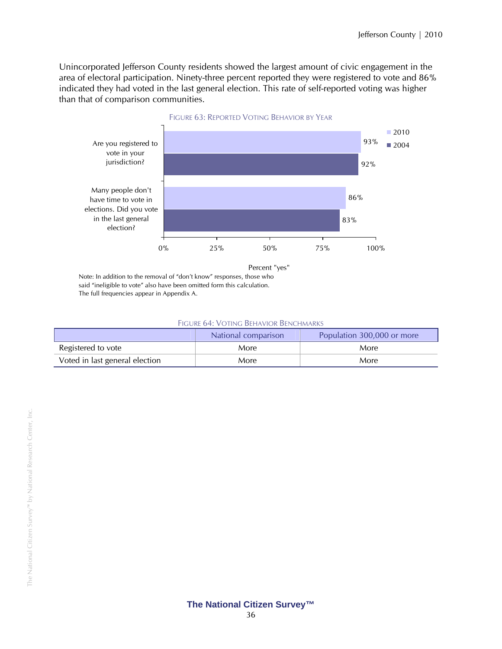Unincorporated Jefferson County residents showed the largest amount of civic engagement in the area of electoral participation. Ninety-three percent reported they were registered to vote and 86% indicated they had voted in the last general election. This rate of self-reported voting was higher than that of comparison communities.



Percent "yes"

Note: In addition to the removal of "don't know" responses, those who said "ineligible to vote" also have been omitted form this calculation. The full frequencies appear in Appendix A.

| <b>FIGURE 64: VOTING BEHAVIOR BENCHMARKS</b> |  |
|----------------------------------------------|--|
|----------------------------------------------|--|

|                                | National comparison | Population 300,000 or more |
|--------------------------------|---------------------|----------------------------|
| Registered to vote             | More                | More                       |
| Voted in last general election | More                | More                       |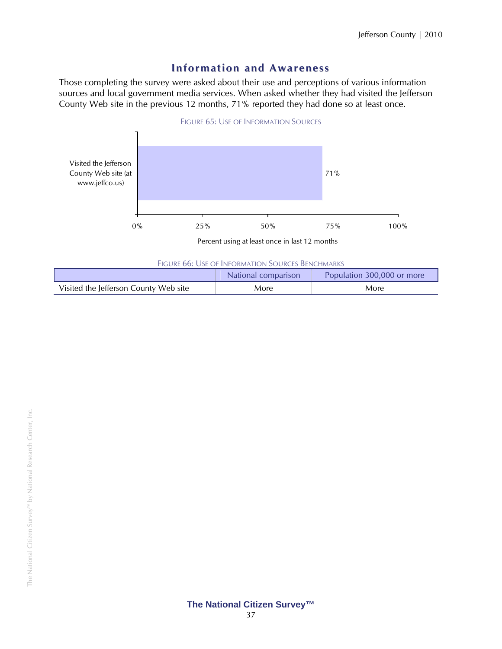### **Infor mation and Awareness**

Those completing the survey were asked about their use and perceptions of various information sources and local government media services. When asked whether they had visited the Jefferson County Web site in the previous 12 months, 71% reported they had done so at least once.



Percent using at least once in last 12 months

|  | FIGURE 66: USE OF INFORMATION SOURCES BENCHMARKS |  |
|--|--------------------------------------------------|--|
|  |                                                  |  |

|                                       | National comparison | Population 300,000 or more |
|---------------------------------------|---------------------|----------------------------|
| Visited the Jefferson County Web site | More                | More                       |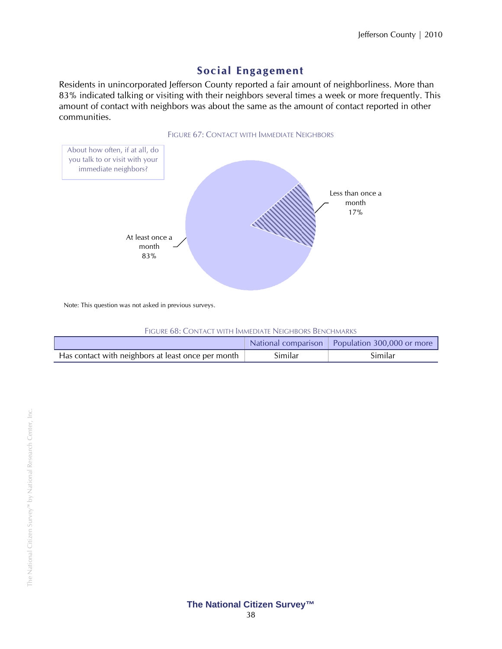### **Social Engage ment**

Residents in unincorporated Jefferson County reported a fair amount of neighborliness. More than 83% indicated talking or visiting with their neighbors several times a week or more frequently. This amount of contact with neighbors was about the same as the amount of contact reported in other communities.



Note: This question was not asked in previous surveys.

| FIGURE 68: CONTACT WITH IMMEDIATE NEIGHBORS BENCHMARKS |
|--------------------------------------------------------|
|--------------------------------------------------------|

|                                                    |         | National comparison   Population 300,000 or more |
|----------------------------------------------------|---------|--------------------------------------------------|
| Has contact with neighbors at least once per month | Similar | Similar                                          |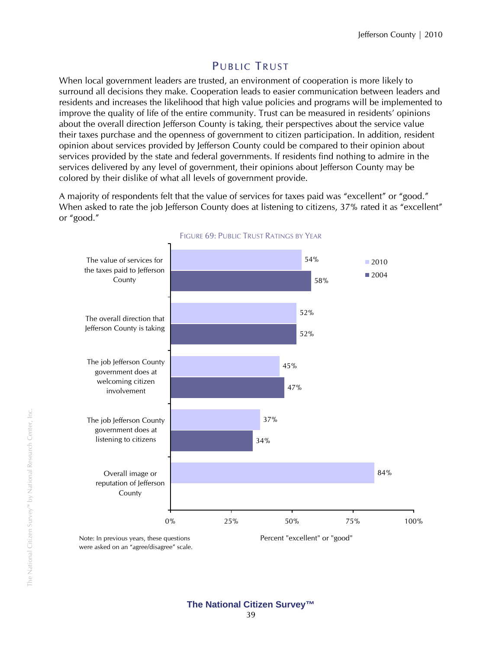## PUBLIC TRUST

When local government leaders are trusted, an environment of cooperation is more likely to surround all decisions they make. Cooperation leads to easier communication between leaders and residents and increases the likelihood that high value policies and programs will be implemented to improve the quality of life of the entire community. Trust can be measured in residents' opinions about the overall direction Jefferson County is taking, their perspectives about the service value their taxes purchase and the openness of government to citizen participation. In addition, resident opinion about services provided by Jefferson County could be compared to their opinion about services provided by the state and federal governments. If residents find nothing to admire in the services delivered by any level of government, their opinions about Jefferson County may be colored by their dislike of what all levels of government provide.

A majority of respondents felt that the value of services for taxes paid was "excellent" or "good." When asked to rate the job Jefferson County does at listening to citizens, 37% rated it as "excellent" or "good."



#### FIGURE 69: PUBLIC TRUST RATINGS BY YEAR

were asked on an "agree/disagree" scale.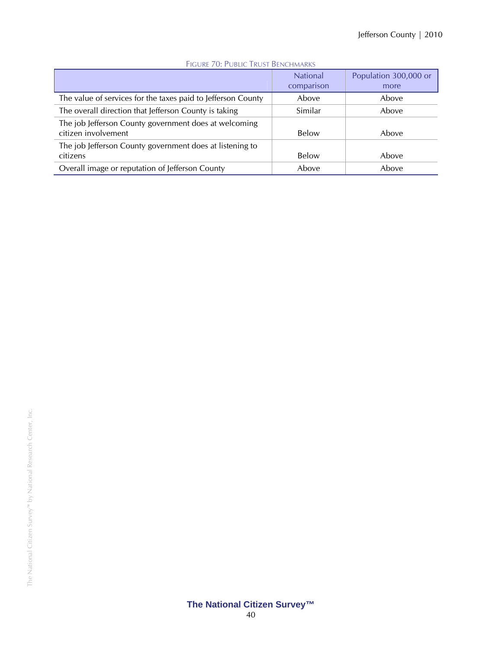| TIGORE / OFT ODERE TROST DEPOTITIONS                                         |                               |                               |
|------------------------------------------------------------------------------|-------------------------------|-------------------------------|
|                                                                              | <b>National</b><br>comparison | Population 300,000 or<br>more |
| The value of services for the taxes paid to Jefferson County                 | Above                         | Above                         |
| The overall direction that Jefferson County is taking                        | Similar                       | Above                         |
| The job Jefferson County government does at welcoming<br>citizen involvement | Below                         | Above                         |
| The job Jefferson County government does at listening to<br>citizens         | Below                         | Above                         |
| Overall image or reputation of Jefferson County                              | Above                         | Above                         |

#### FIGURE 70: PUBLIC TRUST BENCHMARKS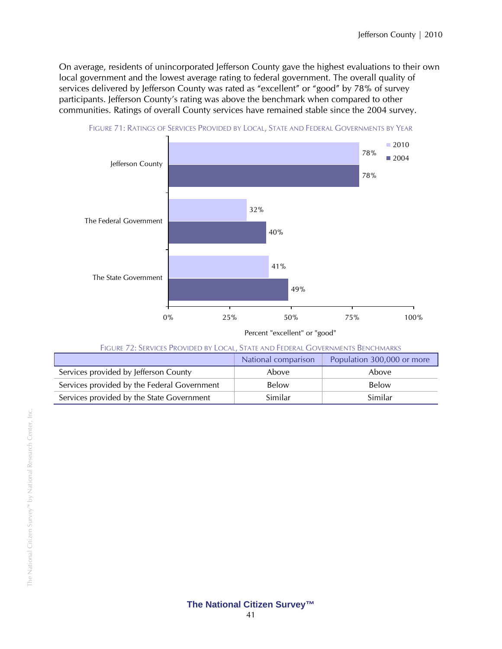On average, residents of unincorporated Jefferson County gave the highest evaluations to their own local government and the lowest average rating to federal government. The overall quality of services delivered by Jefferson County was rated as "excellent" or "good" by 78% of survey participants. Jefferson County's rating was above the benchmark when compared to other communities. Ratings of overall County services have remained stable since the 2004 survey.



FIGURE 71: RATINGS OF SERVICES PROVIDED BY LOCAL, STATE AND FEDERAL GOVERNMENTS BY YEAR

| FIGURE 72: SERVICES PROVIDED BY LOCAL, STATE AND FEDERAL GOVERNMENTS BENCHMARKS |  |  |  |
|---------------------------------------------------------------------------------|--|--|--|
|                                                                                 |  |  |  |

|                                             | National comparison | Population 300,000 or more |
|---------------------------------------------|---------------------|----------------------------|
| Services provided by Jefferson County       | Above               | Above                      |
| Services provided by the Federal Government | Below               | Below                      |
| Services provided by the State Government   | Similar             | Similar                    |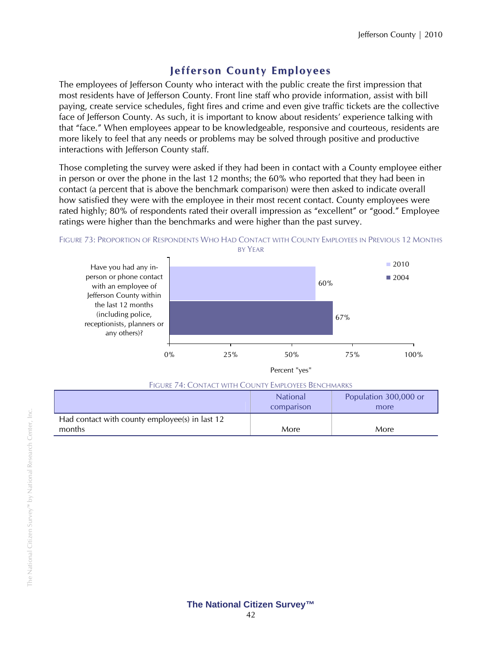or

## **Jefferson County E mployees**

The employees of Jefferson County who interact with the public create the first impression that most residents have of Jefferson County. Front line staff who provide information, assist with bill paying, create service schedules, fight fires and crime and even give traffic tickets are the collective face of Jefferson County. As such, it is important to know about residents' experience talking with that "face." When employees appear to be knowledgeable, responsive and courteous, residents are more likely to feel that any needs or problems may be solved through positive and productive interactions with Jefferson County staff.

Those completing the survey were asked if they had been in contact with a County employee either in person or over the phone in the last 12 months; the 60% who reported that they had been in contact (a percent that is above the benchmark comparison) were then asked to indicate overall how satisfied they were with the employee in their most recent contact. County employees were rated highly; 80% of respondents rated their overall impression as "excellent" or "good." Employee ratings were higher than the benchmarks and were higher than the past survey.



| FIGURE 74: CONTACT WITH COUNTY EMPLOYEES BENCHMARKS |                               |                            |
|-----------------------------------------------------|-------------------------------|----------------------------|
|                                                     | <b>National</b><br>comparison | Population 300,000<br>more |
| Had contact with county employee(s) in last 12      |                               |                            |

months More North More (North More ) and More (North More ) and More (North More ) and More (North More ) and More (North More ) and More (North More ) and More (North More ) and More (North More ) and More (North More ) a

#### **The National Citizen Survey™**  42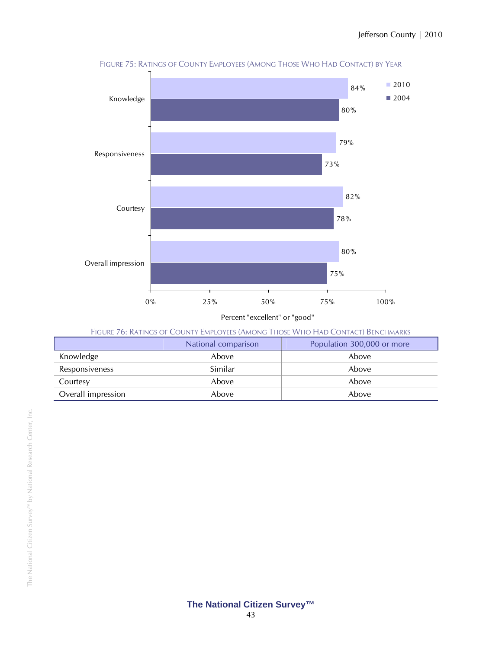

FIGURE 75: RATINGS OF COUNTY EMPLOYEES (AMONG THOSE WHO HAD CONTACT) BY YEAR

Percent "excellent" or "good"

| FIGURE 76: RATINGS OF COUNTY EMPLOYEES (AMONG THOSE WHO HAD CONTACT) BENCHMARKS |  |
|---------------------------------------------------------------------------------|--|
|---------------------------------------------------------------------------------|--|

|                    | National comparison | Population 300,000 or more |
|--------------------|---------------------|----------------------------|
| Knowledge          | Above               | Above                      |
| Responsiveness     | Similar             | Above                      |
| Courtesy           | Above               | Above                      |
| Overall impression | Above               | Above                      |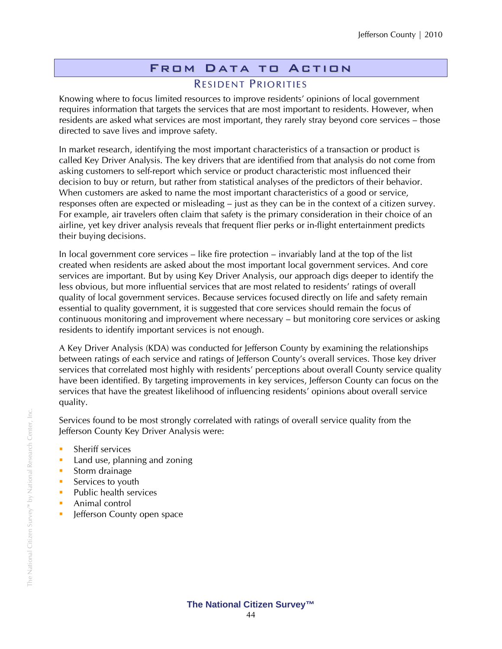### From Data to Action RESIDENT PRIORITIES

Knowing where to focus limited resources to improve residents' opinions of local government requires information that targets the services that are most important to residents. However, when residents are asked what services are most important, they rarely stray beyond core services – those directed to save lives and improve safety.

In market research, identifying the most important characteristics of a transaction or product is called Key Driver Analysis. The key drivers that are identified from that analysis do not come from asking customers to self-report which service or product characteristic most influenced their decision to buy or return, but rather from statistical analyses of the predictors of their behavior. When customers are asked to name the most important characteristics of a good or service, responses often are expected or misleading – just as they can be in the context of a citizen survey. For example, air travelers often claim that safety is the primary consideration in their choice of an airline, yet key driver analysis reveals that frequent flier perks or in-flight entertainment predicts their buying decisions.

In local government core services – like fire protection – invariably land at the top of the list created when residents are asked about the most important local government services. And core services are important. But by using Key Driver Analysis, our approach digs deeper to identify the less obvious, but more influential services that are most related to residents' ratings of overall quality of local government services. Because services focused directly on life and safety remain essential to quality government, it is suggested that core services should remain the focus of continuous monitoring and improvement where necessary – but monitoring core services or asking residents to identify important services is not enough.

A Key Driver Analysis (KDA) was conducted for Jefferson County by examining the relationships between ratings of each service and ratings of Jefferson County's overall services. Those key driver services that correlated most highly with residents' perceptions about overall County service quality have been identified. By targeting improvements in key services, Jefferson County can focus on the services that have the greatest likelihood of influencing residents' opinions about overall service quality.

Services found to be most strongly correlated with ratings of overall service quality from the Jefferson County Key Driver Analysis were:

- **Sheriff services**
- **Land use, planning and zoning**
- **Storm drainage**
- Services to youth
- $\blacksquare$  Public health services
- **Animal control**
- **In Jefferson County open space**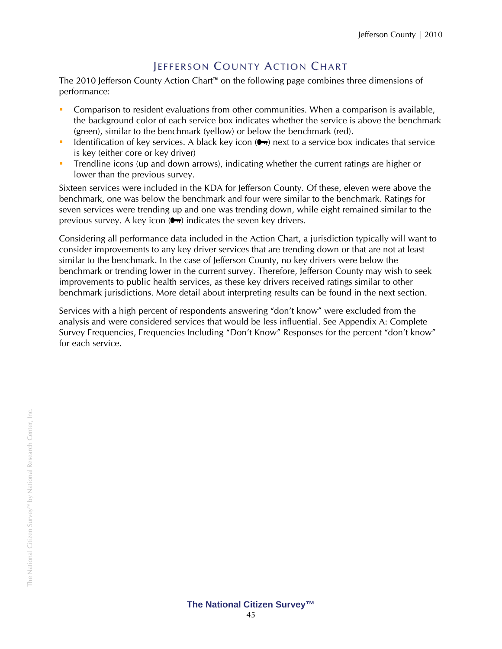## **JEFFERSON COUNTY ACTION CHART**

The 2010 Jefferson County Action Chart™ on the following page combines three dimensions of performance:

- Comparison to resident evaluations from other communities. When a comparison is available, the background color of each service box indicates whether the service is above the benchmark (green), similar to the benchmark (yellow) or below the benchmark (red).
- Identification of key services. A black key icon  $(\bullet \bullet)$  next to a service box indicates that service is key (either core or key driver)
- **Trendline icons (up and down arrows), indicating whether the current ratings are higher or** lower than the previous survey.

Sixteen services were included in the KDA for Jefferson County. Of these, eleven were above the benchmark, one was below the benchmark and four were similar to the benchmark. Ratings for seven services were trending up and one was trending down, while eight remained similar to the previous survey. A key icon  $( \bullet \bullet )$  indicates the seven key drivers.

Considering all performance data included in the Action Chart, a jurisdiction typically will want to consider improvements to any key driver services that are trending down or that are not at least similar to the benchmark. In the case of Jefferson County, no key drivers were below the benchmark or trending lower in the current survey. Therefore, Jefferson County may wish to seek improvements to public health services, as these key drivers received ratings similar to other benchmark jurisdictions. More detail about interpreting results can be found in the next section.

Services with a high percent of respondents answering "don't know" were excluded from the analysis and were considered services that would be less influential. See Appendix A: Complete Survey Frequencies, Frequencies Including "Don't Know" Responses for the percent "don't know" for each service.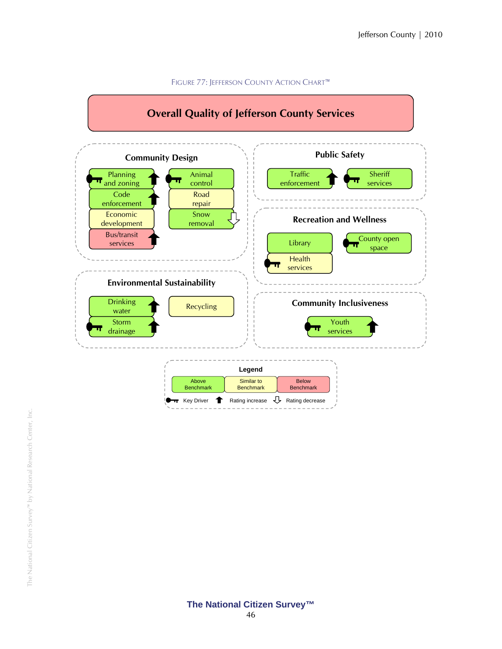

#### FIGURE 77: JEFFERSON COUNTY ACTION CHART™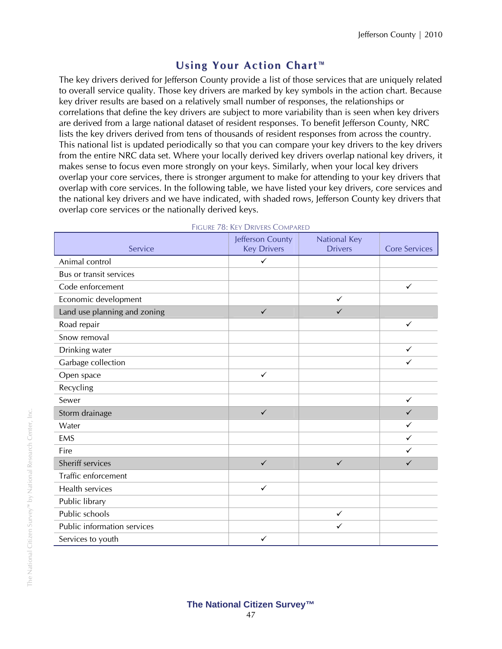## **Using Your Action Chart ™**

The key drivers derived for Jefferson County provide a list of those services that are uniquely related to overall service quality. Those key drivers are marked by key symbols in the action chart. Because key driver results are based on a relatively small number of responses, the relationships or correlations that define the key drivers are subject to more variability than is seen when key drivers are derived from a large national dataset of resident responses. To benefit Jefferson County, NRC lists the key drivers derived from tens of thousands of resident responses from across the country. This national list is updated periodically so that you can compare your key drivers to the key drivers from the entire NRC data set. Where your locally derived key drivers overlap national key drivers, it makes sense to focus even more strongly on your keys. Similarly, when your local key drivers overlap your core services, there is stronger argument to make for attending to your key drivers that overlap with core services. In the following table, we have listed your key drivers, core services and the national key drivers and we have indicated, with shaded rows, Jefferson County key drivers that overlap core services or the nationally derived keys.

| Service                      | Jefferson County<br><b>Key Drivers</b> | <b>National Key</b><br><b>Drivers</b> | <b>Core Services</b> |
|------------------------------|----------------------------------------|---------------------------------------|----------------------|
| Animal control               | $\checkmark$                           |                                       |                      |
| Bus or transit services      |                                        |                                       |                      |
| Code enforcement             |                                        |                                       | $\checkmark$         |
| Economic development         |                                        | $\checkmark$                          |                      |
| Land use planning and zoning | $\checkmark$                           | $\checkmark$                          |                      |
| Road repair                  |                                        |                                       | $\checkmark$         |
| Snow removal                 |                                        |                                       |                      |
| Drinking water               |                                        |                                       | $\checkmark$         |
| Garbage collection           |                                        |                                       | ✓                    |
| Open space                   | $\checkmark$                           |                                       |                      |
| Recycling                    |                                        |                                       |                      |
| Sewer                        |                                        |                                       | $\checkmark$         |
| Storm drainage               | $\checkmark$                           |                                       | ✓                    |
| Water                        |                                        |                                       | ✓                    |
| <b>EMS</b>                   |                                        |                                       | ✓                    |
| Fire                         |                                        |                                       | ✓                    |
| Sheriff services             | $\checkmark$                           | $\checkmark$                          | $\checkmark$         |
| Traffic enforcement          |                                        |                                       |                      |
| Health services              | $\checkmark$                           |                                       |                      |
| Public library               |                                        |                                       |                      |
| Public schools               |                                        | $\checkmark$                          |                      |
| Public information services  |                                        | $\checkmark$                          |                      |
| Services to youth            | ✓                                      |                                       |                      |

#### FIGURE 78: KEY DRIVERS COMPARED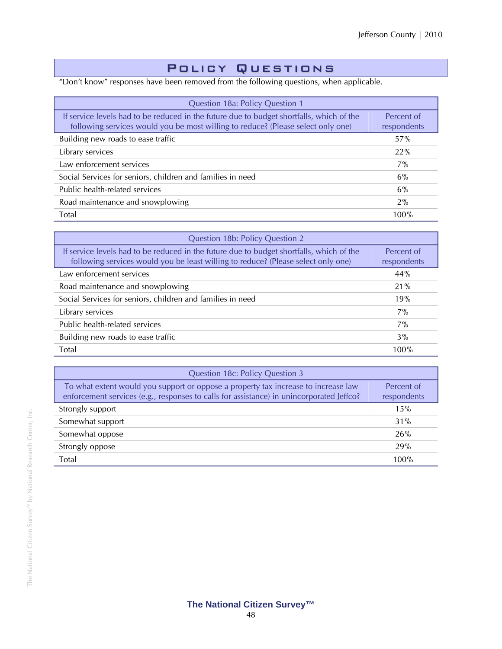### Policy Questions

"Don't know" responses have been removed from the following questions, when applicable.

| Question 18a: Policy Question 1                                                                                                                                              |                           |  |  |  |  |
|------------------------------------------------------------------------------------------------------------------------------------------------------------------------------|---------------------------|--|--|--|--|
| If service levels had to be reduced in the future due to budget shortfalls, which of the<br>following services would you be most willing to reduce? (Please select only one) | Percent of<br>respondents |  |  |  |  |
| Building new roads to ease traffic                                                                                                                                           | 57%                       |  |  |  |  |
| Library services                                                                                                                                                             | 22%                       |  |  |  |  |
| Law enforcement services                                                                                                                                                     | $7\%$                     |  |  |  |  |
| Social Services for seniors, children and families in need                                                                                                                   | 6%                        |  |  |  |  |
| Public health-related services                                                                                                                                               | 6%                        |  |  |  |  |
| Road maintenance and snowplowing                                                                                                                                             | 2%                        |  |  |  |  |
| Total                                                                                                                                                                        | 100%                      |  |  |  |  |

| Question 18b: Policy Question 2                                                                                                                                               |                           |  |  |  |  |
|-------------------------------------------------------------------------------------------------------------------------------------------------------------------------------|---------------------------|--|--|--|--|
| If service levels had to be reduced in the future due to budget shortfalls, which of the<br>following services would you be least willing to reduce? (Please select only one) | Percent of<br>respondents |  |  |  |  |
| Law enforcement services                                                                                                                                                      | 44%                       |  |  |  |  |
| Road maintenance and snowplowing                                                                                                                                              | 21%                       |  |  |  |  |
| Social Services for seniors, children and families in need                                                                                                                    | 19%                       |  |  |  |  |
| Library services                                                                                                                                                              | $7\%$                     |  |  |  |  |
| Public health-related services                                                                                                                                                | $7\%$                     |  |  |  |  |
| Building new roads to ease traffic                                                                                                                                            | 3%                        |  |  |  |  |
| Total                                                                                                                                                                         | 100%                      |  |  |  |  |

| Question 18c: Policy Question 3                                                                                                                                                |                           |  |  |  |  |  |
|--------------------------------------------------------------------------------------------------------------------------------------------------------------------------------|---------------------------|--|--|--|--|--|
| To what extent would you support or oppose a property tax increase to increase law<br>enforcement services (e.g., responses to calls for assistance) in unincorporated Jeffco? | Percent of<br>respondents |  |  |  |  |  |
| Strongly support                                                                                                                                                               | 15%                       |  |  |  |  |  |
| Somewhat support                                                                                                                                                               | 31%                       |  |  |  |  |  |
| Somewhat oppose                                                                                                                                                                | 26%                       |  |  |  |  |  |
| Strongly oppose                                                                                                                                                                | 29%                       |  |  |  |  |  |
| Total                                                                                                                                                                          | 100%                      |  |  |  |  |  |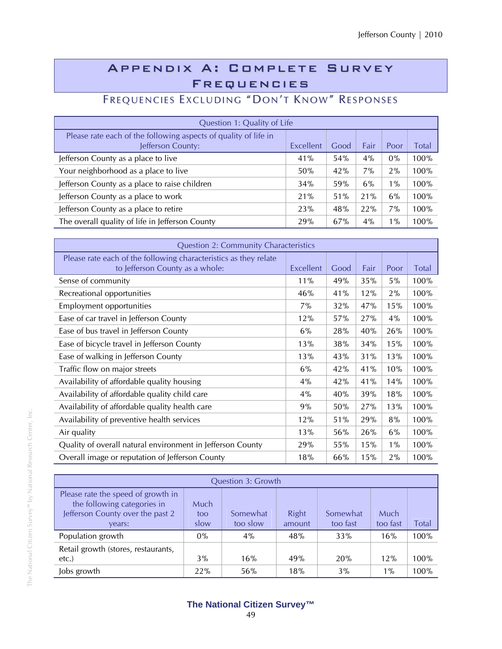## Appendix A: Complete Survey Frequencies

# FREQUENCIES EXCLUDING "DON'T KNOW" RESPONSES

| Question 1: Quality of Life                                                          |           |      |       |       |       |  |  |  |
|--------------------------------------------------------------------------------------|-----------|------|-------|-------|-------|--|--|--|
| Please rate each of the following aspects of quality of life in<br>Jefferson County: | Excellent | Good | Fair  | Poor  | Total |  |  |  |
| Jefferson County as a place to live                                                  | 41%       | 54%  | 4%    | $0\%$ | 100%  |  |  |  |
| Your neighborhood as a place to live                                                 | 50%       | 42%  | $7\%$ | 2%    | 100%  |  |  |  |
| Jefferson County as a place to raise children                                        | 34%       | 59%  | 6%    | $1\%$ | 100%  |  |  |  |
| Jefferson County as a place to work                                                  | 21%       | 51%  | 21%   | 6%    | 100%  |  |  |  |
| Jefferson County as a place to retire                                                | 23%       | 48%  | 22%   | $7\%$ | 100%  |  |  |  |
| The overall quality of life in Jefferson County                                      | 29%       | 67%  | 4%    | $1\%$ | 100%  |  |  |  |

| <b>Question 2: Community Characteristics</b>                                                        |           |      |      |       |              |  |  |
|-----------------------------------------------------------------------------------------------------|-----------|------|------|-------|--------------|--|--|
| Please rate each of the following characteristics as they relate<br>to Jefferson County as a whole: | Excellent | Good | Fair | Poor  | <b>Total</b> |  |  |
| Sense of community                                                                                  | 11%       | 49%  | 35%  | 5%    | 100%         |  |  |
| Recreational opportunities                                                                          | 46%       | 41%  | 12%  | 2%    | 100%         |  |  |
| Employment opportunities                                                                            | $7\%$     | 32%  | 47%  | 15%   | 100%         |  |  |
| Ease of car travel in Jefferson County                                                              | 12%       | 57%  | 27%  | 4%    | 100%         |  |  |
| Ease of bus travel in Jefferson County                                                              | 6%        | 28%  | 40%  | 26%   | 100%         |  |  |
| Ease of bicycle travel in Jefferson County                                                          | 13%       | 38%  | 34%  | 15%   | 100%         |  |  |
| Ease of walking in Jefferson County                                                                 | 13%       | 43%  | 31%  | 13%   | 100%         |  |  |
| Traffic flow on major streets                                                                       | 6%        | 42%  | 41%  | 10%   | 100%         |  |  |
| Availability of affordable quality housing                                                          | $4\%$     | 42%  | 41%  | 14%   | 100%         |  |  |
| Availability of affordable quality child care                                                       | 4%        | 40%  | 39%  | 18%   | 100%         |  |  |
| Availability of affordable quality health care                                                      | 9%        | 50%  | 27%  | 13%   | 100%         |  |  |
| Availability of preventive health services                                                          | 12%       | 51%  | 29%  | 8%    | 100%         |  |  |
| Air quality                                                                                         | 13%       | 56%  | 26%  | 6%    | 100%         |  |  |
| Quality of overall natural environment in Jefferson County                                          | 29%       | 55%  | 15%  | $1\%$ | 100%         |  |  |
| Overall image or reputation of Jefferson County                                                     | 18%       | 66%  | 15%  | 2%    | 100%         |  |  |

| <b>Question 3: Growth</b>                                                                                       |                                                                                                                     |     |     |     |       |      |  |
|-----------------------------------------------------------------------------------------------------------------|---------------------------------------------------------------------------------------------------------------------|-----|-----|-----|-------|------|--|
| Please rate the speed of growth in<br>the following categories in<br>Jefferson County over the past 2<br>vears: | Much<br>Right<br>Somewhat<br>Somewhat<br>Much<br>too<br>too fast<br>too slow<br>too fast<br>slow<br>Total<br>amount |     |     |     |       |      |  |
| Population growth                                                                                               | $0\%$                                                                                                               | 4%  | 48% | 33% | 16%   | 100% |  |
| Retail growth (stores, restaurants,<br>$etc.$ )                                                                 | 3%                                                                                                                  | 16% | 49% | 20% | 12%   | 100% |  |
| Jobs growth                                                                                                     | 22%                                                                                                                 | 56% | 18% | 3%  | $1\%$ | 100% |  |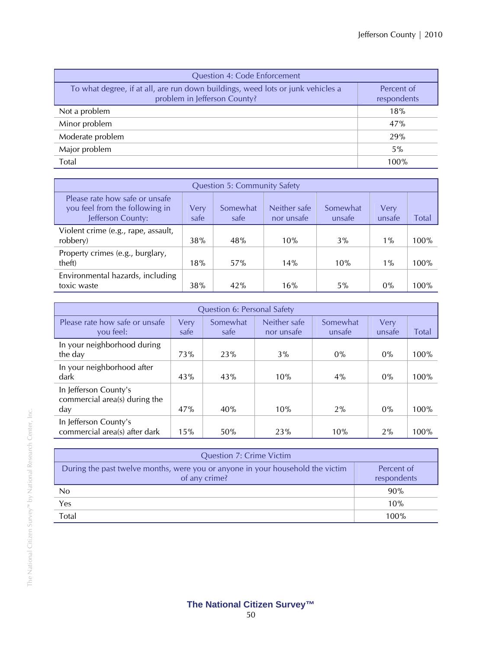| <b>Question 4: Code Enforcement</b>                                                                             |                           |  |  |  |  |  |
|-----------------------------------------------------------------------------------------------------------------|---------------------------|--|--|--|--|--|
| To what degree, if at all, are run down buildings, weed lots or junk vehicles a<br>problem in Jefferson County? | Percent of<br>respondents |  |  |  |  |  |
| Not a problem                                                                                                   | 18%                       |  |  |  |  |  |
| Minor problem                                                                                                   | 47%                       |  |  |  |  |  |
| Moderate problem                                                                                                | 29%                       |  |  |  |  |  |
| Major problem                                                                                                   | 5%                        |  |  |  |  |  |
| Total                                                                                                           | 100%                      |  |  |  |  |  |

| <b>Question 5: Community Safety</b>                                                   |              |                  |                            |                    |                |       |  |
|---------------------------------------------------------------------------------------|--------------|------------------|----------------------------|--------------------|----------------|-------|--|
| Please rate how safe or unsafe<br>you feel from the following in<br>Jefferson County: | Verv<br>safe | Somewhat<br>safe | Neither safe<br>nor unsafe | Somewhat<br>unsafe | Verv<br>unsafe | Total |  |
| Violent crime (e.g., rape, assault,<br>robbery)                                       | 38%          | 48%              | 10%                        | 3%                 | $1\%$          | 100%  |  |
| Property crimes (e.g., burglary,<br>theft)                                            | 18%          | 57%              | 14%                        | 10%                | $1\%$          | 100%  |  |
| Environmental hazards, including<br>toxic waste                                       | 38%          | 42%              | 16%                        | $5\%$              | $0\%$          | 100%  |  |

| <b>Question 6: Personal Safety</b>                            |              |                  |                            |                    |                |       |  |  |  |
|---------------------------------------------------------------|--------------|------------------|----------------------------|--------------------|----------------|-------|--|--|--|
| Please rate how safe or unsafe<br>you feel:                   | Very<br>safe | Somewhat<br>safe | Neither safe<br>nor unsafe | Somewhat<br>unsafe | Very<br>unsafe | Total |  |  |  |
| In your neighborhood during<br>the day                        | 73%          | 23%              | 3%                         | $0\%$              | $0\%$          | 100%  |  |  |  |
| In your neighborhood after<br>dark                            | 43%          | 43%              | 10%                        | $4\%$              | $0\%$          | 100%  |  |  |  |
| In Jefferson County's<br>commercial area(s) during the<br>day | 47%          | 40%              | 10%                        | 2%                 | $0\%$          | 100%  |  |  |  |
| In Jefferson County's<br>commercial area(s) after dark        | 15%          | 50%              | 23%                        | 10%                | 2%             | 100%  |  |  |  |

| <b>Question 7: Crime Victim</b>                                                                 |                           |  |  |  |  |
|-------------------------------------------------------------------------------------------------|---------------------------|--|--|--|--|
| During the past twelve months, were you or anyone in your household the victim<br>of any crime? | Percent of<br>respondents |  |  |  |  |
| No                                                                                              | 90%                       |  |  |  |  |
| Yes                                                                                             | 10%                       |  |  |  |  |
| Total                                                                                           | 100%                      |  |  |  |  |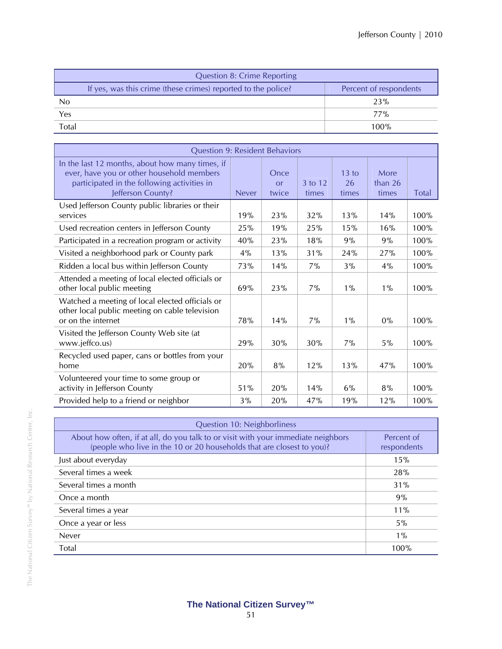| <b>Question 8: Crime Reporting</b>                            |                        |
|---------------------------------------------------------------|------------------------|
| If yes, was this crime (these crimes) reported to the police? | Percent of respondents |
| N <sub>0</sub>                                                | 23%                    |
| Yes                                                           | 77%                    |
| <b>Total</b>                                                  | 100%                   |

| <b>Question 9: Resident Behaviors</b>                                                                                                                            |              |                     |                  |                      |                            |              |
|------------------------------------------------------------------------------------------------------------------------------------------------------------------|--------------|---------------------|------------------|----------------------|----------------------------|--------------|
| In the last 12 months, about how many times, if<br>ever, have you or other household members<br>participated in the following activities in<br>Jefferson County? | <b>Never</b> | Once<br>or<br>twice | 3 to 12<br>times | 13 to<br>26<br>times | More<br>than $26$<br>times | <b>Total</b> |
| Used Jefferson County public libraries or their<br>services                                                                                                      | 19%          | 23%                 | 32%              | 13%                  | 14%                        | 100%         |
| Used recreation centers in Jefferson County                                                                                                                      | 25%          | 19%                 | 25%              | 15%                  | 16%                        | 100%         |
| Participated in a recreation program or activity                                                                                                                 | 40%          | 23%                 | 18%              | 9%                   | 9%                         | 100%         |
| Visited a neighborhood park or County park                                                                                                                       | 4%           | 13%                 | 31%              | 24%                  | 27%                        | 100%         |
| Ridden a local bus within Jefferson County                                                                                                                       | 73%          | 14%                 | 7%               | 3%                   | 4%                         | 100%         |
| Attended a meeting of local elected officials or<br>other local public meeting                                                                                   | 69%          | 23%                 | 7%               | $1\%$                | $1\%$                      | 100%         |
| Watched a meeting of local elected officials or<br>other local public meeting on cable television<br>or on the internet                                          | 78%          | 14%                 | 7%               | $1\%$                | $0\%$                      | 100%         |
| Visited the Jefferson County Web site (at<br>www.jeffco.us)                                                                                                      | 29%          | 30%                 | 30%              | 7%                   | 5%                         | 100%         |
| Recycled used paper, cans or bottles from your<br>home                                                                                                           | 20%          | 8%                  | 12%              | 13%                  | 47%                        | 100%         |
| Volunteered your time to some group or<br>activity in Jefferson County                                                                                           | 51%          | 20%                 | 14%              | 6%                   | 8%                         | 100%         |
| Provided help to a friend or neighbor                                                                                                                            | 3%           | 20%                 | 47%              | 19%                  | 12%                        | 100%         |

| Question 10: Neighborliness                                                                                                                                |                           |  |  |  |  |
|------------------------------------------------------------------------------------------------------------------------------------------------------------|---------------------------|--|--|--|--|
| About how often, if at all, do you talk to or visit with your immediate neighbors<br>(people who live in the 10 or 20 households that are closest to you)? | Percent of<br>respondents |  |  |  |  |
| Just about everyday                                                                                                                                        | 15%                       |  |  |  |  |
| Several times a week                                                                                                                                       | 28%                       |  |  |  |  |
| Several times a month                                                                                                                                      | 31%                       |  |  |  |  |
| Once a month                                                                                                                                               | 9%                        |  |  |  |  |
| Several times a year                                                                                                                                       | 11%                       |  |  |  |  |
| Once a year or less                                                                                                                                        | 5%                        |  |  |  |  |
| <b>Never</b>                                                                                                                                               | $1\%$                     |  |  |  |  |
| Total                                                                                                                                                      | 100%                      |  |  |  |  |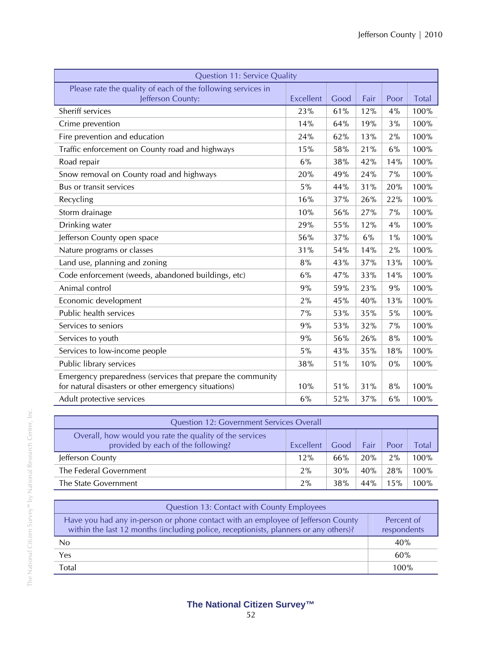| <b>Question 11: Service Quality</b>                                                                                 |                  |      |      |       |       |
|---------------------------------------------------------------------------------------------------------------------|------------------|------|------|-------|-------|
| Please rate the quality of each of the following services in<br>Jefferson County:                                   | <b>Excellent</b> | Good | Fair | Poor  | Total |
| Sheriff services                                                                                                    | 23%              | 61%  | 12%  | 4%    | 100%  |
| Crime prevention                                                                                                    | 14%              | 64%  | 19%  | 3%    | 100%  |
| Fire prevention and education                                                                                       | 24%              | 62%  | 13%  | 2%    | 100%  |
| Traffic enforcement on County road and highways                                                                     | 15%              | 58%  | 21%  | 6%    | 100%  |
| Road repair                                                                                                         | 6%               | 38%  | 42%  | 14%   | 100%  |
| Snow removal on County road and highways                                                                            | 20%              | 49%  | 24%  | 7%    | 100%  |
| Bus or transit services                                                                                             | 5%               | 44%  | 31%  | 20%   | 100%  |
| Recycling                                                                                                           | 16%              | 37%  | 26%  | 22%   | 100%  |
| Storm drainage                                                                                                      | 10%              | 56%  | 27%  | 7%    | 100%  |
| Drinking water                                                                                                      | 29%              | 55%  | 12%  | 4%    | 100%  |
| Jefferson County open space                                                                                         | 56%              | 37%  | 6%   | $1\%$ | 100%  |
| Nature programs or classes                                                                                          | 31%              | 54%  | 14%  | 2%    | 100%  |
| Land use, planning and zoning                                                                                       | 8%               | 43%  | 37%  | 13%   | 100%  |
| Code enforcement (weeds, abandoned buildings, etc)                                                                  | 6%               | 47%  | 33%  | 14%   | 100%  |
| Animal control                                                                                                      | 9%               | 59%  | 23%  | 9%    | 100%  |
| Economic development                                                                                                | 2%               | 45%  | 40%  | 13%   | 100%  |
| Public health services                                                                                              | 7%               | 53%  | 35%  | 5%    | 100%  |
| Services to seniors                                                                                                 | 9%               | 53%  | 32%  | 7%    | 100%  |
| Services to youth                                                                                                   | 9%               | 56%  | 26%  | 8%    | 100%  |
| Services to low-income people                                                                                       | 5%               | 43%  | 35%  | 18%   | 100%  |
| Public library services                                                                                             | 38%              | 51%  | 10%  | 0%    | 100%  |
| Emergency preparedness (services that prepare the community<br>for natural disasters or other emergency situations) | 10%              | 51%  | 31%  | 8%    | 100%  |
| Adult protective services                                                                                           | 6%               | 52%  | 37%  | 6%    | 100%  |

| <b>Question 12: Government Services Overall</b>                                                                                                    |     |     |     |     |      |  |
|----------------------------------------------------------------------------------------------------------------------------------------------------|-----|-----|-----|-----|------|--|
| Overall, how would you rate the quality of the services<br>provided by each of the following?<br>Good<br>Excellent<br><b>Fair</b><br>Poor<br>Total |     |     |     |     |      |  |
| Jefferson County                                                                                                                                   | 12% | 66% | 20% | 2%  | 100% |  |
| The Federal Government                                                                                                                             | 2%  | 30% | 40% | 28% | 100% |  |
| The State Government                                                                                                                               | 2%  | 38% | 44% | 15% | 100% |  |

| Question 13: Contact with County Employees                                                                                                                               |                           |
|--------------------------------------------------------------------------------------------------------------------------------------------------------------------------|---------------------------|
| Have you had any in-person or phone contact with an employee of Jefferson County<br>within the last 12 months (including police, receptionists, planners or any others)? | Percent of<br>respondents |
| No                                                                                                                                                                       | 40%                       |
| Yes                                                                                                                                                                      | 60%                       |
| <b>Total</b>                                                                                                                                                             | 100%                      |

## **The National Citizen Survey™**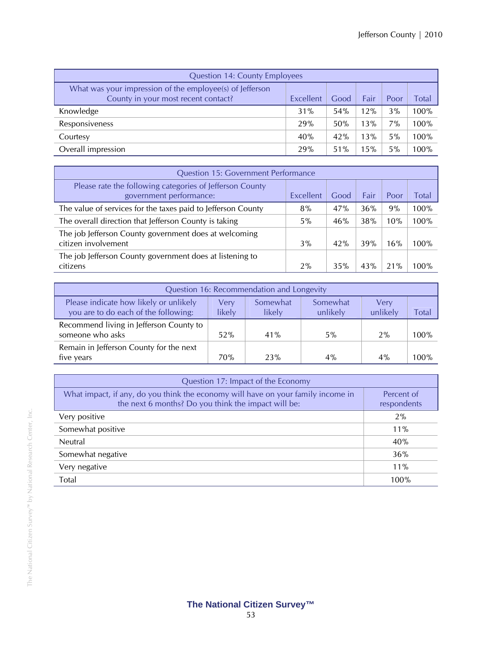| <b>Question 14: County Employees</b>                                                            |           |      |      |       |       |  |
|-------------------------------------------------------------------------------------------------|-----------|------|------|-------|-------|--|
| What was your impression of the employee(s) of Jefferson<br>County in your most recent contact? | Excellent | Good | Fair | Poor  | Total |  |
| Knowledge                                                                                       | 31%       | 54%  | 12%  | 3%    | 100%  |  |
| Responsiveness                                                                                  | 29%       | 50%  | 13%  | $7\%$ | 100%  |  |
| Courtesy                                                                                        | 40%       | 42%  | 13%  | 5%    | 100%  |  |
| Overall impression                                                                              | 29%       | 51%  | 15%  | 5%    | 100%  |  |

| <b>Question 15: Government Performance</b>                                          |           |      |      |      |       |
|-------------------------------------------------------------------------------------|-----------|------|------|------|-------|
| Please rate the following categories of Jefferson County<br>government performance: | Excellent | Good | Fair | Poor | Total |
| The value of services for the taxes paid to Jefferson County                        | 8%        | 47%  | 36%  | 9%   | 100%  |
| The overall direction that Jefferson County is taking                               | $5\%$     | 46%  | 38%  | 10%  | 100%  |
| The job Jefferson County government does at welcoming<br>citizen involvement        | $3\%$     | 42%  | 39%  | 16%  | 100%  |
| The job Jefferson County government does at listening to<br>citizens                | 2%        | 35%  | 43%  | 21%  | 100%  |

| Question 16: Recommendation and Longevity                                      |                |                    |                      |                  |       |
|--------------------------------------------------------------------------------|----------------|--------------------|----------------------|------------------|-------|
| Please indicate how likely or unlikely<br>you are to do each of the following: | Very<br>likely | Somewhat<br>likely | Somewhat<br>unlikely | Verv<br>unlikely | Total |
| Recommend living in Jefferson County to<br>someone who asks                    | 52%            | 41%                | 5%                   | 2%               | 100%  |
| Remain in Jefferson County for the next<br>five years                          | 70%            | 23%                | 4%                   | $4\%$            | 100%  |

| Question 17: Impact of the Economy                                                                                                      |                           |  |  |  |
|-----------------------------------------------------------------------------------------------------------------------------------------|---------------------------|--|--|--|
| What impact, if any, do you think the economy will have on your family income in<br>the next 6 months? Do you think the impact will be: | Percent of<br>respondents |  |  |  |
| Very positive                                                                                                                           | 2%                        |  |  |  |
| Somewhat positive                                                                                                                       | 11%                       |  |  |  |
| <b>Neutral</b>                                                                                                                          | 40%                       |  |  |  |
| Somewhat negative                                                                                                                       | 36%                       |  |  |  |
| Very negative                                                                                                                           | $11\%$                    |  |  |  |
| Total                                                                                                                                   | 100%                      |  |  |  |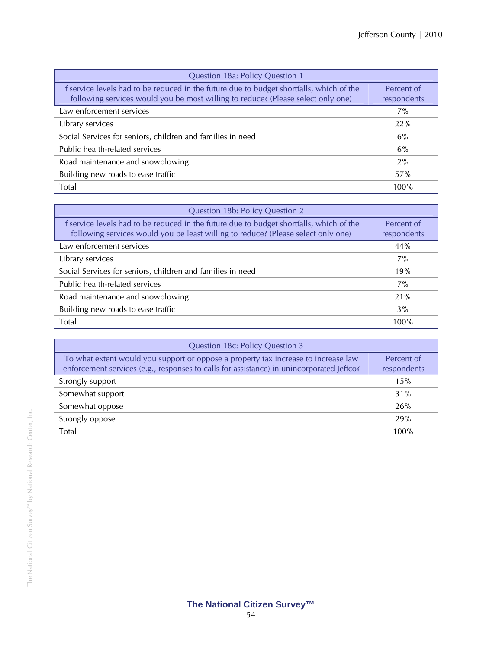| Question 18a: Policy Question 1                                                                                                                                              |                           |  |  |  |  |
|------------------------------------------------------------------------------------------------------------------------------------------------------------------------------|---------------------------|--|--|--|--|
| If service levels had to be reduced in the future due to budget shortfalls, which of the<br>following services would you be most willing to reduce? (Please select only one) | Percent of<br>respondents |  |  |  |  |
| Law enforcement services                                                                                                                                                     | $7\%$                     |  |  |  |  |
| Library services                                                                                                                                                             | 22%                       |  |  |  |  |
| Social Services for seniors, children and families in need                                                                                                                   | 6%                        |  |  |  |  |
| Public health-related services                                                                                                                                               | 6%                        |  |  |  |  |
| Road maintenance and snowplowing                                                                                                                                             | 2%                        |  |  |  |  |
| Building new roads to ease traffic                                                                                                                                           | 57%                       |  |  |  |  |
| Total                                                                                                                                                                        | 100%                      |  |  |  |  |

| Question 18b: Policy Question 2                                                                                                                                               |                           |  |  |  |
|-------------------------------------------------------------------------------------------------------------------------------------------------------------------------------|---------------------------|--|--|--|
| If service levels had to be reduced in the future due to budget shortfalls, which of the<br>following services would you be least willing to reduce? (Please select only one) | Percent of<br>respondents |  |  |  |
| Law enforcement services                                                                                                                                                      | 44%                       |  |  |  |
| Library services                                                                                                                                                              | $7\%$                     |  |  |  |
| Social Services for seniors, children and families in need                                                                                                                    | 19%                       |  |  |  |
| Public health-related services                                                                                                                                                | $7\%$                     |  |  |  |
| Road maintenance and snowplowing                                                                                                                                              | 21%                       |  |  |  |
| Building new roads to ease traffic                                                                                                                                            | 3%                        |  |  |  |
| Total                                                                                                                                                                         | 100%                      |  |  |  |

| Question 18c: Policy Question 3                                                                                                                                                |                           |
|--------------------------------------------------------------------------------------------------------------------------------------------------------------------------------|---------------------------|
| To what extent would you support or oppose a property tax increase to increase law<br>enforcement services (e.g., responses to calls for assistance) in unincorporated Jeffco? | Percent of<br>respondents |
| Strongly support                                                                                                                                                               | 15%                       |
| Somewhat support                                                                                                                                                               | 31%                       |
| Somewhat oppose                                                                                                                                                                | 26%                       |
| Strongly oppose                                                                                                                                                                | 29%                       |
| Total                                                                                                                                                                          | 100%                      |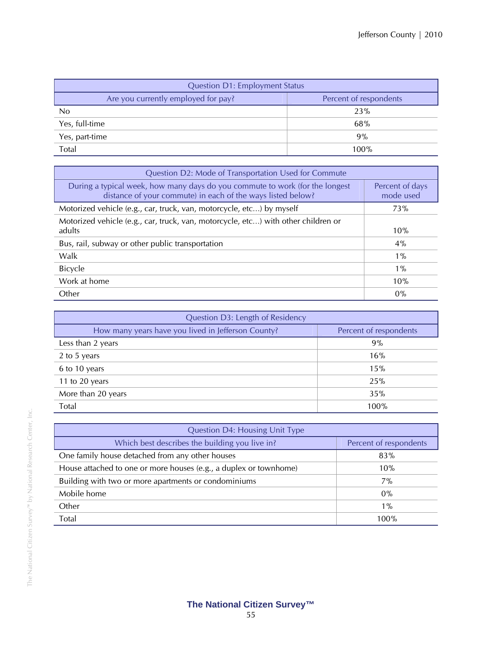| <b>Question D1: Employment Status</b> |                        |
|---------------------------------------|------------------------|
| Are you currently employed for pay?   | Percent of respondents |
| No                                    | 23%                    |
| Yes, full-time                        | 68%                    |
| Yes, part-time                        | 9%                     |
| Total                                 | 100%                   |

| Question D2: Mode of Transportation Used for Commute                                                                                        |                              |
|---------------------------------------------------------------------------------------------------------------------------------------------|------------------------------|
| During a typical week, how many days do you commute to work (for the longest<br>distance of your commute) in each of the ways listed below? | Percent of days<br>mode used |
| Motorized vehicle (e.g., car, truck, van, motorcycle, etc) by myself                                                                        | <b>73%</b>                   |
| Motorized vehicle (e.g., car, truck, van, motorcycle, etc) with other children or<br>adults                                                 | 10%                          |
| Bus, rail, subway or other public transportation                                                                                            | 4%                           |
| Walk                                                                                                                                        | $1\%$                        |
| <b>Bicycle</b>                                                                                                                              | $1\%$                        |
| Work at home                                                                                                                                | 10%                          |
| Other                                                                                                                                       | $0\%$                        |

| Question D3: Length of Residency                   |                        |
|----------------------------------------------------|------------------------|
| How many years have you lived in Jefferson County? | Percent of respondents |
| Less than 2 years                                  | 9%                     |
| 2 to 5 years                                       | 16%                    |
| 6 to 10 years                                      | 15%                    |
| 11 to 20 years                                     | 25%                    |
| More than 20 years                                 | 35%                    |
| Total                                              | 100%                   |

| <b>Question D4: Housing Unit Type</b>                             |                        |
|-------------------------------------------------------------------|------------------------|
| Which best describes the building you live in?                    | Percent of respondents |
| One family house detached from any other houses                   | 83%                    |
| House attached to one or more houses (e.g., a duplex or townhome) | 10%                    |
| Building with two or more apartments or condominiums              | $7\%$                  |
| Mobile home                                                       | 0%                     |
| Other                                                             | $1\%$                  |
| Total                                                             | 100%                   |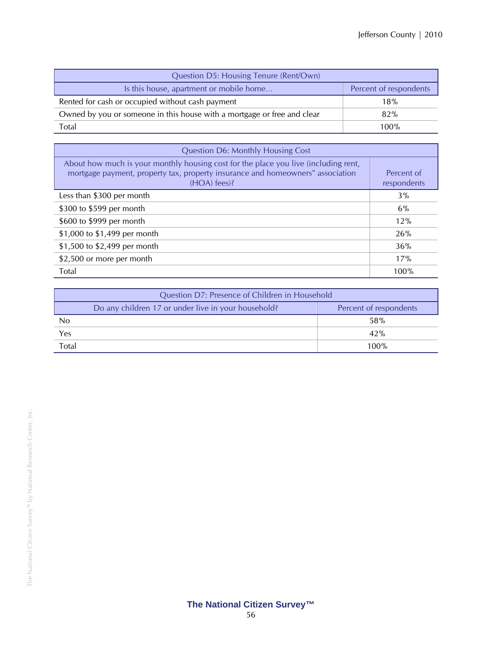| Question D5: Housing Tenure (Rent/Own)                                  |                        |
|-------------------------------------------------------------------------|------------------------|
| Is this house, apartment or mobile home                                 | Percent of respondents |
| Rented for cash or occupied without cash payment                        | 18%                    |
| Owned by you or someone in this house with a mortgage or free and clear | 82%                    |
| Total                                                                   | 100%                   |

| <b>Question D6: Monthly Housing Cost</b>                                                                                                                                              |                           |
|---------------------------------------------------------------------------------------------------------------------------------------------------------------------------------------|---------------------------|
| About how much is your monthly housing cost for the place you live (including rent,<br>mortgage payment, property tax, property insurance and homeowners" association<br>(HOA) fees)? | Percent of<br>respondents |
| Less than \$300 per month                                                                                                                                                             | 3%                        |
| \$300 to \$599 per month                                                                                                                                                              | 6%                        |
| \$600 to \$999 per month                                                                                                                                                              | 12%                       |
| \$1,000 to \$1,499 per month                                                                                                                                                          | 26%                       |
| \$1,500 to \$2,499 per month                                                                                                                                                          | 36%                       |
| \$2,500 or more per month                                                                                                                                                             | 17%                       |
| Total                                                                                                                                                                                 | 100%                      |

| Question D7: Presence of Children in Household |                                                     |                        |
|------------------------------------------------|-----------------------------------------------------|------------------------|
|                                                | Do any children 17 or under live in your household? | Percent of respondents |
| No                                             |                                                     | 58%                    |
| Yes                                            |                                                     | 42%                    |
| Total                                          |                                                     | 100%                   |

# **The National Citizen Survey™**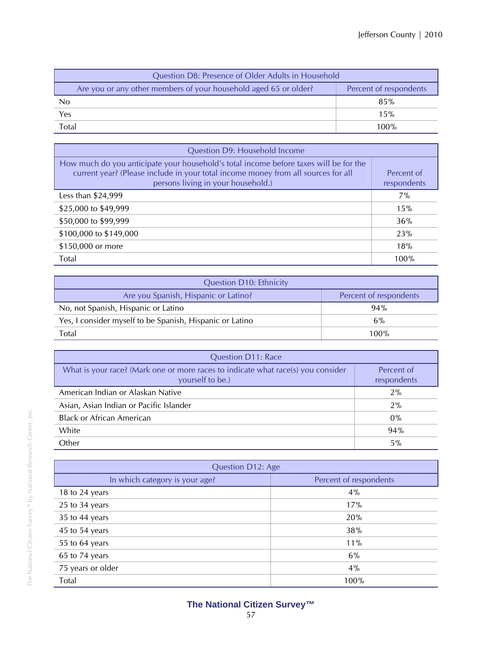| Question D8: Presence of Older Adults in Household               |                        |
|------------------------------------------------------------------|------------------------|
| Are you or any other members of your household aged 65 or older? | Percent of respondents |
| N <sub>0</sub>                                                   | 85%                    |
| Yes                                                              | 15%                    |
| Total                                                            | $100\%$                |

| Question D9: Household Income                                                                                                                                                                                    |                           |
|------------------------------------------------------------------------------------------------------------------------------------------------------------------------------------------------------------------|---------------------------|
| How much do you anticipate your household's total income before taxes will be for the<br>current year? (Please include in your total income money from all sources for all<br>persons living in your household.) | Percent of<br>respondents |
| Less than \$24,999                                                                                                                                                                                               | 7%                        |
| \$25,000 to \$49,999                                                                                                                                                                                             | 15%                       |
| \$50,000 to \$99,999                                                                                                                                                                                             | 36%                       |
| \$100,000 to \$149,000                                                                                                                                                                                           | 23%                       |
| \$150,000 or more                                                                                                                                                                                                | 18%                       |
| Total                                                                                                                                                                                                            | 100%                      |

| <b>Question D10: Ethnicity</b>                           |                        |
|----------------------------------------------------------|------------------------|
| Are you Spanish, Hispanic or Latino?                     | Percent of respondents |
| No, not Spanish, Hispanic or Latino                      | 94%                    |
| Yes, I consider myself to be Spanish, Hispanic or Latino | 6%                     |
| Total                                                    | 100%                   |

| <b>Question D11: Race</b>                                                                            |                           |  |
|------------------------------------------------------------------------------------------------------|---------------------------|--|
| What is your race? (Mark one or more races to indicate what race(s) you consider<br>yourself to be.) | Percent of<br>respondents |  |
| American Indian or Alaskan Native                                                                    | 2%                        |  |
| Asian, Asian Indian or Pacific Islander                                                              | 2%                        |  |
| <b>Black or African American</b>                                                                     | $0\%$                     |  |
| White                                                                                                | 94%                       |  |
| Other                                                                                                | 5%                        |  |

| Question D12: Age              |                        |
|--------------------------------|------------------------|
| In which category is your age? | Percent of respondents |
| 18 to 24 years                 | 4%                     |
| 25 to 34 years                 | 17%                    |
| 35 to 44 years                 | 20%                    |
| 45 to 54 years                 | 38%                    |
| 55 to 64 years                 | 11%                    |
| 65 to 74 years                 | 6%                     |
| 75 years or older              | 4%                     |
| Total                          | 100%                   |

The National Citizen Survey™ by National Research Center, Inc.

The National Citizen Survey<sup>m</sup> by National Research Center, Inc.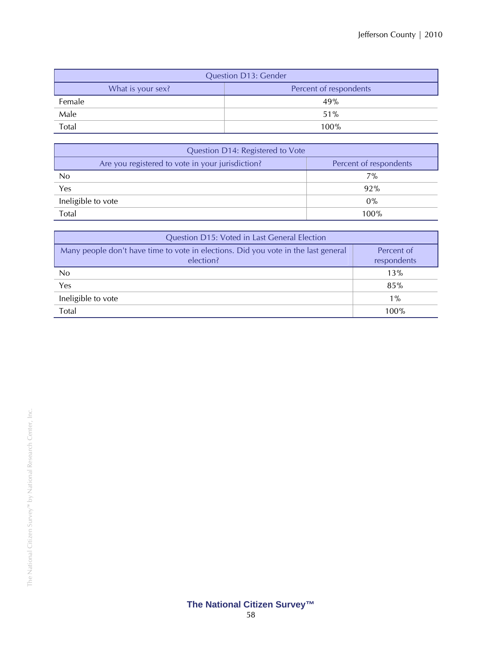| <b>Question D13: Gender</b> |                        |  |  |  |  |  |  |  |
|-----------------------------|------------------------|--|--|--|--|--|--|--|
| What is your sex?           | Percent of respondents |  |  |  |  |  |  |  |
| Female                      | 49%                    |  |  |  |  |  |  |  |
| Male                        | 51%                    |  |  |  |  |  |  |  |
| Total                       | 100%                   |  |  |  |  |  |  |  |

| Question D14: Registered to Vote                 |                        |  |  |  |  |  |  |  |
|--------------------------------------------------|------------------------|--|--|--|--|--|--|--|
| Are you registered to vote in your jurisdiction? | Percent of respondents |  |  |  |  |  |  |  |
| N <sub>0</sub>                                   | $7\%$                  |  |  |  |  |  |  |  |
| Yes                                              | 92%                    |  |  |  |  |  |  |  |
| Ineligible to vote                               | $0\%$                  |  |  |  |  |  |  |  |
| <b>Total</b>                                     | 100%                   |  |  |  |  |  |  |  |

| Question D15: Voted in Last General Election                                                    |                           |
|-------------------------------------------------------------------------------------------------|---------------------------|
| Many people don't have time to vote in elections. Did you vote in the last general<br>election? | Percent of<br>respondents |
| No.                                                                                             | 13%                       |
| Yes                                                                                             | 85%                       |
| Ineligible to vote                                                                              | $1\%$                     |
| Total                                                                                           | 100%                      |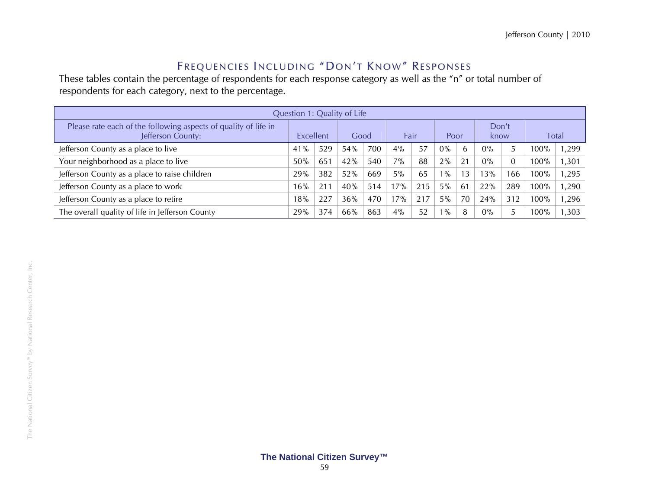### Frequencies Including "Don't Know" Responses

These tables contain the percentage of respondents for each response category as well as the "n" or total number of respondents for each category, next to the percentage.

| Question 1: Quality of Life                                                          |     |                   |     |      |       |      |       |               |       |                |         |       |
|--------------------------------------------------------------------------------------|-----|-------------------|-----|------|-------|------|-------|---------------|-------|----------------|---------|-------|
| Please rate each of the following aspects of quality of life in<br>Jefferson County: |     | Excellent<br>Good |     | Fair |       | Poor |       | Don't<br>know |       | <b>Total</b>   |         |       |
| Jefferson County as a place to live                                                  | 41% | 529               | 54% | 700  | $4\%$ | 57   | $0\%$ | h             | $0\%$ |                | 100%    | 1,299 |
| Your neighborhood as a place to live                                                 | 50% | 651               | 42% | 540  | 7%    | 88   | 2%    | 21            | $0\%$ | $\overline{0}$ | 100%    | , 301 |
| Jefferson County as a place to raise children                                        | 29% | 382               | 52% | 669  | 5%    | 65   | $1\%$ | 13            | 13%   | 166            | 100%    | 1,295 |
| Jefferson County as a place to work                                                  | 16% | $21^{\circ}$      | 40% | 514  | 17%   | 215  | 5%    | 61            | 22%   | 289            | 100%    | 1,290 |
| Jefferson County as a place to retire                                                | 18% | 227               | 36% | 470  | 17%   | 217  | 5%    | 70            | 24%   | 312            | 100%    | 1,296 |
| The overall quality of life in Jefferson County                                      | 29% | 374               | 66% | 863  | 4%    | 52   | $1\%$ | 8             | $0\%$ | 5              | $100\%$ | ,303  |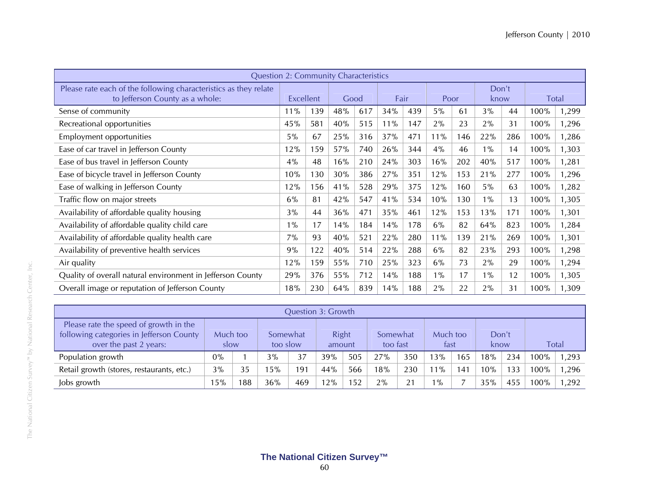| <b>Question 2: Community Characteristics</b>                                                        |       |           |     |      |      |     |       |     |               |     |      |              |
|-----------------------------------------------------------------------------------------------------|-------|-----------|-----|------|------|-----|-------|-----|---------------|-----|------|--------------|
| Please rate each of the following characteristics as they relate<br>to Jefferson County as a whole: |       | Excellent |     | Good | Fair |     | Poor  |     | Don't<br>know |     |      | <b>Total</b> |
| Sense of community                                                                                  | 11%   | 139       | 48% | 617  | 34%  | 439 | 5%    | 61  | 3%            | 44  | 100% | 1,299        |
| Recreational opportunities                                                                          | 45%   | 581       | 40% | 515  | 11%  | 147 | 2%    | 23  | 2%            | 31  | 100% | 1,296        |
| Employment opportunities                                                                            | 5%    | 67        | 25% | 316  | 37%  | 471 | 11%   | 146 | 22%           | 286 | 100% | 1,286        |
| Ease of car travel in Jefferson County                                                              | 12%   | 159       | 57% | 740  | 26%  | 344 | 4%    | 46  | $1\%$         | 14  | 100% | 1,303        |
| Ease of bus travel in Jefferson County                                                              | 4%    | 48        | 16% | 210  | 24%  | 303 | 16%   | 202 | 40%           | 517 | 100% | 1,281        |
| Ease of bicycle travel in Jefferson County                                                          | 10%   | 130       | 30% | 386  | 27%  | 351 | 12%   | 153 | 21%           | 277 | 100% | 1,296        |
| Ease of walking in Jefferson County                                                                 | 12%   | 156       | 41% | 528  | 29%  | 375 | 12%   | 160 | 5%            | 63  | 100% | 1,282        |
| Traffic flow on major streets                                                                       | 6%    | 81        | 42% | 547  | 41%  | 534 | 10%   | 130 | $1\%$         | 13  | 100% | 1,305        |
| Availability of affordable quality housing                                                          | 3%    | 44        | 36% | 471  | 35%  | 461 | 12%   | 153 | 13%           | 171 | 100% | 1,301        |
| Availability of affordable quality child care                                                       | $1\%$ | 17        | 14% | 184  | 14%  | 178 | 6%    | 82  | 64%           | 823 | 100% | 1,284        |
| Availability of affordable quality health care                                                      | 7%    | 93        | 40% | 521  | 22%  | 280 | 11%   | 139 | 21%           | 269 | 100% | 1,301        |
| Availability of preventive health services                                                          | 9%    | 122       | 40% | 514  | 22%  | 288 | 6%    | 82  | 23%           | 293 | 100% | 1,298        |
| Air quality                                                                                         | 12%   | 159       | 55% | 710  | 25%  | 323 | 6%    | 73  | 2%            | 29  | 100% | 1,294        |
| Quality of overall natural environment in Jefferson County                                          | 29%   | 376       | 55% | 712  | 14%  | 188 | $1\%$ | 17  | $1\%$         | 12  | 100% | 1,305        |
| Overall image or reputation of Jefferson County                                                     | 18%   | 230       | 64% | 839  | 14%  | 188 | 2%    | 22  | 2%            | 31  | 100% | 1,309        |

| <b>Question 3: Growth</b>                                                                                    |                  |     |                      |     |                 |     |                      |     |                  |                           |               |     |       |       |
|--------------------------------------------------------------------------------------------------------------|------------------|-----|----------------------|-----|-----------------|-----|----------------------|-----|------------------|---------------------------|---------------|-----|-------|-------|
| Please rate the speed of growth in the<br>following categories in Jefferson County<br>over the past 2 years: | Much too<br>slow |     | Somewhat<br>too slow |     | Right<br>amount |     | Somewhat<br>too fast |     | Much too<br>fast |                           | Don't<br>know |     | Total |       |
| Population growth                                                                                            | $0\%$            |     | 3%                   | 37  | 39%             | 505 | 27%                  | 350 | 3%               | 165                       | 18%           | 234 | 100%  | 1,293 |
| Retail growth (stores, restaurants, etc.)                                                                    | 3%               | 35  | 5%                   | 191 | 44%             | 566 | 18%                  | 230 | $1\%$            | $\mathbf{A}^{\mathsf{c}}$ | 10%           | 133 | 100%  | 1,296 |
| Jobs growth                                                                                                  | 15%              | 188 | 36%                  | 469 | 12%             | 152 | 2%                   | 21  | $1\%$            |                           | 35%           | 455 | 100%  | 1,292 |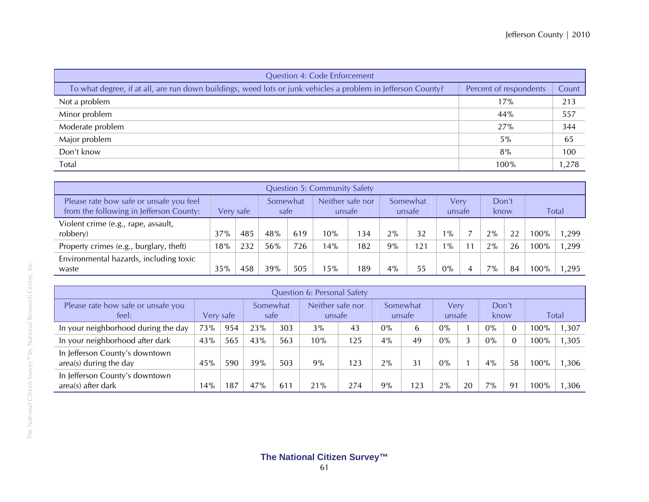| <b>Question 4: Code Enforcement</b>                                                                          |                        |       |  |  |  |  |  |  |  |
|--------------------------------------------------------------------------------------------------------------|------------------------|-------|--|--|--|--|--|--|--|
| To what degree, if at all, are run down buildings, weed lots or junk vehicles a problem in Jefferson County? | Percent of respondents | Count |  |  |  |  |  |  |  |
| Not a problem                                                                                                | 17%                    | 213   |  |  |  |  |  |  |  |
| Minor problem                                                                                                | 44%                    | 557   |  |  |  |  |  |  |  |
| Moderate problem                                                                                             | 27%                    | 344   |  |  |  |  |  |  |  |
| Major problem                                                                                                | 5%                     | 65    |  |  |  |  |  |  |  |
| Don't know                                                                                                   | 8%                     | 100   |  |  |  |  |  |  |  |
| Total                                                                                                        | 100%                   | 1,278 |  |  |  |  |  |  |  |

| <b>Question 5: Community Safety</b>                                                |           |     |                  |     |                            |     |                    |     |                |    |               |    |         |              |
|------------------------------------------------------------------------------------|-----------|-----|------------------|-----|----------------------------|-----|--------------------|-----|----------------|----|---------------|----|---------|--------------|
| Please rate how safe or unsafe you feel<br>from the following in Jefferson County: | Very safe |     | Somewhat<br>safe |     | Neither safe nor<br>unsafe |     | Somewhat<br>unsafe |     | Verv<br>unsafe |    | Don't<br>know |    |         | <b>Total</b> |
| Violent crime (e.g., rape, assault,<br>robbery)                                    | 37%       | 485 | 48%              | 619 | 10%                        | 134 | 2%                 | 32  | $1\%$          |    | 2%            | 22 | 100%    | 1,299        |
| Property crimes (e.g., burglary, theft)                                            | 18%       | 232 | 56%              | 726 | 14%                        | 182 | 9%                 | 121 | $1\%$          | 11 | 2%            | 26 | $100\%$ | 1,299        |
| Environmental hazards, including toxic<br>waste                                    | 35%       | 458 | 39%              | 505 | 15%                        | 189 | 4%                 | 55  | $0\%$          |    | 7%            | 84 | $100\%$ | 1.295        |

| <b>Question 6: Personal Safety</b>                       |           |     |                  |     |                            |     |                    |    |                |    |               |          |              |       |
|----------------------------------------------------------|-----------|-----|------------------|-----|----------------------------|-----|--------------------|----|----------------|----|---------------|----------|--------------|-------|
| Please rate how safe or unsafe you<br>feel:              | Very safe |     | Somewhat<br>safe |     | Neither safe nor<br>unsafe |     | Somewhat<br>unsafe |    | Verv<br>unsafe |    | Don't<br>know |          | <b>Total</b> |       |
| In your neighborhood during the day                      | 73%       | 954 | 23%              | 303 | 3%                         | 43  | $0\%$              |    | $0\%$          |    | $0\%$         |          | 100%         | 1,307 |
| In your neighborhood after dark                          | 43%       | 565 | 43%              | 563 | 10%                        | 125 | 4%                 | 49 | $0\%$          | 3  | $0\%$         | $\Omega$ | 100%         | 1,305 |
| In Jefferson County's downtown<br>area(s) during the day | 45%       | 590 | 39%              | 503 | 9%                         | 123 | 2%                 | 31 | $0\%$          |    | $4\%$         | 58       | 100%         | 1,306 |
| In Jefferson County's downtown<br>area(s) after dark     | 14%       | 187 | 47%              | 611 | 21%                        | 274 | 9%                 | 23 | 2%             | 20 | $7\%$         | 91       | $100\%$      | 1,306 |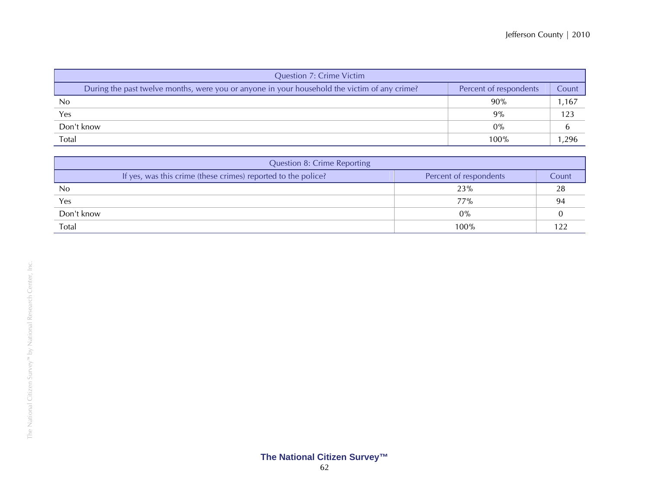| <b>Question 7: Crime Victim</b>                                                              |                        |       |
|----------------------------------------------------------------------------------------------|------------------------|-------|
| During the past twelve months, were you or anyone in your household the victim of any crime? | Percent of respondents | Count |
| N <sub>0</sub>                                                                               | 90%                    | 1,167 |
| Yes                                                                                          | 9%                     | 123   |
| Don't know                                                                                   | $0\%$                  |       |
| Total                                                                                        | 100%                   | 1.296 |

| <b>Question 8: Crime Reporting</b>                            |                        |       |  |  |  |  |  |  |  |
|---------------------------------------------------------------|------------------------|-------|--|--|--|--|--|--|--|
| If yes, was this crime (these crimes) reported to the police? | Percent of respondents | Count |  |  |  |  |  |  |  |
| N <sub>0</sub>                                                | 23%                    | 28    |  |  |  |  |  |  |  |
| Yes                                                           | 77%                    | 94    |  |  |  |  |  |  |  |
| Don't know                                                    | $0\%$                  |       |  |  |  |  |  |  |  |
| Total                                                         | $100\%$                |       |  |  |  |  |  |  |  |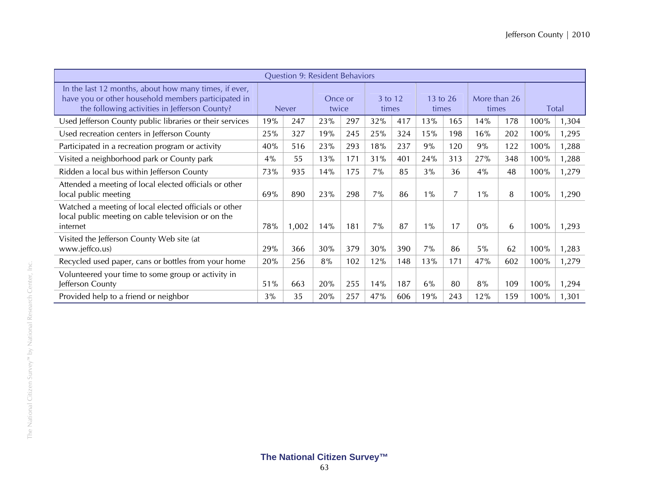|                                                                                                                                                               |              | Question 9: Resident Behaviors |                  |     |                  |     |                   |     |                       |     |       |       |
|---------------------------------------------------------------------------------------------------------------------------------------------------------------|--------------|--------------------------------|------------------|-----|------------------|-----|-------------------|-----|-----------------------|-----|-------|-------|
| In the last 12 months, about how many times, if ever,<br>have you or other household members participated in<br>the following activities in Jefferson County? | <b>Never</b> |                                | Once or<br>twice |     | 3 to 12<br>times |     | 13 to 26<br>times |     | More than 26<br>times |     | Total |       |
| Used Jefferson County public libraries or their services                                                                                                      | 19%          | 247                            | 23%              | 297 | 32%              | 417 | 13%               | 165 | 14%                   | 178 | 100%  | 1,304 |
| Used recreation centers in Jefferson County                                                                                                                   | 25%          | 327                            | 19%              | 245 | 25%              | 324 | 15%               | 198 | 16%                   | 202 | 100%  | 1,295 |
| Participated in a recreation program or activity                                                                                                              | 40%          | 516                            | 23%              | 293 | 18%              | 237 | 9%                | 120 | 9%                    | 122 | 100%  | 1,288 |
| Visited a neighborhood park or County park                                                                                                                    | 4%           | 55                             | 13%              | 171 | 31%              | 401 | 24%               | 313 | 27%                   | 348 | 100%  | 1,288 |
| Ridden a local bus within Jefferson County                                                                                                                    | 73%          | 935                            | 14%              | 175 | $7\%$            | 85  | 3%                | 36  | 4%                    | 48  | 100%  | 1,279 |
| Attended a meeting of local elected officials or other<br>local public meeting                                                                                | 69%          | 890                            | 23%              | 298 | $7\%$            | 86  | $1\%$             | 7   | $1\%$                 | 8   | 100%  | 1,290 |
| Watched a meeting of local elected officials or other<br>local public meeting on cable television or on the<br>internet                                       | 78%          | 1,002                          | 14%              | 181 | $7\%$            | 87  | $1\%$             | 17  | $0\%$                 | 6   | 100%  | 1,293 |
| Visited the Jefferson County Web site (at<br>www.jeffco.us)                                                                                                   | 29%          | 366                            | 30%              | 379 | 30%              | 390 | 7%                | 86  | 5%                    | 62  | 100%  | 1,283 |
| Recycled used paper, cans or bottles from your home                                                                                                           | 20%          | 256                            | 8%               | 102 | 12%              | 148 | 13%               | 171 | 47%                   | 602 | 100%  | 1,279 |
| Volunteered your time to some group or activity in<br>Jefferson County                                                                                        | 51%          | 663                            | 20%              | 255 | 14%              | 187 | 6%                | 80  | 8%                    | 109 | 100%  | 1,294 |
| Provided help to a friend or neighbor                                                                                                                         | 3%           | 35                             | 20%              | 257 | 47%              | 606 | 19%               | 243 | 12%                   | 159 | 100%  | 1,301 |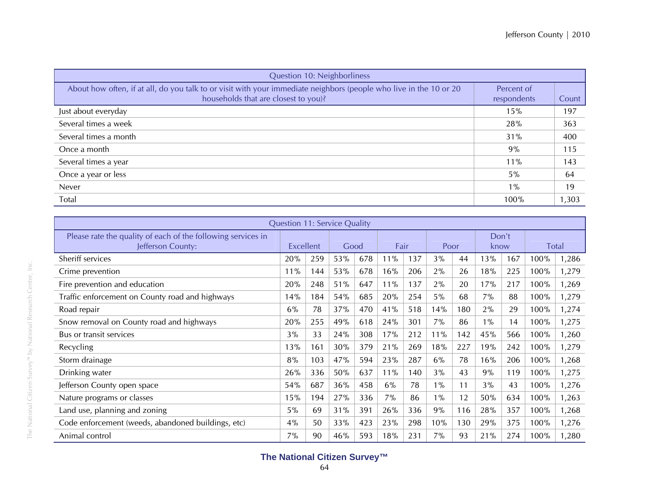| Question 10: Neighborliness                                                                                                                                |                           |       |
|------------------------------------------------------------------------------------------------------------------------------------------------------------|---------------------------|-------|
| About how often, if at all, do you talk to or visit with your immediate neighbors (people who live in the 10 or 20<br>households that are closest to you)? | Percent of<br>respondents | Count |
| Just about everyday                                                                                                                                        | 15%                       | 197   |
| Several times a week                                                                                                                                       | 28%                       | 363   |
| Several times a month                                                                                                                                      | 31%                       | 400   |
| Once a month                                                                                                                                               | 9%                        | 115   |
| Several times a year                                                                                                                                       | 11%                       | 143   |
| Once a year or less                                                                                                                                        | $5\%$                     | 64    |
| Never                                                                                                                                                      | $1\%$                     | 19    |
| Total                                                                                                                                                      | 100%                      | 1,303 |

|                                                              | <b>Question 11: Service Quality</b> |                  |     |      |     |      |       |      |       |     |              |       |
|--------------------------------------------------------------|-------------------------------------|------------------|-----|------|-----|------|-------|------|-------|-----|--------------|-------|
| Please rate the quality of each of the following services in |                                     |                  |     |      |     |      |       |      | Don't |     |              |       |
| Jefferson County:                                            |                                     | <b>Excellent</b> |     | Good |     | Fair |       | Poor | know  |     | <b>Total</b> |       |
| Sheriff services                                             | 20%                                 | 259              | 53% | 678  | 11% | 137  | 3%    | 44   | 13%   | 167 | 100%         | 1,286 |
| Crime prevention                                             | 11%                                 | 144              | 53% | 678  | 16% | 206  | 2%    | 26   | 18%   | 225 | 100%         | 1,279 |
| Fire prevention and education                                | 20%                                 | 248              | 51% | 647  | 11% | 137  | $2\%$ | 20   | 17%   | 217 | 100%         | 1,269 |
| Traffic enforcement on County road and highways              | 14%                                 | 184              | 54% | 685  | 20% | 254  | 5%    | 68   | 7%    | 88  | 100%         | 1,279 |
| Road repair                                                  | 6%                                  | 78               | 37% | 470  | 41% | 518  | 14%   | 180  | 2%    | 29  | 100%         | 1,274 |
| Snow removal on County road and highways                     | 20%                                 | 255              | 49% | 618  | 24% | 301  | 7%    | 86   | $1\%$ | 14  | 100%         | 1,275 |
| Bus or transit services                                      | 3%                                  | 33               | 24% | 308  | 17% | 212  | 11%   | 142  | 45%   | 566 | 100%         | 1,260 |
| Recycling                                                    | 13%                                 | 161              | 30% | 379  | 21% | 269  | 18%   | 227  | 19%   | 242 | 100%         | 1,279 |
| Storm drainage                                               | 8%                                  | 103              | 47% | 594  | 23% | 287  | 6%    | 78   | 16%   | 206 | 100%         | 1,268 |
| Drinking water                                               | 26%                                 | 336              | 50% | 637  | 11% | 140  | 3%    | 43   | 9%    | 119 | 100%         | 1,275 |
| Jefferson County open space                                  | 54%                                 | 687              | 36% | 458  | 6%  | 78   | $1\%$ | 11   | 3%    | 43  | 100%         | 1,276 |
| Nature programs or classes                                   | 15%                                 | 194              | 27% | 336  | 7%  | 86   | $1\%$ | 12   | 50%   | 634 | 100%         | 1,263 |
| Land use, planning and zoning                                | 5%                                  | 69               | 31% | 391  | 26% | 336  | 9%    | 116  | 28%   | 357 | 100%         | 1,268 |
| Code enforcement (weeds, abandoned buildings, etc)           | 4%                                  | 50               | 33% | 423  | 23% | 298  | 10%   | 130  | 29%   | 375 | 100%         | 1,276 |
| Animal control                                               | 7%                                  | 90               | 46% | 593  | 18% | 231  | 7%    | 93   | 21%   | 274 | 100%         | 1,280 |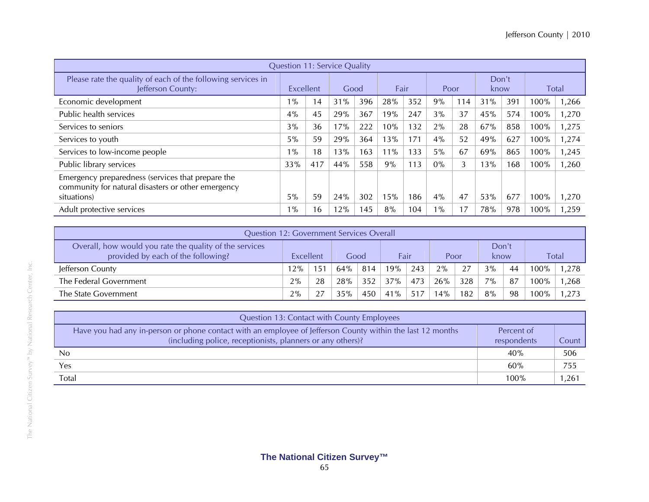|                                                                                                         |           |     | <b>Question 11: Service Quality</b> |     |        |     |       |     |       |     |              |       |
|---------------------------------------------------------------------------------------------------------|-----------|-----|-------------------------------------|-----|--------|-----|-------|-----|-------|-----|--------------|-------|
| Please rate the quality of each of the following services in                                            |           |     |                                     |     |        |     |       |     | Don't |     |              |       |
| Jefferson County:                                                                                       | Excellent |     | Good                                |     | Fair   |     | Poor  |     | know  |     | <b>Total</b> |       |
| Economic development                                                                                    | $1\%$     | 14  | 31%                                 | 396 | 28%    | 352 | 9%    | 114 | 31%   | 391 | 100%         | 1,266 |
| Public health services                                                                                  | 4%        | 45  | 29%                                 | 367 | 19%    | 247 | 3%    | 37  | 45%   | 574 | 100%         | 1,270 |
| Services to seniors                                                                                     | 3%        | 36  | 17%                                 | 222 | $0\%$  | 132 | 2%    | 28  | 67%   | 858 | 100%         | 1,275 |
| Services to youth                                                                                       | 5%        | 59  | 29%                                 | 364 | 13%    | 171 | 4%    | 52  | 49%   | 627 | 100%         | 1,274 |
| Services to low-income people                                                                           | $1\%$     | 18  | 13%                                 | 163 | $11\%$ | 133 | 5%    | 67  | 69%   | 865 | 100%         | 1,245 |
| Public library services                                                                                 | 33%       | 417 | 44%                                 | 558 | 9%     | 113 | $0\%$ | 3   | 13%   | 168 | 100%         | 1,260 |
| Emergency preparedness (services that prepare the<br>community for natural disasters or other emergency |           |     |                                     |     |        |     |       |     |       |     |              |       |
| situations)                                                                                             | 5%        | 59  | 24%                                 | 302 | 15%    | 186 | 4%    | 47  | 53%   | 677 | 100%         | 1,270 |
| Adult protective services                                                                               | $1\%$     | 16  | 12%                                 | 145 | 8%     | 104 | $1\%$ | 17  | 78%   | 978 | 100%         | 1,259 |

| Question 12: Government Services Overall                                                      |           |              |        |     |      |     |      |     |               |    |         |       |
|-----------------------------------------------------------------------------------------------|-----------|--------------|--------|-----|------|-----|------|-----|---------------|----|---------|-------|
| Overall, how would you rate the quality of the services<br>provided by each of the following? | Excellent |              | Good   |     | Fair |     | Poor |     | Don't<br>know |    |         | Total |
| Jefferson County                                                                              | 12%       | $15^{\circ}$ | $64\%$ | 814 | 19%  | 243 | 2%   | 27  | 3%            | 44 | $100\%$ | 1.278 |
| The Federal Government                                                                        | 2%        | 28           | 28%    | 352 | 37%  | 473 | 26%  | 328 | $7\%$         | 87 | $100\%$ | 1.268 |
| The State Government                                                                          | 2%        |              | 35%    | 450 | 41%  | 517 | 14%  | 182 | 8%            | 98 | 100%    | 1.273 |

| Question 13: Contact with County Employees                                                                                                                               |                           |       |
|--------------------------------------------------------------------------------------------------------------------------------------------------------------------------|---------------------------|-------|
| Have you had any in-person or phone contact with an employee of Jefferson County within the last 12 months<br>(including police, receptionists, planners or any others)? | Percent of<br>respondents | Count |
| No                                                                                                                                                                       | 40%                       | 506   |
| Yes                                                                                                                                                                      | 60%                       | 755   |
| Total                                                                                                                                                                    | $100\%$                   | 1,261 |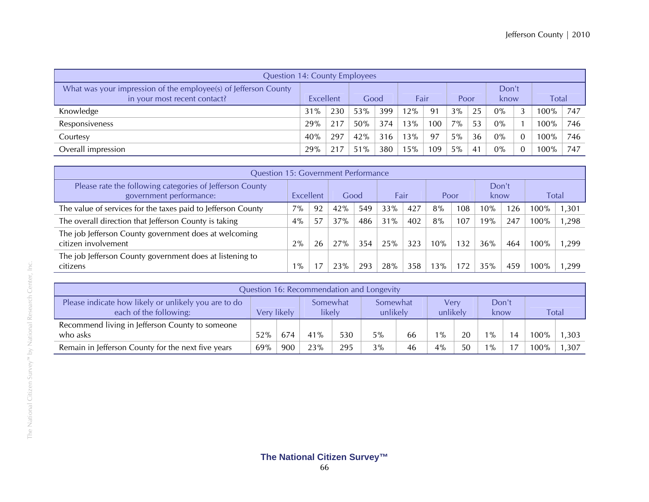| <b>Question 14: County Employees</b>                                                            |           |     |      |     |      |     |       |    |               |  |              |     |
|-------------------------------------------------------------------------------------------------|-----------|-----|------|-----|------|-----|-------|----|---------------|--|--------------|-----|
| What was your impression of the employee(s) of Jefferson County<br>in your most recent contact? | Excellent |     | Good |     | Fair |     | Poor  |    | Don't<br>know |  | <b>Total</b> |     |
| Knowledge                                                                                       | 31%       | 230 | 53%  | 399 | 12%  | 91  | 3%    | 25 | 0%            |  | $100\%$      | 747 |
| Responsiveness                                                                                  | 29%       | 217 | 50%  | 374 | 13%  | 100 | 7%    | 53 | 0%            |  | 100%         | 746 |
| Courtesy                                                                                        | 40%       | 297 | 42%  | 316 | 13%  | 97  | $5\%$ | 36 | 0%            |  | $100\%$      | 746 |
| Overall impression                                                                              | 29%       | 217 | 51%  | 380 | 15%  | 109 | $5\%$ | 41 | $0\%$         |  | 100%         | 747 |

|                                                                                     | <b>Question 15: Government Performance</b> |    |      |     |      |     |      |     |     |               |      |       |  |
|-------------------------------------------------------------------------------------|--------------------------------------------|----|------|-----|------|-----|------|-----|-----|---------------|------|-------|--|
| Please rate the following categories of Jefferson County<br>government performance: | Excellent                                  |    | Good |     | Fair |     | Poor |     |     | Don't<br>know |      | Total |  |
| The value of services for the taxes paid to Jefferson County                        | $7\%$                                      | 92 | 42%  | 549 | 33%  | 427 | 8%   | 108 | 10% | 126           | 100% | ,301  |  |
| The overall direction that Jefferson County is taking                               | $4\%$                                      | 57 | 37%  | 486 | 31%  | 402 | 8%   | 107 | 19% | 247           | 100% | ,298  |  |
| The job Jefferson County government does at welcoming<br>citizen involvement        | 2%                                         | 26 | 27%  | 354 | 25%  | 323 | 10%  | 132 | 36% | 464           | 100% | .299  |  |
| The job Jefferson County government does at listening to<br>citizens                | $1\%$                                      |    | 23%  | 293 | 28%  | 358 | 13%  |     | 35% | 459           | 100% | ,299  |  |

| Question 16: Recommendation and Longevity                                      |             |     |                    |     |                      |    |                  |    |               |  |              |       |
|--------------------------------------------------------------------------------|-------------|-----|--------------------|-----|----------------------|----|------------------|----|---------------|--|--------------|-------|
| Please indicate how likely or unlikely you are to do<br>each of the following: | Very likely |     | Somewhat<br>likely |     | Somewhat<br>unlikely |    | Verv<br>unlikely |    | Don't<br>know |  | <b>Total</b> |       |
| Recommend living in Jefferson County to someone<br>who asks                    | 52%         | 674 | 41%                | 530 | $5\%$                | 66 | $1\%$            | 20 | $1\%$         |  | 100%         | 1,303 |
| Remain in Jefferson County for the next five years                             | 69%         | 900 | 23%                | 295 | 3%                   | 46 | 4%               | 50 | $^{10}$       |  | 100%         | 1,307 |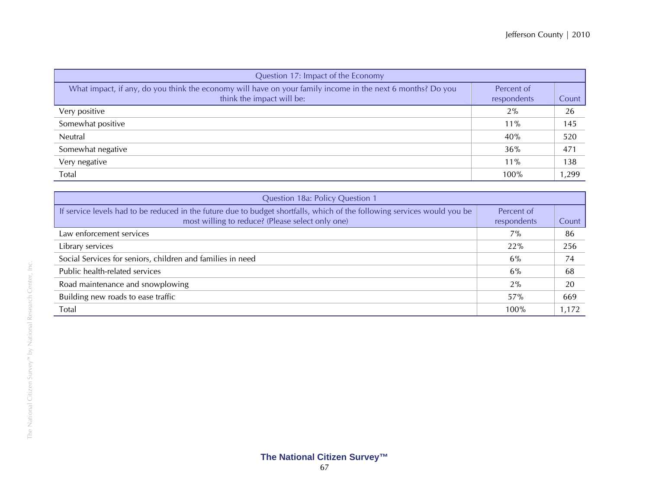| Question 17: Impact of the Economy                                                                                                      |                           |                 |
|-----------------------------------------------------------------------------------------------------------------------------------------|---------------------------|-----------------|
| What impact, if any, do you think the economy will have on your family income in the next 6 months? Do you<br>think the impact will be: | Percent of<br>respondents | Count           |
| Very positive                                                                                                                           | 2%                        | 26              |
| Somewhat positive                                                                                                                       | $11\%$                    | 145             |
| Neutral                                                                                                                                 | 40%                       | 520             |
| Somewhat negative                                                                                                                       | 36%                       | 47 <sup>°</sup> |
| Very negative                                                                                                                           | 11%                       | 138             |
| Total                                                                                                                                   | 100%                      | 1,299           |

| Question 18a: Policy Question 1                                                                                                                                              |                           |       |
|------------------------------------------------------------------------------------------------------------------------------------------------------------------------------|---------------------------|-------|
| If service levels had to be reduced in the future due to budget shortfalls, which of the following services would you be<br>most willing to reduce? (Please select only one) | Percent of<br>respondents | Count |
| Law enforcement services                                                                                                                                                     | $7\%$                     | 86    |
| Library services                                                                                                                                                             | 22%                       | 256   |
| Social Services for seniors, children and families in need                                                                                                                   | 6%                        | 74    |
| Public health-related services                                                                                                                                               | 6%                        | 68    |
| Road maintenance and snowplowing                                                                                                                                             | 2%                        | 20    |
| Building new roads to ease traffic                                                                                                                                           | 57%                       | 669   |
| Total                                                                                                                                                                        | 100%                      | 1,172 |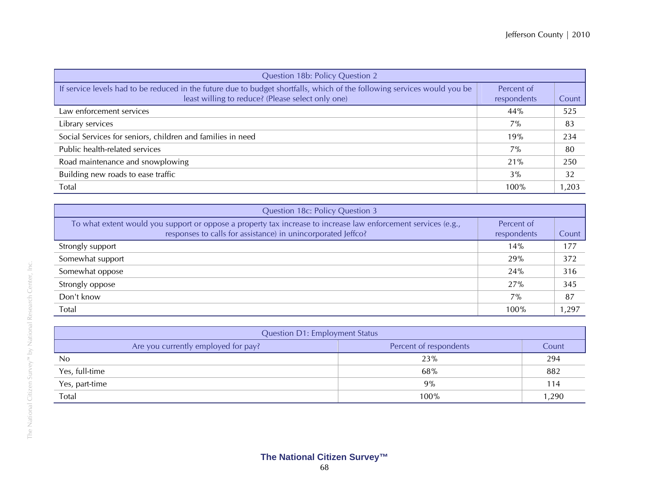| Question 18b: Policy Question 2                                                                                                                                               |                           |       |
|-------------------------------------------------------------------------------------------------------------------------------------------------------------------------------|---------------------------|-------|
| If service levels had to be reduced in the future due to budget shortfalls, which of the following services would you be<br>least willing to reduce? (Please select only one) | Percent of<br>respondents | Count |
| Law enforcement services                                                                                                                                                      | 44%                       | 525   |
| Library services                                                                                                                                                              | $7\%$                     | 83    |
| Social Services for seniors, children and families in need                                                                                                                    | 19%                       | 234   |
| Public health-related services                                                                                                                                                | $7\%$                     | 80    |
| Road maintenance and snowplowing                                                                                                                                              | 21%                       | 250   |
| Building new roads to ease traffic                                                                                                                                            | $3\%$                     | 32    |
| Total                                                                                                                                                                         | 100%                      | 1,203 |

| Question 18c: Policy Question 3                                                                                                                                                |                           |       |
|--------------------------------------------------------------------------------------------------------------------------------------------------------------------------------|---------------------------|-------|
| To what extent would you support or oppose a property tax increase to increase law enforcement services (e.g.,<br>responses to calls for assistance) in unincorporated Jeffco? | Percent of<br>respondents | Count |
| Strongly support                                                                                                                                                               | 14%                       | 177   |
| Somewhat support                                                                                                                                                               | 29%                       | 372   |
| Somewhat oppose                                                                                                                                                                | 24%                       | 316   |
| Strongly oppose                                                                                                                                                                | 27%                       | 345   |
| Don't know                                                                                                                                                                     | $7\%$                     | 87    |
| Total                                                                                                                                                                          | 100%                      | 1,297 |

| <b>Question D1: Employment Status</b> |                        |       |
|---------------------------------------|------------------------|-------|
| Are you currently employed for pay?   | Percent of respondents | Count |
| N <sub>0</sub>                        | 23%                    | 294   |
| Yes, full-time                        | 68%                    | 882   |
| Yes, part-time                        | $9\%$                  | 114   |
| Total                                 | 100%                   | 1,290 |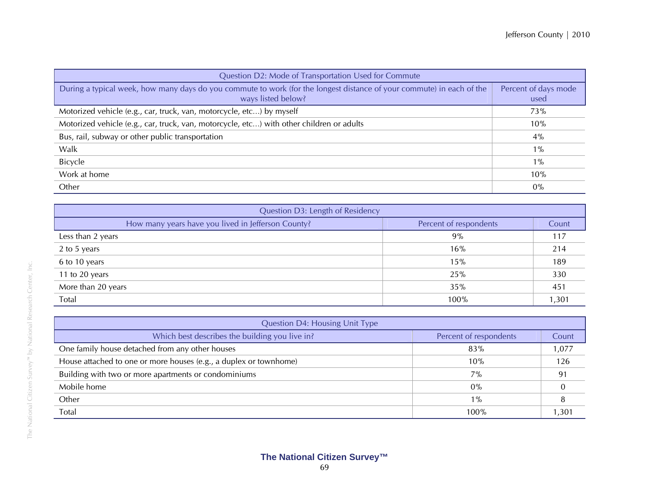| Question D2: Mode of Transportation Used for Commute                                                                                        |                              |  |
|---------------------------------------------------------------------------------------------------------------------------------------------|------------------------------|--|
| During a typical week, how many days do you commute to work (for the longest distance of your commute) in each of the<br>ways listed below? | Percent of days mode<br>used |  |
| Motorized vehicle (e.g., car, truck, van, motorcycle, etc) by myself                                                                        | 73%                          |  |
| Motorized vehicle (e.g., car, truck, van, motorcycle, etc) with other children or adults                                                    | 10%                          |  |
| Bus, rail, subway or other public transportation                                                                                            | $4\%$                        |  |
| Walk                                                                                                                                        | $1\%$                        |  |
| Bicycle                                                                                                                                     | $1\%$                        |  |
| Work at home                                                                                                                                | 10%                          |  |
| Other                                                                                                                                       | $0\%$                        |  |

| Question D3: Length of Residency                   |                        |              |
|----------------------------------------------------|------------------------|--------------|
| How many years have you lived in Jefferson County? | Percent of respondents | <b>Count</b> |
| Less than 2 years                                  | 9%                     | 117          |
| 2 to 5 years                                       | 16%                    | 214          |
| 6 to 10 years                                      | 15%                    | 189          |
| 11 to 20 years                                     | 25%                    | 330          |
| More than 20 years                                 | 35%                    | 451          |
| Total                                              | 100%                   | 1,301        |

| <b>Question D4: Housing Unit Type</b>                             |                        |       |
|-------------------------------------------------------------------|------------------------|-------|
| Which best describes the building you live in?                    | Percent of respondents | Count |
| One family house detached from any other houses                   | 83%                    | 1,077 |
| House attached to one or more houses (e.g., a duplex or townhome) | 10%                    | 126   |
| Building with two or more apartments or condominiums              | $7\%$                  | 91    |
| Mobile home                                                       | $0\%$                  |       |
| Other                                                             | $1\%$                  |       |
| Total                                                             | 100%                   | .301  |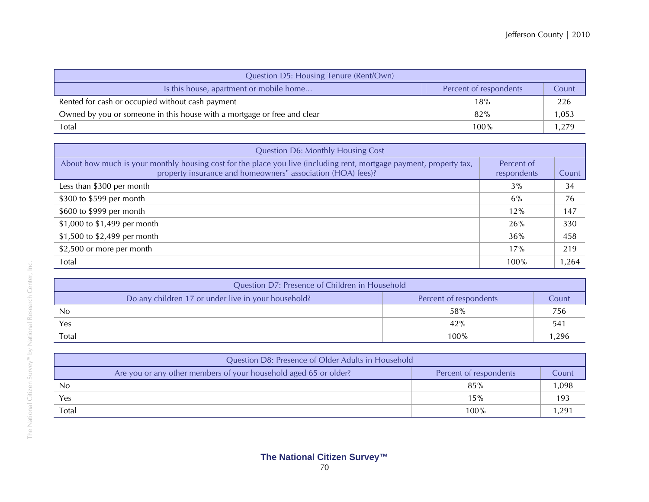| Question D5: Housing Tenure (Rent/Own)                                  |                        |       |
|-------------------------------------------------------------------------|------------------------|-------|
| Is this house, apartment or mobile home                                 | Percent of respondents | Count |
| Rented for cash or occupied without cash payment                        | 18%                    | 226   |
| Owned by you or someone in this house with a mortgage or free and clear | 82%                    | .053  |
| Total                                                                   | 100%                   | ,279  |

| <b>Question D6: Monthly Housing Cost</b>                                                                                                                                           |                           |       |
|------------------------------------------------------------------------------------------------------------------------------------------------------------------------------------|---------------------------|-------|
| About how much is your monthly housing cost for the place you live (including rent, mortgage payment, property tax,<br>property insurance and homeowners" association (HOA) fees)? | Percent of<br>respondents | Count |
| Less than \$300 per month                                                                                                                                                          | 3%                        | 34    |
| \$300 to \$599 per month                                                                                                                                                           | 6%                        | 76    |
| \$600 to \$999 per month                                                                                                                                                           | 12%                       | 147   |
| \$1,000 to \$1,499 per month                                                                                                                                                       | 26%                       | 330   |
| \$1,500 to \$2,499 per month                                                                                                                                                       | 36%                       | 458   |
| \$2,500 or more per month                                                                                                                                                          | 17%                       | 219   |
| Total                                                                                                                                                                              | 100%                      | 1,264 |

| Question D7: Presence of Children in Household      |                        |              |
|-----------------------------------------------------|------------------------|--------------|
| Do any children 17 or under live in your household? | Percent of respondents | Count        |
| No                                                  | 58%                    | 756          |
| Yes                                                 | 42%                    | $54^{\circ}$ |
| Total                                               | $100\%$                | .296         |

| Question D8: Presence of Older Adults in Household               |                        |       |
|------------------------------------------------------------------|------------------------|-------|
| Are you or any other members of your household aged 65 or older? | Percent of respondents | Count |
| No                                                               | 85%                    | ,098  |
| Yes                                                              | 15%                    | 193   |
| Total                                                            | 100%                   | 291,  |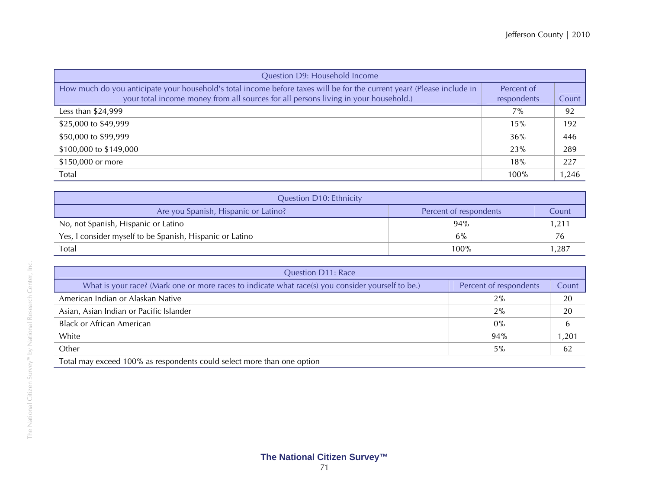| Question D9: Household Income                                                                                                                                                                                 |                           |       |  |  |
|---------------------------------------------------------------------------------------------------------------------------------------------------------------------------------------------------------------|---------------------------|-------|--|--|
| How much do you anticipate your household's total income before taxes will be for the current year? (Please include in<br>your total income money from all sources for all persons living in your household.) | Percent of<br>respondents | Count |  |  |
| Less than \$24,999                                                                                                                                                                                            | 7%                        | 92    |  |  |
| \$25,000 to \$49,999                                                                                                                                                                                          | 15%                       | 192   |  |  |
| \$50,000 to \$99,999                                                                                                                                                                                          | 36%                       | 446   |  |  |
| \$100,000 to \$149,000                                                                                                                                                                                        | 23%                       | 289   |  |  |
| \$150,000 or more                                                                                                                                                                                             | 18%                       | 227   |  |  |
| Total                                                                                                                                                                                                         | 100%                      | 1,246 |  |  |

| <b>Question D10: Ethnicity</b>                           |                        |               |  |  |
|----------------------------------------------------------|------------------------|---------------|--|--|
| Are you Spanish, Hispanic or Latino?                     | Percent of respondents | Count         |  |  |
| No, not Spanish, Hispanic or Latino                      | 94%                    | $.21^{\circ}$ |  |  |
| Yes, I consider myself to be Spanish, Hispanic or Latino | 6%                     |               |  |  |
| <b>Total</b>                                             | $100\%$                | ,287          |  |  |

| <b>Question D11: Race</b>                                                                                                                                                                                                     |                        |       |  |  |  |
|-------------------------------------------------------------------------------------------------------------------------------------------------------------------------------------------------------------------------------|------------------------|-------|--|--|--|
| What is your race? (Mark one or more races to indicate what race(s) you consider yourself to be.)                                                                                                                             | Percent of respondents | Count |  |  |  |
| American Indian or Alaskan Native                                                                                                                                                                                             | 2%                     | 20    |  |  |  |
| Asian, Asian Indian or Pacific Islander                                                                                                                                                                                       | 2%                     | 20    |  |  |  |
| <b>Black or African American</b>                                                                                                                                                                                              | $0\%$                  |       |  |  |  |
| White                                                                                                                                                                                                                         | 94%                    | 1,201 |  |  |  |
| Other                                                                                                                                                                                                                         | 5%                     | 62    |  |  |  |
| That classes are easily $4.000$ are associated and a set of a state of the state of the state of the state of the state of the state of the state of the state of the state of the state of the state of the state of the sta |                        |       |  |  |  |

Total may exceed 100% as respondents could select more than one option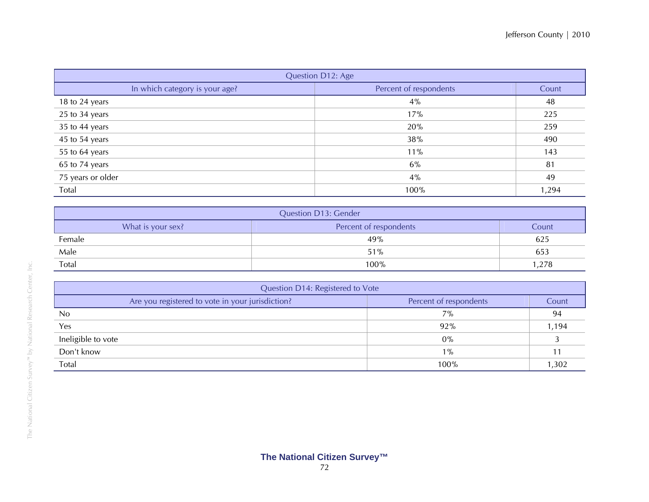| Question D12: Age              |                        |       |  |  |  |
|--------------------------------|------------------------|-------|--|--|--|
| In which category is your age? | Percent of respondents | Count |  |  |  |
| 18 to 24 years                 | 4%                     | 48    |  |  |  |
| 25 to 34 years                 | 17%                    | 225   |  |  |  |
| 35 to 44 years                 | 20%                    | 259   |  |  |  |
| 45 to 54 years                 | 38%                    | 490   |  |  |  |
| 55 to 64 years                 | 11%                    | 143   |  |  |  |
| 65 to 74 years                 | 6%                     | 81    |  |  |  |
| 75 years or older              | 4%                     | 49    |  |  |  |
| Total                          | 100%                   | 1,294 |  |  |  |

| <b>Question D13: Gender</b>                          |      |       |  |  |  |
|------------------------------------------------------|------|-------|--|--|--|
| What is your sex?<br>Percent of respondents<br>Count |      |       |  |  |  |
| Female                                               | 49%  | 625   |  |  |  |
| Male<br>51%                                          |      | 653   |  |  |  |
| Total                                                | 100% | 1.278 |  |  |  |

| Question D14: Registered to Vote                 |                        |       |  |  |
|--------------------------------------------------|------------------------|-------|--|--|
| Are you registered to vote in your jurisdiction? | Percent of respondents | Count |  |  |
| <b>No</b>                                        | 7%                     | 94    |  |  |
| Yes                                              | 92%                    | 1,194 |  |  |
| Ineligible to vote                               | $0\%$                  |       |  |  |
| Don't know                                       | $1\%$                  |       |  |  |
| Total                                            | 100%                   | 1,302 |  |  |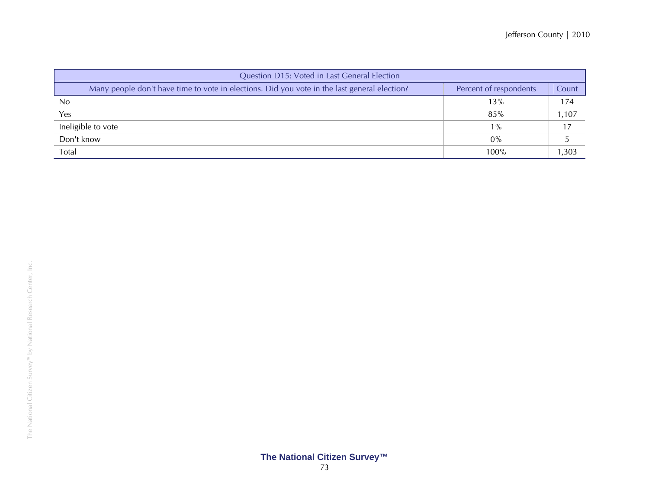| Question D15: Voted in Last General Election                                                                           |       |       |  |  |
|------------------------------------------------------------------------------------------------------------------------|-------|-------|--|--|
| Many people don't have time to vote in elections. Did you vote in the last general election?<br>Percent of respondents |       |       |  |  |
| N <sub>0</sub>                                                                                                         | 13%   | 174   |  |  |
| Yes                                                                                                                    | 85%   | 1,107 |  |  |
| Ineligible to vote                                                                                                     | $1\%$ |       |  |  |
| Don't know                                                                                                             | $0\%$ |       |  |  |
| Total                                                                                                                  | 100%  | 1,303 |  |  |

## **The National Citizen Survey™**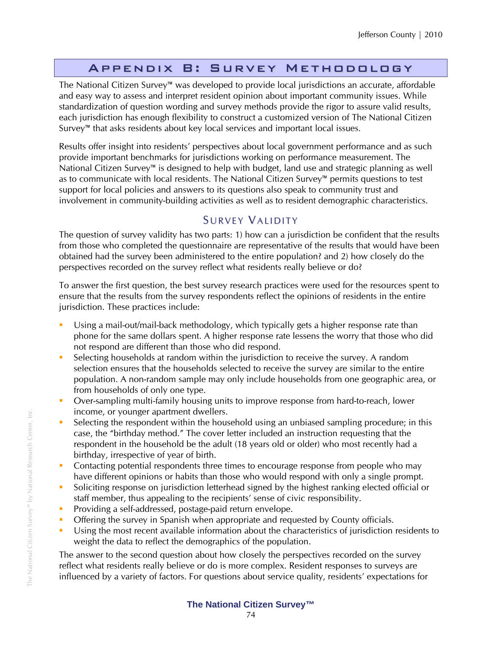# Appendix B: Survey Methodology

The National Citizen Survey™ was developed to provide local jurisdictions an accurate, affordable and easy way to assess and interpret resident opinion about important community issues. While standardization of question wording and survey methods provide the rigor to assure valid results, each jurisdiction has enough flexibility to construct a customized version of The National Citizen Survey™ that asks residents about key local services and important local issues.

Results offer insight into residents' perspectives about local government performance and as such provide important benchmarks for jurisdictions working on performance measurement. The National Citizen Survey™ is designed to help with budget, land use and strategic planning as well as to communicate with local residents. The National Citizen Survey™ permits questions to test support for local policies and answers to its questions also speak to community trust and involvement in community-building activities as well as to resident demographic characteristics.

# SURVEY VALIDITY

The question of survey validity has two parts: 1) how can a jurisdiction be confident that the results from those who completed the questionnaire are representative of the results that would have been obtained had the survey been administered to the entire population? and 2) how closely do the perspectives recorded on the survey reflect what residents really believe or do?

To answer the first question, the best survey research practices were used for the resources spent to ensure that the results from the survey respondents reflect the opinions of residents in the entire jurisdiction. These practices include:

- Using a mail-out/mail-back methodology, which typically gets a higher response rate than phone for the same dollars spent. A higher response rate lessens the worry that those who did not respond are different than those who did respond.
- Selecting households at random within the jurisdiction to receive the survey. A random selection ensures that the households selected to receive the survey are similar to the entire population. A non-random sample may only include households from one geographic area, or from households of only one type.
- **Diver-sampling multi-family housing units to improve response from hard-to-reach, lower** income, or younger apartment dwellers.
- Selecting the respondent within the household using an unbiased sampling procedure; in this case, the "birthday method." The cover letter included an instruction requesting that the respondent in the household be the adult (18 years old or older) who most recently had a birthday, irrespective of year of birth.
- **Contacting potential respondents three times to encourage response from people who may** have different opinions or habits than those who would respond with only a single prompt.
- Soliciting response on jurisdiction letterhead signed by the highest ranking elected official or staff member, thus appealing to the recipients' sense of civic responsibility.
- **Providing a self-addressed, postage-paid return envelope.**
- **Offering the survey in Spanish when appropriate and requested by County officials.**
- Using the most recent available information about the characteristics of jurisdiction residents to weight the data to reflect the demographics of the population.

The answer to the second question about how closely the perspectives recorded on the survey reflect what residents really believe or do is more complex. Resident responses to surveys are influenced by a variety of factors. For questions about service quality, residents' expectations for

## **The National Citizen Survey™**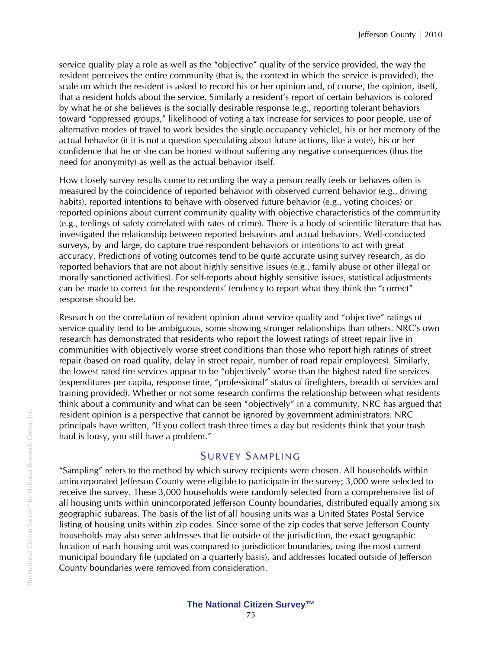service quality play a role as well as the "objective" quality of the service provided, the way the resident perceives the entire community (that is, the context in which the service is provided), the scale on which the resident is asked to record his or her opinion and, of course, the opinion, itself, that a resident holds about the service. Similarly a resident's report of certain behaviors is colored by what he or she believes is the socially desirable response (e.g., reporting tolerant behaviors toward "oppressed groups," likelihood of voting a tax increase for services to poor people, use of alternative modes of travel to work besides the single occupancy vehicle), his or her memory of the actual behavior (if it is not a question speculating about future actions, like a vote), his or her confidence that he or she can be honest without suffering any negative consequences (thus the need for anonymity) as well as the actual behavior itself.

How closely survey results come to recording the way a person really feels or behaves often is measured by the coincidence of reported behavior with observed current behavior (e.g., driving habits), reported intentions to behave with observed future behavior (e.g., voting choices) or reported opinions about current community quality with objective characteristics of the community (e.g., feelings of safety correlated with rates of crime). There is a body of scientific literature that has investigated the relationship between reported behaviors and actual behaviors. Well-conducted surveys, by and large, do capture true respondent behaviors or intentions to act with great accuracy. Predictions of voting outcomes tend to be quite accurate using survey research, as do reported behaviors that are not about highly sensitive issues (e.g., family abuse or other illegal or morally sanctioned activities). For self-reports about highly sensitive issues, statistical adjustments can be made to correct for the respondents' tendency to report what they think the "correct" response should be.

Research on the correlation of resident opinion about service quality and "objective" ratings of service quality tend to be ambiguous, some showing stronger relationships than others. NRC's own research has demonstrated that residents who report the lowest ratings of street repair live in communities with objectively worse street conditions than those who report high ratings of street repair (based on road quality, delay in street repair, number of road repair employees). Similarly, the lowest rated fire services appear to be "objectively" worse than the highest rated fire services (expenditures per capita, response time, "professional" status of firefighters, breadth of services and training provided). Whether or not some research confirms the relationship between what residents think about a community and what can be seen "objectively" in a community, NRC has argued that resident opinion is a perspective that cannot be ignored by government administrators. NRC principals have written, "If you collect trash three times a day but residents think that your trash haul is lousy, you still have a problem."

## SURVEY SAMPLING

"Sampling" refers to the method by which survey recipients were chosen. All households within unincorporated Jefferson County were eligible to participate in the survey; 3,000 were selected to receive the survey. These 3,000 households were randomly selected from a comprehensive list of all housing units within unincorporated Jefferson County boundaries, distributed equally among six geographic subareas. The basis of the list of all housing units was a United States Postal Service listing of housing units within zip codes. Since some of the zip codes that serve Jefferson County households may also serve addresses that lie outside of the jurisdiction, the exact geographic location of each housing unit was compared to jurisdiction boundaries, using the most current municipal boundary file (updated on a quarterly basis), and addresses located outside of Jefferson County boundaries were removed from consideration.

The National Citizen Survey™ by National Research Center, Inc.

The National Citizen Survey<sup>rM</sup> by National Research Center, Inc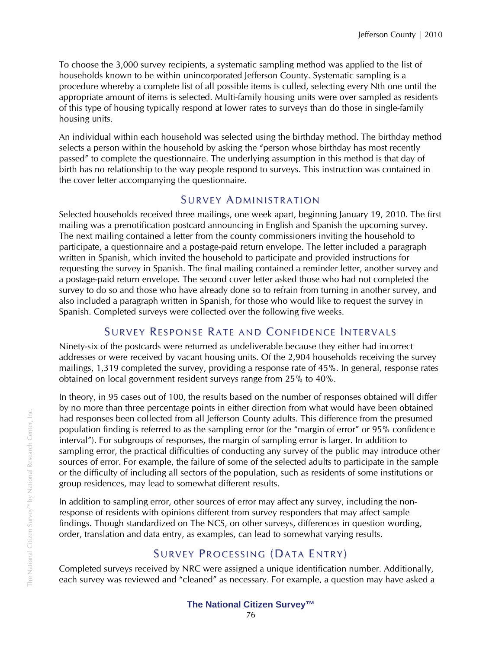To choose the 3,000 survey recipients, a systematic sampling method was applied to the list of households known to be within unincorporated Jefferson County. Systematic sampling is a procedure whereby a complete list of all possible items is culled, selecting every Nth one until the appropriate amount of items is selected. Multi-family housing units were over sampled as residents of this type of housing typically respond at lower rates to surveys than do those in single-family housing units.

An individual within each household was selected using the birthday method. The birthday method selects a person within the household by asking the "person whose birthday has most recently passed" to complete the questionnaire. The underlying assumption in this method is that day of birth has no relationship to the way people respond to surveys. This instruction was contained in the cover letter accompanying the questionnaire.

## SURVEY ADMINISTRATION

Selected households received three mailings, one week apart, beginning January 19, 2010. The first mailing was a prenotification postcard announcing in English and Spanish the upcoming survey. The next mailing contained a letter from the county commissioners inviting the household to participate, a questionnaire and a postage-paid return envelope. The letter included a paragraph written in Spanish, which invited the household to participate and provided instructions for requesting the survey in Spanish. The final mailing contained a reminder letter, another survey and a postage-paid return envelope. The second cover letter asked those who had not completed the survey to do so and those who have already done so to refrain from turning in another survey, and also included a paragraph written in Spanish, for those who would like to request the survey in Spanish. Completed surveys were collected over the following five weeks.

## SURVEY RESPONSE RATE AND CONFIDENCE INTERVALS

Ninety-six of the postcards were returned as undeliverable because they either had incorrect addresses or were received by vacant housing units. Of the 2,904 households receiving the survey mailings, 1,319 completed the survey, providing a response rate of 45%. In general, response rates obtained on local government resident surveys range from 25% to 40%.

In theory, in 95 cases out of 100, the results based on the number of responses obtained will differ by no more than three percentage points in either direction from what would have been obtained had responses been collected from all Jefferson County adults. This difference from the presumed population finding is referred to as the sampling error (or the "margin of error" or 95% confidence interval"). For subgroups of responses, the margin of sampling error is larger. In addition to sampling error, the practical difficulties of conducting any survey of the public may introduce other sources of error. For example, the failure of some of the selected adults to participate in the sample or the difficulty of including all sectors of the population, such as residents of some institutions or group residences, may lead to somewhat different results.

In addition to sampling error, other sources of error may affect any survey, including the nonresponse of residents with opinions different from survey responders that may affect sample findings. Though standardized on The NCS, on other surveys, differences in question wording, order, translation and data entry, as examples, can lead to somewhat varying results.

## SURVEY PROCESSING (DATA ENTRY)

Completed surveys received by NRC were assigned a unique identification number. Additionally, each survey was reviewed and "cleaned" as necessary. For example, a question may have asked a

## **The National Citizen Survey™**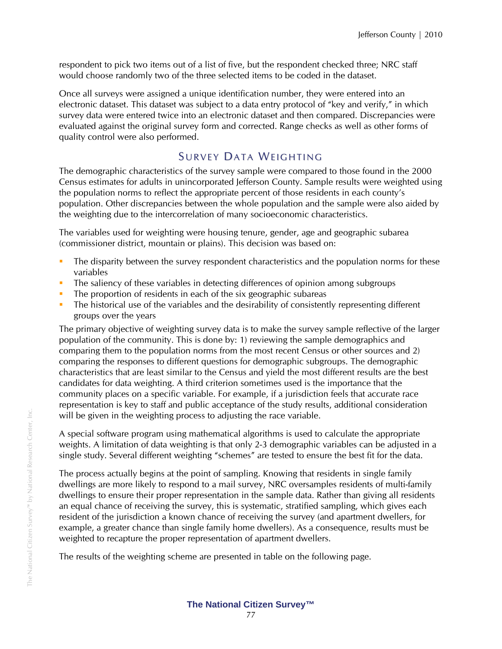respondent to pick two items out of a list of five, but the respondent checked three; NRC staff would choose randomly two of the three selected items to be coded in the dataset.

Once all surveys were assigned a unique identification number, they were entered into an electronic dataset. This dataset was subject to a data entry protocol of "key and verify," in which survey data were entered twice into an electronic dataset and then compared. Discrepancies were evaluated against the original survey form and corrected. Range checks as well as other forms of quality control were also performed.

# SURVEY DATA WEIGHTING

The demographic characteristics of the survey sample were compared to those found in the 2000 Census estimates for adults in unincorporated Jefferson County. Sample results were weighted using the population norms to reflect the appropriate percent of those residents in each county's population. Other discrepancies between the whole population and the sample were also aided by the weighting due to the intercorrelation of many socioeconomic characteristics.

The variables used for weighting were housing tenure, gender, age and geographic subarea (commissioner district, mountain or plains). This decision was based on:

- The disparity between the survey respondent characteristics and the population norms for these variables
- The saliency of these variables in detecting differences of opinion among subgroups
- The proportion of residents in each of the six geographic subareas
- The historical use of the variables and the desirability of consistently representing different groups over the years

The primary objective of weighting survey data is to make the survey sample reflective of the larger population of the community. This is done by: 1) reviewing the sample demographics and comparing them to the population norms from the most recent Census or other sources and 2) comparing the responses to different questions for demographic subgroups. The demographic characteristics that are least similar to the Census and yield the most different results are the best candidates for data weighting. A third criterion sometimes used is the importance that the community places on a specific variable. For example, if a jurisdiction feels that accurate race representation is key to staff and public acceptance of the study results, additional consideration will be given in the weighting process to adjusting the race variable.

A special software program using mathematical algorithms is used to calculate the appropriate weights. A limitation of data weighting is that only 2-3 demographic variables can be adjusted in a single study. Several different weighting "schemes" are tested to ensure the best fit for the data.

The process actually begins at the point of sampling. Knowing that residents in single family dwellings are more likely to respond to a mail survey, NRC oversamples residents of multi-family dwellings to ensure their proper representation in the sample data. Rather than giving all residents an equal chance of receiving the survey, this is systematic, stratified sampling, which gives each resident of the jurisdiction a known chance of receiving the survey (and apartment dwellers, for example, a greater chance than single family home dwellers). As a consequence, results must be weighted to recapture the proper representation of apartment dwellers.

The results of the weighting scheme are presented in table on the following page.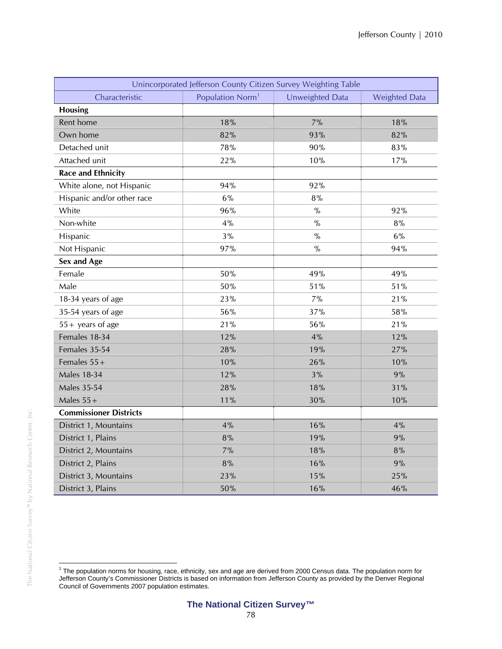| Unincorporated Jefferson County Citizen Survey Weighting Table |                              |                 |                      |  |  |  |
|----------------------------------------------------------------|------------------------------|-----------------|----------------------|--|--|--|
| Characteristic                                                 | Population Norm <sup>1</sup> | Unweighted Data | <b>Weighted Data</b> |  |  |  |
| <b>Housing</b>                                                 |                              |                 |                      |  |  |  |
| Rent home                                                      | 18%                          | 7%              | 18%                  |  |  |  |
| Own home                                                       | 82%                          | 93%             | 82%                  |  |  |  |
| Detached unit                                                  | 78%                          | 90%             | 83%                  |  |  |  |
| Attached unit                                                  | 22%                          | 10%             | 17%                  |  |  |  |
| <b>Race and Ethnicity</b>                                      |                              |                 |                      |  |  |  |
| White alone, not Hispanic                                      | 94%                          | 92%             |                      |  |  |  |
| Hispanic and/or other race                                     | 6%                           | 8%              |                      |  |  |  |
| White                                                          | 96%                          | $\%$            | 92%                  |  |  |  |
| Non-white                                                      | 4%                           | $\%$            | 8%                   |  |  |  |
| Hispanic                                                       | 3%                           | $\%$            | 6%                   |  |  |  |
| Not Hispanic                                                   | 97%                          | $\%$            | 94%                  |  |  |  |
| Sex and Age                                                    |                              |                 |                      |  |  |  |
| Female                                                         | 50%                          | 49%             | 49%                  |  |  |  |
| Male                                                           | 50%                          | 51%             | 51%                  |  |  |  |
| 18-34 years of age                                             | 23%                          | 7%              | 21%                  |  |  |  |
| 35-54 years of age                                             | 56%                          | 37%             | 58%                  |  |  |  |
| $55 +$ years of age                                            | 21%                          | 56%             | 21%                  |  |  |  |
| Females 18-34                                                  | 12%                          | 4%              | 12%                  |  |  |  |
| Females 35-54                                                  | 28%                          | 19%             | 27%                  |  |  |  |
| Females $55+$                                                  | 10%                          | 26%             | 10%                  |  |  |  |
| <b>Males 18-34</b>                                             | 12%                          | 3%              | 9%                   |  |  |  |
| <b>Males 35-54</b>                                             | 28%                          | 18%             | 31%                  |  |  |  |
| Males $55+$                                                    | 11%                          | 30%             | 10%                  |  |  |  |
| <b>Commissioner Districts</b>                                  |                              |                 |                      |  |  |  |
| District 1, Mountains                                          | 4%                           | 16%             | 4%                   |  |  |  |
| District 1, Plains                                             | 8%                           | 19%             | 9%                   |  |  |  |
| District 2, Mountains                                          | 7%                           | 18%             | 8%                   |  |  |  |
| District 2, Plains                                             | 8%                           | 16%             | 9%                   |  |  |  |
| District 3, Mountains                                          | 23%                          | 15%             | 25%                  |  |  |  |
| District 3, Plains                                             | 50%                          | 16%             | 46%                  |  |  |  |

 1 The population norms for housing, race, ethnicity, sex and age are derived from 2000 Census data. The population norm for Jefferson County's Commissioner Districts is based on information from Jefferson County as provided by the Denver Regional Council of Governments 2007 population estimates.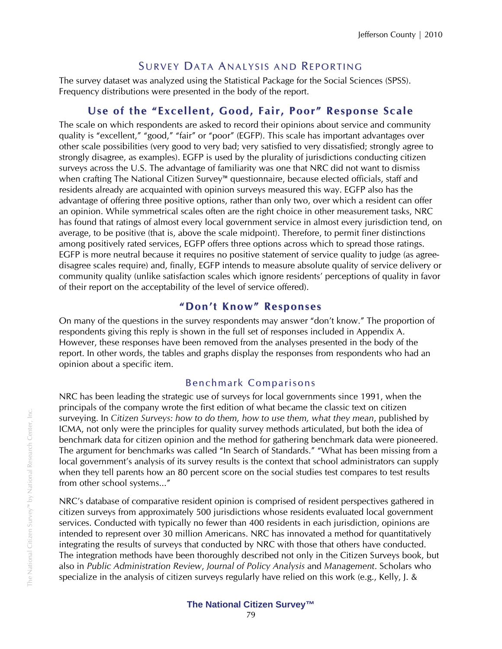## SURVEY DATA ANALYSIS AND REPORTING

The survey dataset was analyzed using the Statistical Package for the Social Sciences (SPSS). Frequency distributions were presented in the body of the report.

## **Use of the "Excellent, Good, Fair, Poor" Response Scale**

The scale on which respondents are asked to record their opinions about service and community quality is "excellent," "good," "fair" or "poor" (EGFP). This scale has important advantages over other scale possibilities (very good to very bad; very satisfied to very dissatisfied; strongly agree to strongly disagree, as examples). EGFP is used by the plurality of jurisdictions conducting citizen surveys across the U.S. The advantage of familiarity was one that NRC did not want to dismiss when crafting The National Citizen Survey™ questionnaire, because elected officials, staff and residents already are acquainted with opinion surveys measured this way. EGFP also has the advantage of offering three positive options, rather than only two, over which a resident can offer an opinion. While symmetrical scales often are the right choice in other measurement tasks, NRC has found that ratings of almost every local government service in almost every jurisdiction tend, on average, to be positive (that is, above the scale midpoint). Therefore, to permit finer distinctions among positively rated services, EGFP offers three options across which to spread those ratings. EGFP is more neutral because it requires no positive statement of service quality to judge (as agreedisagree scales require) and, finally, EGFP intends to measure absolute quality of service delivery or community quality (unlike satisfaction scales which ignore residents' perceptions of quality in favor of their report on the acceptability of the level of service offered).

## **" Don't Kno w" Responses**

On many of the questions in the survey respondents may answer "don't know." The proportion of respondents giving this reply is shown in the full set of responses included in Appendix A. However, these responses have been removed from the analyses presented in the body of the report. In other words, the tables and graphs display the responses from respondents who had an opinion about a specific item.

## Benchmark Comparisons

NRC has been leading the strategic use of surveys for local governments since 1991, when the principals of the company wrote the first edition of what became the classic text on citizen surveying. In *Citizen Surveys: how to do them, how to use them, what they mean*, published by ICMA, not only were the principles for quality survey methods articulated, but both the idea of benchmark data for citizen opinion and the method for gathering benchmark data were pioneered. The argument for benchmarks was called "In Search of Standards." "What has been missing from a local government's analysis of its survey results is the context that school administrators can supply when they tell parents how an 80 percent score on the social studies test compares to test results from other school systems..."

NRC's database of comparative resident opinion is comprised of resident perspectives gathered in citizen surveys from approximately 500 jurisdictions whose residents evaluated local government services. Conducted with typically no fewer than 400 residents in each jurisdiction, opinions are intended to represent over 30 million Americans. NRC has innovated a method for quantitatively integrating the results of surveys that conducted by NRC with those that others have conducted. The integration methods have been thoroughly described not only in the Citizen Surveys book, but also in *Public Administration Review*, *Journal of Policy Analysis* and *Management*. Scholars who specialize in the analysis of citizen surveys regularly have relied on this work (e.g., Kelly, J. &

## **The National Citizen Survey™**

The National Citizen Survey™ by National Research Center, Inc.

The National Citizen Survey<sup>ru</sup> by National Research Center, Inc.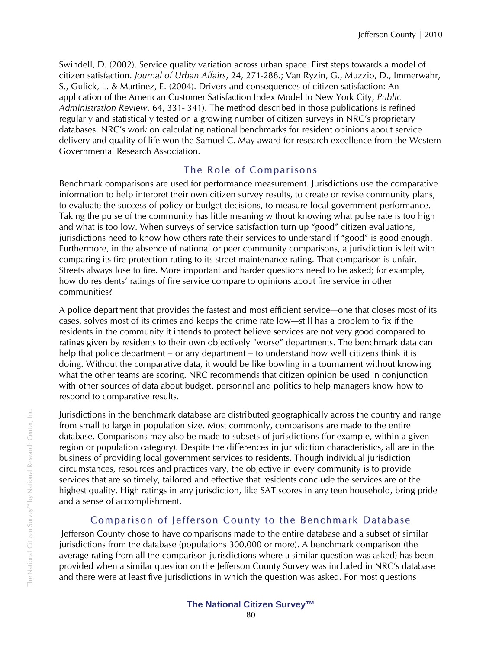Swindell, D. (2002). Service quality variation across urban space: First steps towards a model of citizen satisfaction. *Journal of Urban Affairs*, 24, 271-288.; Van Ryzin, G., Muzzio, D., Immerwahr, S., Gulick, L. & Martinez, E. (2004). Drivers and consequences of citizen satisfaction: An application of the American Customer Satisfaction Index Model to New York City, *Public Administration Review*, 64, 331- 341). The method described in those publications is refined regularly and statistically tested on a growing number of citizen surveys in NRC's proprietary databases. NRC's work on calculating national benchmarks for resident opinions about service delivery and quality of life won the Samuel C. May award for research excellence from the Western Governmental Research Association.

## The Role of Comparisons

Benchmark comparisons are used for performance measurement. Jurisdictions use the comparative information to help interpret their own citizen survey results, to create or revise community plans, to evaluate the success of policy or budget decisions, to measure local government performance. Taking the pulse of the community has little meaning without knowing what pulse rate is too high and what is too low. When surveys of service satisfaction turn up "good" citizen evaluations, jurisdictions need to know how others rate their services to understand if "good" is good enough. Furthermore, in the absence of national or peer community comparisons, a jurisdiction is left with comparing its fire protection rating to its street maintenance rating. That comparison is unfair. Streets always lose to fire. More important and harder questions need to be asked; for example, how do residents' ratings of fire service compare to opinions about fire service in other communities?

A police department that provides the fastest and most efficient service—one that closes most of its cases, solves most of its crimes and keeps the crime rate low—still has a problem to fix if the residents in the community it intends to protect believe services are not very good compared to ratings given by residents to their own objectively "worse" departments. The benchmark data can help that police department – or any department – to understand how well citizens think it is doing. Without the comparative data, it would be like bowling in a tournament without knowing what the other teams are scoring. NRC recommends that citizen opinion be used in conjunction with other sources of data about budget, personnel and politics to help managers know how to respond to comparative results.

Jurisdictions in the benchmark database are distributed geographically across the country and range from small to large in population size. Most commonly, comparisons are made to the entire database. Comparisons may also be made to subsets of jurisdictions (for example, within a given region or population category). Despite the differences in jurisdiction characteristics, all are in the business of providing local government services to residents. Though individual jurisdiction circumstances, resources and practices vary, the objective in every community is to provide services that are so timely, tailored and effective that residents conclude the services are of the highest quality. High ratings in any jurisdiction, like SAT scores in any teen household, bring pride and a sense of accomplishment.

## Comparison of Jefferson County to the Benchmark Database

 Jefferson County chose to have comparisons made to the entire database and a subset of similar jurisdictions from the database (populations 300,000 or more). A benchmark comparison (the average rating from all the comparison jurisdictions where a similar question was asked) has been provided when a similar question on the Jefferson County Survey was included in NRC's database and there were at least five jurisdictions in which the question was asked. For most questions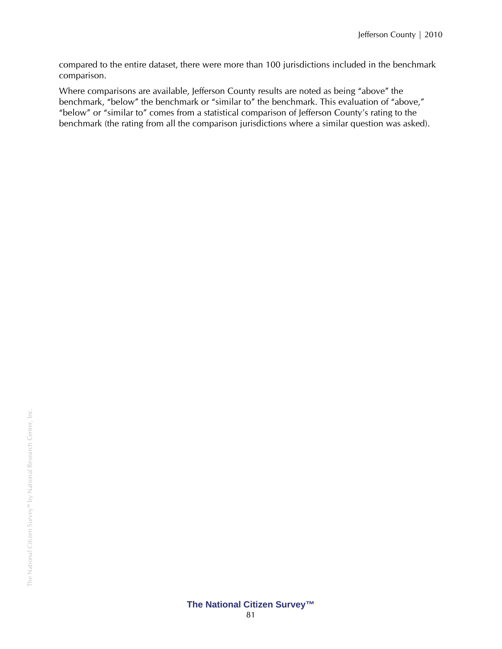compared to the entire dataset, there were more than 100 jurisdictions included in the benchmark comparison.

Where comparisons are available, Jefferson County results are noted as being "above" the benchmark, "below" the benchmark or "similar to" the benchmark. This evaluation of "above," "below" or "similar to" comes from a statistical comparison of Jefferson County's rating to the benchmark (the rating from all the comparison jurisdictions where a similar question was asked).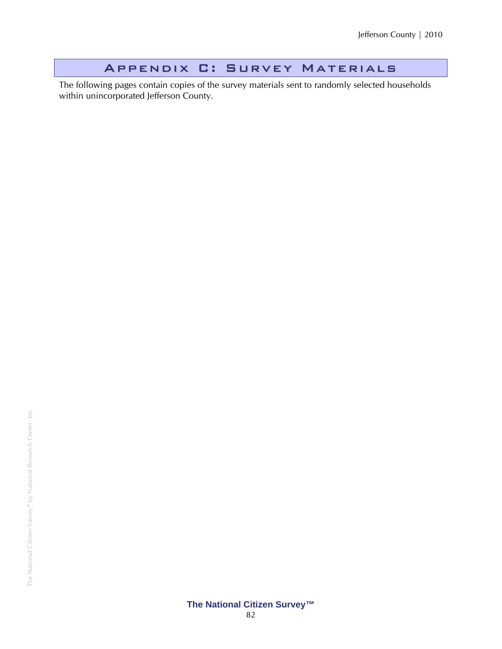# Appendix C: Survey Materials

The following pages contain copies of the survey materials sent to randomly selected households within unincorporated Jefferson County.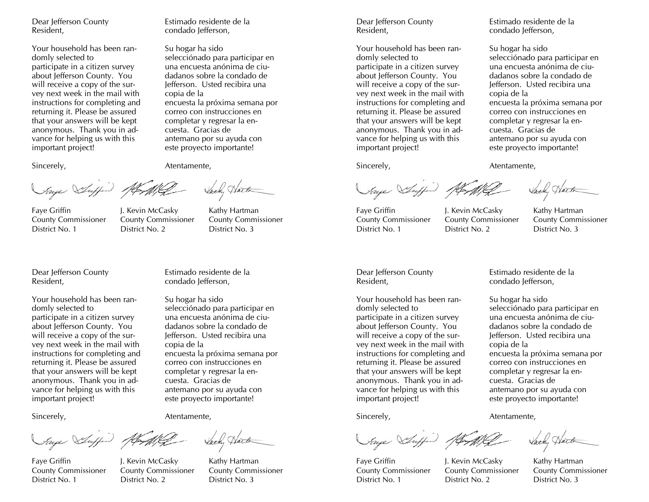Dear Jefferson County Resident,

Your household has been randomly selected to participate in a citizen survey about Jefferson County. You will receive a copy of the survey next week in the mail with instructions for completing and returning it. Please be assured that your answers will be kept anonymous. Thank you in advance for helping us with this important project!

Sincerely,

Atentamente,

copia de la

Estimado residente de la condado Jefferson,

selecciónado para participar en una encuesta anónima de ciudadanos sobre la condado de Jefferson. Usted recibira una

encuesta la próxima semana por correo con instrucciones en completar y regresar la encuesta. Gracias de

Hart

antemano por su ayuda con este proyecto importante!

Su hogar ha sido

Saye Suffin At Mil

Faye Griffin The McCasky Kathy Hartman County Commissioner County Commissioner County Commissioner District No. 1 District No. 2 District No. 3

Dear Jefferson County Resident,

Your household has been randomly selected to participate in a citizen survey about Jefferson County. You will receive a copy of the survey next week in the mail with instructions for completing and returning it. Please be assured that your answers will be kept anonymous. Thank you in advance for helping us with this important project!

Estimado residente de la condado Jefferson,

Su hogar ha sido selecciónado para participar en una encuesta anónima de ciudadanos sobre la condado de Jefferson. Usted recibira una copia de la encuesta la próxima semana por correo con instrucciones en completar y regresar la encuesta. Gracias de antemano por su ayuda con este proyecto importante!

Sincerely,

Atentamente,

Saye Suffer of

Faye Griffin The McCasky Kathy Hartman County Commissioner County Commissioner County Commissioner District No. 1 District No. 2 District No. 3

Dear Jefferson County Resident,

Your household has been randomly selected to participate in a citizen survey about Jefferson County. You will receive a copy of the survey next week in the mail with instructions for completing and returning it. Please be assured that your answers will be kept anonymous. Thank you in advance for helping us with this important project!

Sincerely,

Saye Suffin At My

Faye Griffin The McCasky Kathy Hartman District No. 1 District No. 2 District No. 3

County Commissioner County Commissioner County Commissioner

Dear Jefferson County Resident,

Your household has been randomly selected to participate in a citizen survey about Jefferson County. You will receive a copy of the survey next week in the mail with instructions for completing and returning it. Please be assured that your answers will be kept anonymous. Thank you in advance for helping us with this important project!

Sincerely,

Saye Suffin At

Faye Griffin The McCasky Kathy Hartman County Commissioner County Commissioner County Commissioner District No. 1 District No. 2 District No. 3

Estimado residente de la condado Jefferson,

Su hogar ha sido selecciónado para participar en una encuesta anónima de ciudadanos sobre la condado de Jefferson. Usted recibira una copia de la encuesta la próxima semana por correo con instrucciones en completar y regresar la encuesta. Gracias de antemano por su ayuda con este proyecto importante!

Atentamente,

Estimado residente de la condado Jefferson,

selecciónado para participar en una encuesta anónima de ciudadanos sobre la condado de Jefferson. Usted recibira una

encuesta la próxima semana por correo con instrucciones en completar y regresar la encuesta. Gracias de

antemano por su ayuda con este proyecto importante!

Su hogar ha sido

copia de la

Atentamente,

Wat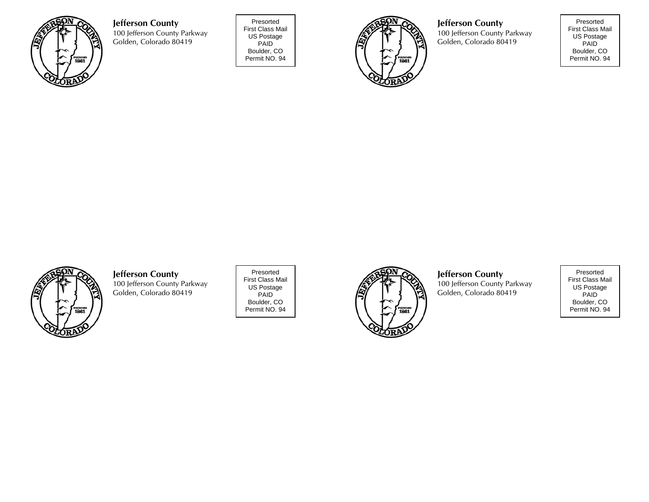

**Jefferson County**  100 Jefferson County Parkway Golden, Colorado 80419

Presorted First Class Mail US Postage PAID Boulder, CO Permit NO. 94



**Jefferson County**  100 Jefferson County Parkway Golden, Colorado 80419

Presorted First Class Mail US Postage PAID Boulder, CO Permit NO. 94



#### **Jefferson County**

100 Jefferson County Parkway Golden, Colorado 80419

Presorted First Class Mail US Postage PAID Boulder, CO Permit NO. 94



## **Jefferson County**

100 Jefferson County Parkway Golden, Colorado 80419

Presorted First Class Mail US Postage PAID Boulder, CO Permit NO. 94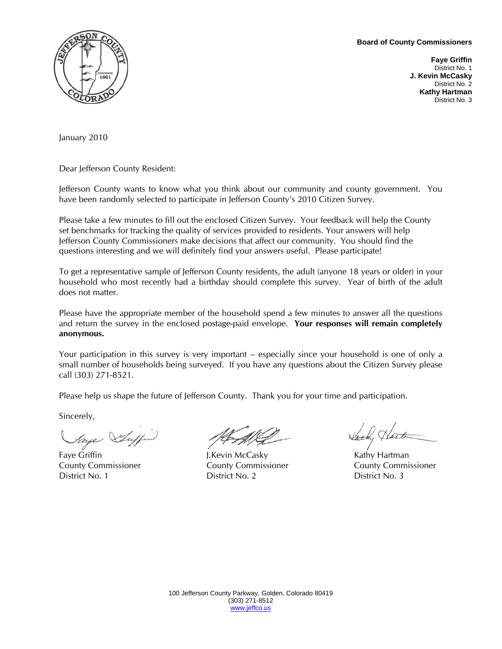#### **Board of County Commissioners**



**Faye Griffin**  District No. 1 **J. Kevin McCasky**  District No. 2 **Kathy Hartman**  District No. 3

January 2010

Dear Jefferson County Resident:

Jefferson County wants to know what you think about our community and county government. You have been randomly selected to participate in Jefferson County's 2010 Citizen Survey.

Please take a few minutes to fill out the enclosed Citizen Survey. Your feedback will help the County set benchmarks for tracking the quality of services provided to residents. Your answers will help Jefferson County Commissioners make decisions that affect our community. You should find the questions interesting and we will definitely find your answers useful. Please participate!

To get a representative sample of Jefferson County residents, the adult (anyone 18 years or older) in your household who most recently had a birthday should complete this survey. Year of birth of the adult does not matter.

Please have the appropriate member of the household spend a few minutes to answer all the questions and return the survey in the enclosed postage-paid envelope. **Your responses will remain completely anonymous.** 

Your participation in this survey is very important – especially since your household is one of only a small number of households being surveyed. If you have any questions about the Citizen Survey please call (303) 271-8521.

Please help us shape the future of Jefferson County. Thank you for your time and participation.

Sincerely,

*Faye Suffer* Jetter Jetter Vach, Hart

County Commissioner County Commissioner County Commissioner District No. 1 District No. 2 District No. 3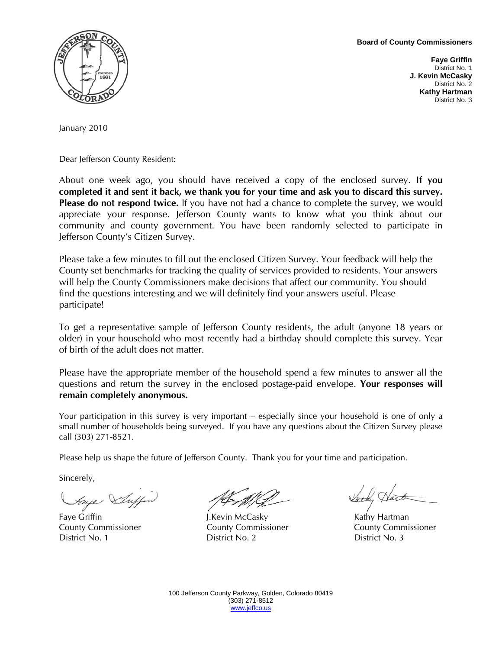**Board of County Commissioners** 



**Faye Griffin**  District No. 1 **J. Kevin McCasky**  District No. 2 **Kathy Hartman**  District No. 3

January 2010

Dear Jefferson County Resident:

About one week ago, you should have received a copy of the enclosed survey. **If you completed it and sent it back, we thank you for your time and ask you to discard this survey. Please do not respond twice.** If you have not had a chance to complete the survey, we would appreciate your response. Jefferson County wants to know what you think about our community and county government. You have been randomly selected to participate in Jefferson County's Citizen Survey.

Please take a few minutes to fill out the enclosed Citizen Survey. Your feedback will help the County set benchmarks for tracking the quality of services provided to residents. Your answers will help the County Commissioners make decisions that affect our community. You should find the questions interesting and we will definitely find your answers useful. Please participate!

To get a representative sample of Jefferson County residents, the adult (anyone 18 years or older) in your household who most recently had a birthday should complete this survey. Year of birth of the adult does not matter.

Please have the appropriate member of the household spend a few minutes to answer all the questions and return the survey in the enclosed postage-paid envelope. **Your responses will remain completely anonymous.** 

Your participation in this survey is very important – especially since your household is one of only a small number of households being surveyed. If you have any questions about the Citizen Survey please call (303) 271-8521.

Please help us shape the future of Jefferson County. Thank you for your time and participation.

Sincerely,

Faye Griffin **Fact of the Case of the Case of the Case of the Case of the Case of the Case of the Case of the Case of the Case of the Case of the Case of the Case of the Case of the Case of the Case of the Case of the Case** County Commissioner County Commissioner County Commissioner District No. 1 District No. 2 District No. 3

Jacky Har

100 Jefferson County Parkway, Golden, Colorado 80419 (303) 271-8512 www.jeffco.us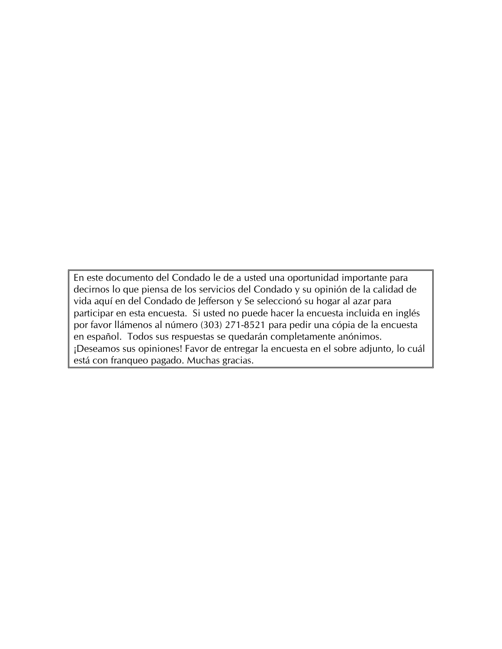En este documento del Condado le de a usted una oportunidad importante para decirnos lo que piensa de los servicios del Condado y su opinión de la calidad de vida aquí en del Condado de Jefferson y Se seleccionó su hogar al azar para participar en esta encuesta. Si usted no puede hacer la encuesta incluida en inglés por favor llámenos al número (303) 271-8521 para pedir una cópia de la encuesta en español. Todos sus respuestas se quedarán completamente anónimos. ¡Deseamos sus opiniones! Favor de entregar la encuesta en el sobre adjunto, lo cuál está con franqueo pagado. Muchas gracias.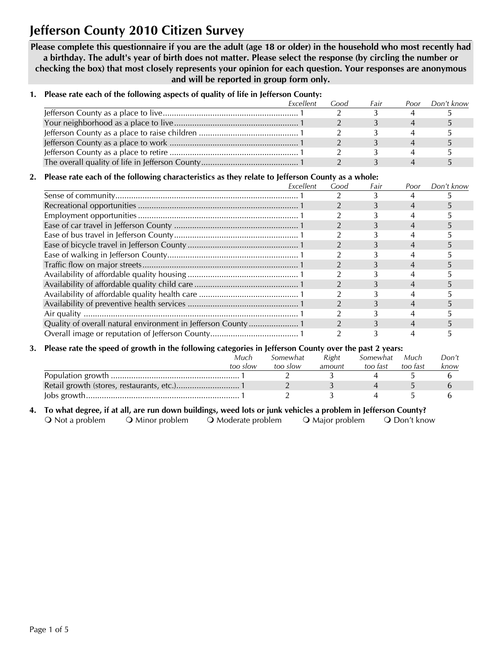# **Jefferson County 2010 Citizen Survey**

**Please complete this questionnaire if you are the adult (age 18 or older) in the household who most recently had a birthday. The adult's year of birth does not matter. Please select the response (by circling the number or checking the box) that most closely represents your opinion for each question. Your responses are anonymous and will be reported in group form only.** 

|  |  |  | 1. Please rate each of the following aspects of quality of life in Jefferson County: |  |  |
|--|--|--|--------------------------------------------------------------------------------------|--|--|
|--|--|--|--------------------------------------------------------------------------------------|--|--|

| Excellent | Good | Fair | Poor | Don't know |
|-----------|------|------|------|------------|
|           |      |      |      |            |
|           |      |      |      |            |
|           |      |      |      |            |
|           |      |      |      |            |
|           |      |      |      |            |
|           |      |      |      |            |

### **2. Please rate each of the following characteristics as they relate to Jefferson County as a whole:**

| Excellent | Good | Fair | Poor | Don't know |
|-----------|------|------|------|------------|
|           |      |      |      |            |
|           |      |      |      |            |
|           |      |      |      |            |
|           |      |      |      |            |
|           |      |      |      |            |
|           |      |      |      |            |
|           |      |      |      |            |
|           |      |      |      |            |
|           |      |      |      |            |
|           |      |      |      |            |
|           |      |      |      |            |
|           |      |      | 4    |            |
|           |      |      |      |            |
|           |      |      |      |            |
|           |      |      |      |            |

#### **3. Please rate the speed of growth in the following categories in Jefferson County over the past 2 years:**

| Much<br>too slow | Somewhat<br>too slow | Right<br>amount | Somewhat<br>too fast | Much<br>too fast | Don't<br>know |
|------------------|----------------------|-----------------|----------------------|------------------|---------------|
|                  |                      |                 |                      |                  |               |
|                  |                      |                 |                      |                  |               |
|                  |                      |                 |                      |                  |               |

### **4. To what degree, if at all, are run down buildings, weed lots or junk vehicles a problem in Jefferson County?**  O Not a problem O Minor problem O Moderate problem O Major problem O Don't know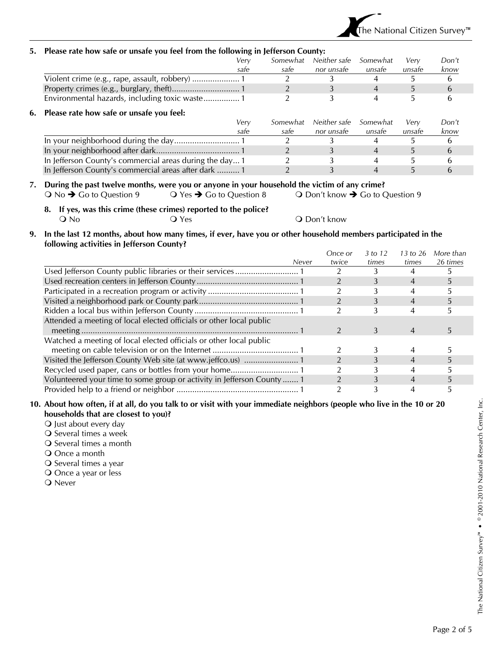

### **5. Please rate how safe or unsafe you feel from the following in Jefferson County:**

| The most non-suit of unsuit you let: from the following in jericison county. |          |              |                |        |       |
|------------------------------------------------------------------------------|----------|--------------|----------------|--------|-------|
| Verv                                                                         | Somewhat | Neither safe | Somewhat       | Very   | Don't |
| safe                                                                         | safe     | nor unsafe   | unsafe         | unsafe | know  |
|                                                                              |          |              |                |        | 6     |
|                                                                              |          |              | $\overline{4}$ | b.     | 6     |
|                                                                              |          |              |                | b.     | b     |
| 6. Please rate how safe or unsafe you feel:                                  |          |              |                |        |       |
| Verv                                                                         | Somewhat | Neither safe | Somewhat       | Verv   | Don't |
| safe                                                                         | safe     | nor unsafe   | unsafe         | unsafe | know  |
|                                                                              |          |              |                |        | 6     |
|                                                                              |          |              |                | 5.     | 6     |
| In Jefferson County's commercial areas during the day 1                      |          |              |                |        | b     |
| In Jefferson County's commercial areas after dark  1                         |          |              |                |        | h     |

#### **7. During the past twelve months, were you or anyone in your household the victim of any crime?**  O No  $\rightarrow$  Go to Question 9  $\rightarrow$  O Yes  $\rightarrow$  Go to Question 8  $\rightarrow$  Don't know  $\rightarrow$  Go to Question 9

**8. If yes, was this crime (these crimes) reported to the police?**  O No  $Q$  Yes  $Q$  Don't know

#### **9. In the last 12 months, about how many times, if ever, have you or other household members participated in the following activities in Jefferson County?**

|                                                                        | Once or | 3 to 12 | 13 to 26       | More than |
|------------------------------------------------------------------------|---------|---------|----------------|-----------|
| Never                                                                  | twice   | times   | times          | 26 times  |
|                                                                        |         |         |                |           |
|                                                                        |         |         | 4              |           |
|                                                                        |         |         |                |           |
|                                                                        |         |         | $\overline{4}$ |           |
|                                                                        |         |         |                |           |
| Attended a meeting of local elected officials or other local public    |         |         |                |           |
|                                                                        |         | 3       |                |           |
| Watched a meeting of local elected officials or other local public     |         |         |                |           |
|                                                                        |         |         |                |           |
|                                                                        |         |         |                |           |
|                                                                        |         |         |                |           |
| Volunteered your time to some group or activity in Jefferson County  1 |         |         |                |           |
|                                                                        |         |         |                |           |

#### **10. About how often, if at all, do you talk to or visit with your immediate neighbors (people who live in the 10 or 20 households that are closest to you)?**

- **O** Just about every day
- O Several times a week
- Several times a month
- Once a month
- O Several times a year
- O Once a year or less
- **O** Never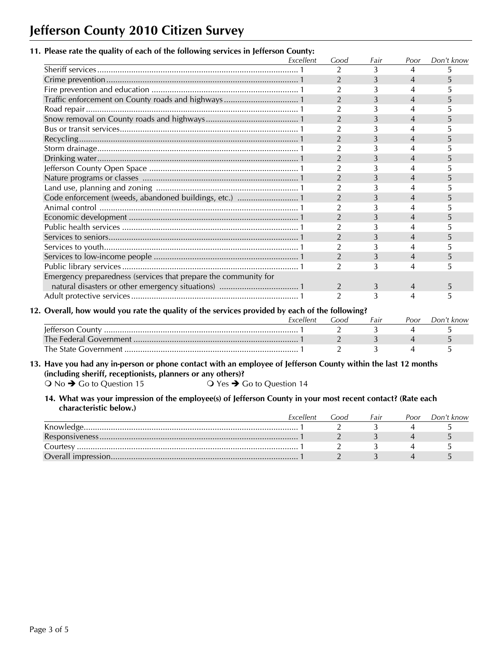# **Jefferson County 2010 Citizen Survey**

### **11. Please rate the quality of each of the following services in Jefferson County:**

|                                                                 | Excellent | Good           | Fair | Poor | Don't know |
|-----------------------------------------------------------------|-----------|----------------|------|------|------------|
|                                                                 |           | 2              | 3    | 4    | 5          |
|                                                                 |           | 2              | 3    | 4    |            |
|                                                                 |           | $\overline{2}$ | 3    | 4    |            |
| Traffic enforcement on County roads and highways 1              |           | $\overline{2}$ | 3    | 4    |            |
|                                                                 |           | $\overline{2}$ | 3    |      |            |
|                                                                 |           | $\overline{2}$ | 3    | 4    |            |
|                                                                 |           | $\overline{2}$ | 3    |      |            |
|                                                                 |           | $\overline{2}$ | 3    | 4    |            |
|                                                                 |           | $\overline{2}$ | 3    | 4    |            |
|                                                                 |           | $\overline{2}$ | 3    | 4    |            |
|                                                                 |           | $\overline{2}$ | 3    | 4    |            |
|                                                                 |           | $\overline{2}$ | 3    | 4    |            |
|                                                                 |           | $\overline{2}$ | 3    | 4    |            |
|                                                                 |           | $\overline{2}$ | 3    | 4    |            |
|                                                                 |           | $\overline{2}$ | 3    | 4    |            |
|                                                                 |           | $\overline{2}$ | 3    | 4    |            |
|                                                                 |           | $\overline{2}$ | 3    | 4    |            |
|                                                                 |           | 2              | 3    | 4    |            |
|                                                                 |           | $\overline{2}$ | 3    | 4    |            |
|                                                                 |           | 2              | 3    | 4    | 5.         |
|                                                                 |           | $\overline{2}$ | 3    |      |            |
| Emergency preparedness (services that prepare the community for |           |                |      |      |            |
|                                                                 |           | 2              | 3    | 4    | 5          |
|                                                                 |           | $\overline{2}$ | 3    | 4    | 5.         |

### **12. Overall, how would you rate the quality of the services provided by each of the following?**

|                      |      | --   |      |            |
|----------------------|------|------|------|------------|
|                      | .ooc | Fair | 'oor | Don't know |
|                      |      |      |      |            |
|                      |      |      |      |            |
| The State Government |      |      |      |            |

#### **13. Have you had any in-person or phone contact with an employee of Jefferson County within the last 12 months (including sheriff, receptionists, planners or any others)?**

 $O$  No  $\rightarrow$  Go to Question 15  $O$  Yes  $\rightarrow$  Go to Question 14

#### **14. What was your impression of the employee(s) of Jefferson County in your most recent contact? (Rate each characteristic below.)**

|          | Excellent | .ood | Fair | Poor | Don't know |
|----------|-----------|------|------|------|------------|
|          |           |      |      |      |            |
|          |           |      |      |      |            |
| Courtesy |           |      |      |      |            |
|          |           |      |      |      |            |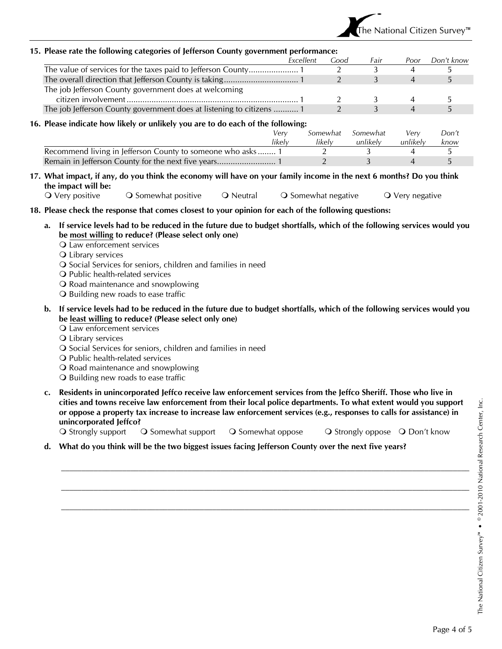

|                                                                                 | Excellent | Good           | Fair     | Poor           | Don't know |
|---------------------------------------------------------------------------------|-----------|----------------|----------|----------------|------------|
|                                                                                 |           |                |          | 4              | b.         |
|                                                                                 |           | 2              | 3        | $\overline{4}$ | 5          |
| The job Jefferson County government does at welcoming                           |           |                |          |                |            |
|                                                                                 |           |                | 3        | 4              |            |
| The job Jefferson County government does at listening to citizens  1            |           | $\overline{2}$ | 3        | $\overline{4}$ | 5          |
| 16. Please indicate how likely or unlikely you are to do each of the following: |           |                |          |                |            |
|                                                                                 | Verv      | Somewhat       | Somewhat | Very           | Don't      |
|                                                                                 | likelv    | likelv         | unlikelv | unlikely<br>4  | know<br>5. |
| Recommend living in Jefferson County to someone who asks 1                      |           |                | 3        | 4              | 5          |

O Very positive  $\qquad$  O Somewhat positive  $\qquad$  O Neutral  $\qquad$  O Somewhat negative  $\qquad$  O Very negative

**18. Please check the response that comes closest to your opinion for each of the following questions:** 

- **a. If service levels had to be reduced in the future due to budget shortfalls, which of the following services would you be most willing to reduce? (Please select only one)** 
	- Q Law enforcement services

**15. Please rate the following categories of Jefferson County government performance:** 

- Library services
- O Social Services for seniors, children and families in need
- O Public health-related services
- O Road maintenance and snowplowing
- **Q** Building new roads to ease traffic
- **b. If service levels had to be reduced in the future due to budget shortfalls, which of the following services would you be least willing to reduce? (Please select only one)** 
	- Law enforcement services
	- **Q** Library services
	- O Social Services for seniors, children and families in need
	- O Public health-related services
	- O Road maintenance and snowplowing
	- O Building new roads to ease traffic
- **c. Residents in unincorporated Jeffco receive law enforcement services from the Jeffco Sheriff. Those who live in cities and towns receive law enforcement from their local police departments. To what extent would you support or oppose a property tax increase to increase law enforcement services (e.g., responses to calls for assistance) in unincorporated Jeffco?**

 $\mathcal{L}_\text{max} = \mathcal{L}_\text{max} = \mathcal{L}_\text{max} = \mathcal{L}_\text{max} = \mathcal{L}_\text{max} = \mathcal{L}_\text{max} = \mathcal{L}_\text{max} = \mathcal{L}_\text{max} = \mathcal{L}_\text{max} = \mathcal{L}_\text{max} = \mathcal{L}_\text{max} = \mathcal{L}_\text{max} = \mathcal{L}_\text{max} = \mathcal{L}_\text{max} = \mathcal{L}_\text{max} = \mathcal{L}_\text{max} = \mathcal{L}_\text{max} = \mathcal{L}_\text{max} = \mathcal{$ 

 $\mathcal{L}_\text{max} = \mathcal{L}_\text{max} = \mathcal{L}_\text{max} = \mathcal{L}_\text{max} = \mathcal{L}_\text{max} = \mathcal{L}_\text{max} = \mathcal{L}_\text{max} = \mathcal{L}_\text{max} = \mathcal{L}_\text{max} = \mathcal{L}_\text{max} = \mathcal{L}_\text{max} = \mathcal{L}_\text{max} = \mathcal{L}_\text{max} = \mathcal{L}_\text{max} = \mathcal{L}_\text{max} = \mathcal{L}_\text{max} = \mathcal{L}_\text{max} = \mathcal{L}_\text{max} = \mathcal{$ 

 $\mathcal{L}_\text{max} = \mathcal{L}_\text{max} = \mathcal{L}_\text{max} = \mathcal{L}_\text{max} = \mathcal{L}_\text{max} = \mathcal{L}_\text{max} = \mathcal{L}_\text{max} = \mathcal{L}_\text{max} = \mathcal{L}_\text{max} = \mathcal{L}_\text{max} = \mathcal{L}_\text{max} = \mathcal{L}_\text{max} = \mathcal{L}_\text{max} = \mathcal{L}_\text{max} = \mathcal{L}_\text{max} = \mathcal{L}_\text{max} = \mathcal{L}_\text{max} = \mathcal{L}_\text{max} = \mathcal{$ 

O Strongly support  $\bigcirc$  Somewhat support  $\bigcirc$  Somewhat oppose  $\bigcirc$  Strongly oppose  $\bigcirc$  Don't know

**d. What do you think will be the two biggest issues facing Jefferson County over the next five years?**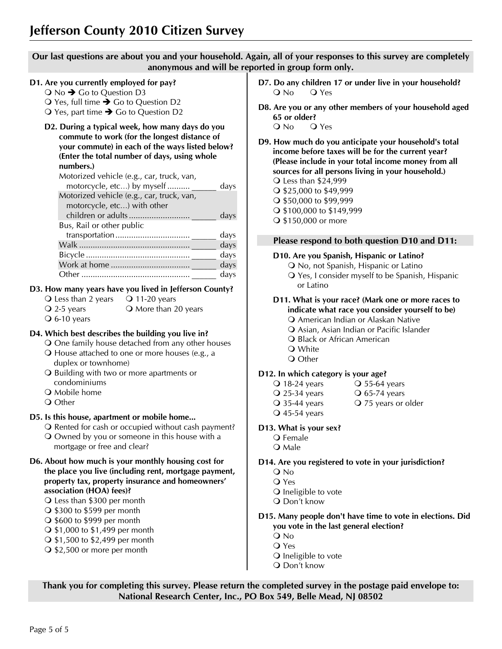**Our last questions are about you and your household. Again, all of your responses to this survey are completely anonymous and will be reported in group form only.** 

## **D1. Are you currently employed for pay?**

- $\bigcirc$  No  $\bigcirc$  Go to Question D3
- $\bigcirc$  Yes, full time  $\bigcirc$  Go to Question D2
- $\bigcirc$  Yes, part time  $\bigcirc$  Go to Question D2
- **D2. During a typical week, how many days do you commute to work (for the longest distance of your commute) in each of the ways listed below? (Enter the total number of days, using whole numbers.)**

| Motorized vehicle (e.g., car, truck, van, |      |
|-------------------------------------------|------|
| motorcycle, etc) by myself                | days |
| Motorized vehicle (e.g., car, truck, van, |      |
| motorcycle, etc) with other               |      |
|                                           | days |
| Bus, Rail or other public                 |      |
|                                           | days |
|                                           | days |
|                                           | days |
|                                           | days |
|                                           | days |
|                                           |      |

## **D3. How many years have you lived in Jefferson County?**

 $\bigcirc$  Less than 2 years  $\bigcirc$  11-20 years

 $\overline{Q}$  2-5 years  $\overline{Q}$  More than 20 years

# $\overline{O}$  6-10 years

**D4. Which best describes the building you live in?**  One family house detached from any other houses

- House attached to one or more houses (e.g., a
- duplex or townhome)
- O Building with two or more apartments or condominiums
- **O** Mobile home
- Q Other

## **D5. Is this house, apartment or mobile home...**

- O Rented for cash or occupied without cash payment? Owned by you or someone in this house with a
- mortgage or free and clear?
- **D6. About how much is your monthly housing cost for the place you live (including rent, mortgage payment, property tax, property insurance and homeowners' association (HOA) fees)?** 
	- Less than \$300 per month
	- $\bigcirc$  \$300 to \$599 per month
	- \$600 to \$999 per month
	- \$1,000 to \$1,499 per month
	- \$1,500 to \$2,499 per month
	- \$2,500 or more per month
- **D7. Do any children 17 or under live in your household?**  O No O Yes
- **D8. Are you or any other members of your household aged 65 or older?**  Q No Q Yes
- **D9. How much do you anticipate your household's total income before taxes will be for the current year? (Please include in your total income money from all sources for all persons living in your household.)**  Less than \$24,999 ○ \$25,000 to \$49,999 ○ \$50,000 to \$99,999 \$100,000 to \$149,999
	- \$150,000 or more

## **Please respond to both question D10 and D11:**

## **D10. Are you Spanish, Hispanic or Latino?**

- O No, not Spanish, Hispanic or Latino Yes, I consider myself to be Spanish, Hispanic or Latino
- **D11. What is your race? (Mark one or more races to indicate what race you consider yourself to be)** 
	- American Indian or Alaskan Native Asian, Asian Indian or Pacific Islander
	- **Q Black or African American**
	- White
	- Q Other

## **D12. In which category is your age?**

- $\overline{O}$  18-24 years  $\overline{O}$  55-64 years
- $\overline{Q}$  25-34 years  $\overline{Q}$  65-74 years
- Q 35-44 years **Q 75 years or older**
- 45-54 years

## **D13. What is your sex?**

- Q Female
- **O** Male

**D14. Are you registered to vote in your jurisdiction?** 

- No
- Yes
- Q Ineligible to vote
- Don't know
- **D15. Many people don't have time to vote in elections. Did you vote in the last general election?** 
	- No
	- Yes
	- Q Ineligible to vote
	- Q Don't know

**Thank you for completing this survey. Please return the completed survey in the postage paid envelope to: National Research Center, Inc., PO Box 549, Belle Mead, NJ 08502**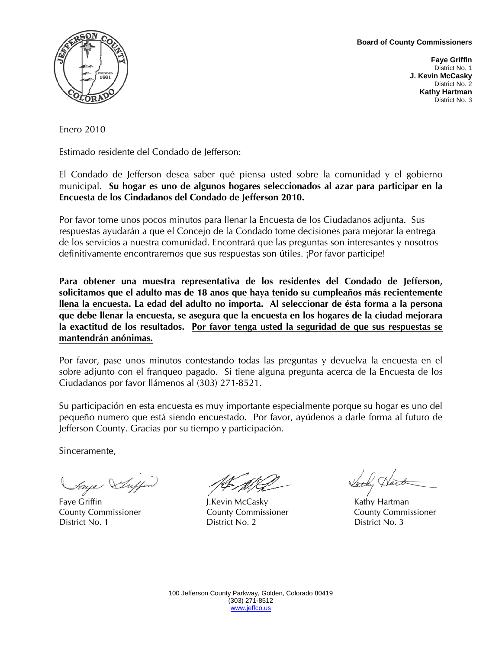**Board of County Commissioners** 



**Faye Griffin**  District No. 1 **J. Kevin McCasky**  District No. 2 **Kathy Hartman**  District No. 3

Enero 2010

Estimado residente del Condado de Jefferson:

El Condado de Jefferson desea saber qué piensa usted sobre la comunidad y el gobierno municipal. **Su hogar es uno de algunos hogares seleccionados al azar para participar en la Encuesta de los Cindadanos del Condado de Jefferson 2010.** 

Por favor tome unos pocos minutos para llenar la Encuesta de los Ciudadanos adjunta. Sus respuestas ayudarán a que el Concejo de la Condado tome decisiones para mejorar la entrega de los servicios a nuestra comunidad. Encontrará que las preguntas son interesantes y nosotros definitivamente encontraremos que sus respuestas son útiles. ¡Por favor participe!

**Para obtener una muestra representativa de los residentes del Condado de Jefferson, solicitamos que el adulto mas de 18 anos que haya tenido su cumpleaños más recientemente llena la encuesta. La edad del adulto no importa. Al seleccionar de ésta forma a la persona que debe llenar la encuesta, se asegura que la encuesta en los hogares de la ciudad mejorara la exactitud de los resultados. Por favor tenga usted la seguridad de que sus respuestas se mantendrán anónimas.**

Por favor, pase unos minutos contestando todas las preguntas y devuelva la encuesta en el sobre adjunto con el franqueo pagado. Si tiene alguna pregunta acerca de la Encuesta de los Ciudadanos por favor llámenos al (303) 271-8521.

Su participación en esta encuesta es muy importante especialmente porque su hogar es uno del pequeño numero que está siendo encuestado. Por favor, ayúdenos a darle forma al futuro de Jefferson County. Gracias por su tiempo y participación.

Sinceramente,

*Faye Suffer* JEANG Vach, Hart

County Commissioner County Commissioner County Commissioner District No. 1 District No. 2 District No. 3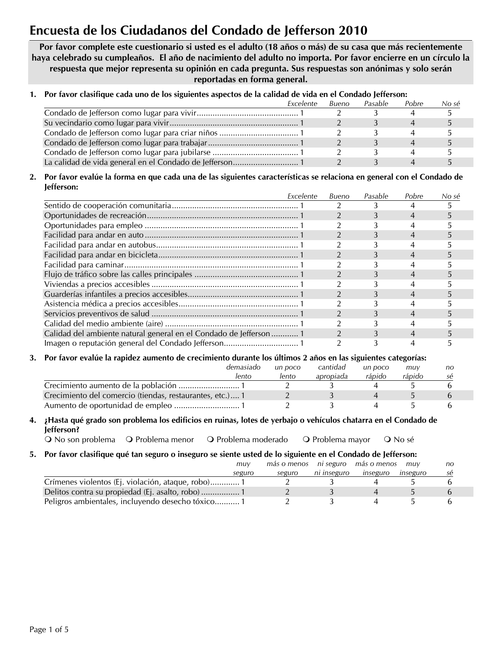# **Encuesta de los Ciudadanos del Condado de Jefferson 2010**

**Por favor complete este cuestionario si usted es el adulto (18 años o más) de su casa que más recientemente haya celebrado su cumpleaños. El año de nacimiento del adulto no importa. Por favor encierre en un círculo la respuesta que mejor representa su opinión en cada pregunta. Sus respuestas son anónimas y solo serán reportadas en forma general.** 

## **1. Por favor clasifique cada uno de los siguientes aspectos de la calidad de vida en el Condado Jefferson:**

| Excelente | Bueno | Pasable | Pobre | No sé |
|-----------|-------|---------|-------|-------|
|           |       |         |       |       |
|           |       |         |       |       |
|           |       |         |       |       |
|           |       |         |       |       |
|           |       |         |       |       |
|           |       |         |       |       |

#### **2. Por favor evalúe la forma en que cada una de las siguientes características se relaciona en general con el Condado de Jefferson:**

|                                                                                                                | Excelente | Bueno          | Pasable | Pobre          | No sé |
|----------------------------------------------------------------------------------------------------------------|-----------|----------------|---------|----------------|-------|
|                                                                                                                |           |                |         | 4              |       |
|                                                                                                                |           |                | 3       | 4              | 5.    |
|                                                                                                                |           |                |         | 4              |       |
|                                                                                                                |           |                |         | 4              | 5.    |
|                                                                                                                |           |                |         | 4              |       |
|                                                                                                                |           |                | 3       | 4              | b.    |
|                                                                                                                |           |                |         | 4              |       |
|                                                                                                                |           |                |         | 4              |       |
|                                                                                                                |           |                |         |                |       |
|                                                                                                                |           |                |         | 4              |       |
|                                                                                                                |           |                |         | 4              |       |
|                                                                                                                |           |                | 3       | $\overline{4}$ | 5.    |
|                                                                                                                |           |                |         | 4              |       |
| Calidad del ambiente natural general en el Condado de Jefferson  1                                             |           | $\mathfrak{D}$ |         | 4              |       |
|                                                                                                                |           |                |         | 4              |       |
| 3. Por favor evalúe la rapidez aumento de crecimiento durante los últimos 2 años en las siguientes categorías: |           |                |         |                |       |
| demasiado                                                                                                      | un poco   | cantidad       | un poco | muy            | no    |
| lento                                                                                                          | lento     | apropiada      | rápido  | rápido         | sé    |
|                                                                                                                |           |                |         | 5              |       |

## **4. ¿Hasta qué grado son problema los edificios en ruinas, lotes de yerbajo o vehículos chatarra en el Condado de Jefferson?**

Crecimiento del comercio (tiendas, restaurantes, etc.) .... 1 2 3 4 5 6 Aumento de oportunidad de empleo ............................. 1 2 3 4 5 6

Q No son problema Q Problema menor Q Problema moderado Q Problema mayor Q No sé

### **5. Por favor clasifique qué tan seguro o inseguro se siente usted de lo siguiente en el Condado de Jefferson:**

|                                                   | muv    | más o menos | nı seguro   | más o menos | muv      | no |
|---------------------------------------------------|--------|-------------|-------------|-------------|----------|----|
|                                                   | seguro | seguro      | ni inseguro | inseguro    | inseguro | se |
| Crímenes violentos (Ej. violación, ataque, robo)1 |        |             |             |             |          |    |
| Delitos contra su propiedad (Ej. asalto, robo)  1 |        |             |             |             |          |    |
| Peligros ambientales, incluyendo desecho tóxico1  |        |             |             |             |          |    |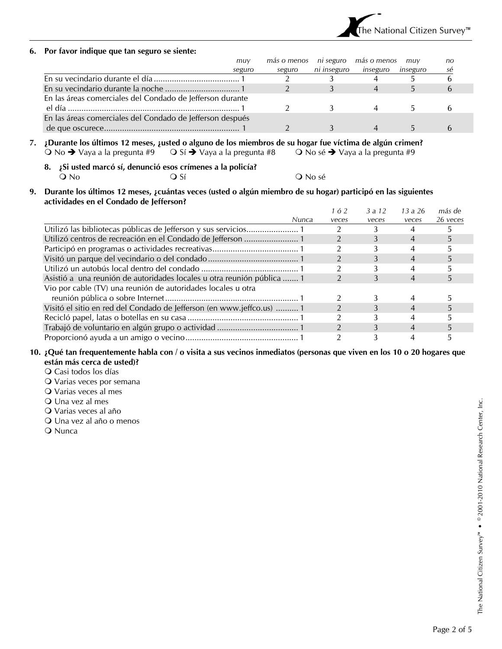

#### **6. Por favor indique que tan seguro se siente:**

|                                                           | muv    | más o menos ni seguro |             | más o menos | muv      | no |
|-----------------------------------------------------------|--------|-----------------------|-------------|-------------|----------|----|
|                                                           | seguro | seguro                | ni inseguro | inseguro    | inseguro | sé |
|                                                           |        |                       |             |             |          |    |
|                                                           |        |                       |             |             |          |    |
| En las áreas comerciales del Condado de Jefferson durante |        |                       |             |             |          |    |
|                                                           |        |                       |             |             |          |    |
| En las áreas comerciales del Condado de Jefferson después |        |                       |             |             |          |    |
|                                                           |        |                       |             |             |          |    |

### **7. ¿Durante los últimos 12 meses, ¿usted o alguno de los miembros de su hogar fue víctima de algún crimen?**  No Î Vaya a la pregunta #9 Sí Î Vaya a la pregunta #8 No sé Î Vaya a la pregunta #9

- **8. ¿Si usted marcó sí, denunció esos crímenes a la policía?**   $Q$  No sé  $Q$  No sé
- **9. Durante los últimos 12 meses, ¿cuántas veces (usted o algún miembro de su hogar) participó en las siguientes actividades en el Condado de Jefferson?**

|                                                                        | 162   | 3a12  | 13a26 | más de   |
|------------------------------------------------------------------------|-------|-------|-------|----------|
| <b>Nunca</b>                                                           | veces | veces | veces | 26 yeces |
|                                                                        |       |       |       |          |
|                                                                        |       |       |       |          |
|                                                                        |       |       |       |          |
|                                                                        |       |       |       |          |
|                                                                        |       |       |       |          |
| Asistió a una reunión de autoridades locales u otra reunión pública  1 |       | 3     |       |          |
| Vio por cable (TV) una reunión de autoridades locales u otra           |       |       |       |          |
|                                                                        |       |       |       |          |
| Visitó el sitio en red del Condado de Jefferson (en www.jeffco.us)  1  |       |       |       |          |
|                                                                        |       |       |       |          |
|                                                                        |       |       | 4     |          |
|                                                                        |       |       |       |          |

#### **10. ¿Qué tan frequentemente habla con / o visita a sus vecinos inmediatos (personas que viven en los 10 o 20 hogares que están más cerca de usted)?**

- Casi todos los días
- Varias veces por semana
- Varias veces al mes
- Una vez al mes
- Varias veces al año
- Una vez al año o menos
- **O** Nunca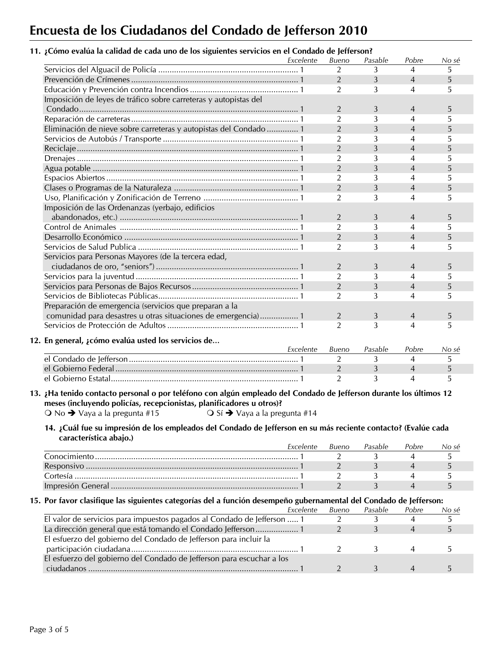# **Encuesta de los Ciudadanos del Condado de Jefferson 2010**

## **11. ¿Cómo evalúa la calidad de cada uno de los siguientes servicios en el Condado de Jefferson?**

|                                                                                                                                                                                                                                                                                                                                                                                                                                                 | Excelente | Bueno          | Pasable | Pobre          | No sé        |
|-------------------------------------------------------------------------------------------------------------------------------------------------------------------------------------------------------------------------------------------------------------------------------------------------------------------------------------------------------------------------------------------------------------------------------------------------|-----------|----------------|---------|----------------|--------------|
|                                                                                                                                                                                                                                                                                                                                                                                                                                                 |           | $\overline{2}$ | 3       | $\overline{4}$ | 5            |
|                                                                                                                                                                                                                                                                                                                                                                                                                                                 |           | $\overline{2}$ | 3       | $\overline{4}$ | 5            |
|                                                                                                                                                                                                                                                                                                                                                                                                                                                 |           | $\overline{2}$ | 3       | $\overline{4}$ | 5.           |
| Imposición de leyes de tráfico sobre carreteras y autopistas del                                                                                                                                                                                                                                                                                                                                                                                |           |                |         |                |              |
|                                                                                                                                                                                                                                                                                                                                                                                                                                                 |           | $\overline{2}$ | 3       | $\overline{4}$ | 5            |
|                                                                                                                                                                                                                                                                                                                                                                                                                                                 |           | $\overline{2}$ | 3       | $\overline{4}$ | 5            |
| Eliminación de nieve sobre carreteras y autopistas del Condado  1                                                                                                                                                                                                                                                                                                                                                                               |           | $\overline{2}$ | 3       | $\overline{4}$ | 5            |
|                                                                                                                                                                                                                                                                                                                                                                                                                                                 |           | $\overline{2}$ | 3       | $\overline{4}$ | 5            |
|                                                                                                                                                                                                                                                                                                                                                                                                                                                 |           | $\overline{2}$ | 3       | $\overline{4}$ | 5            |
|                                                                                                                                                                                                                                                                                                                                                                                                                                                 |           | $\overline{2}$ | 3       | $\overline{4}$ | 5            |
|                                                                                                                                                                                                                                                                                                                                                                                                                                                 |           | $\overline{2}$ | 3       | $\overline{4}$ | 5            |
|                                                                                                                                                                                                                                                                                                                                                                                                                                                 |           | $\overline{2}$ | 3       | $\overline{4}$ | 5            |
|                                                                                                                                                                                                                                                                                                                                                                                                                                                 |           | $\overline{2}$ | 3       | $\overline{4}$ | 5            |
|                                                                                                                                                                                                                                                                                                                                                                                                                                                 |           | $\overline{2}$ | 3       | 4              | 5            |
| Imposición de las Ordenanzas (yerbajo, edificios                                                                                                                                                                                                                                                                                                                                                                                                |           |                |         |                |              |
|                                                                                                                                                                                                                                                                                                                                                                                                                                                 |           | $\overline{2}$ | 3       | $\overline{4}$ | 5            |
|                                                                                                                                                                                                                                                                                                                                                                                                                                                 |           | $\overline{2}$ | 3       | 4              | 5            |
|                                                                                                                                                                                                                                                                                                                                                                                                                                                 |           | $\overline{2}$ | 3       | $\overline{4}$ | 5            |
|                                                                                                                                                                                                                                                                                                                                                                                                                                                 |           | $\overline{2}$ | 3       | 4              | 5            |
| Servicios para Personas Mayores (de la tercera edad,                                                                                                                                                                                                                                                                                                                                                                                            |           |                |         |                |              |
|                                                                                                                                                                                                                                                                                                                                                                                                                                                 |           | $\overline{2}$ |         |                |              |
|                                                                                                                                                                                                                                                                                                                                                                                                                                                 |           |                | 3       | $\overline{4}$ | 5            |
|                                                                                                                                                                                                                                                                                                                                                                                                                                                 |           | $\overline{2}$ | 3       | 4              | 5            |
|                                                                                                                                                                                                                                                                                                                                                                                                                                                 |           | $\overline{2}$ | 3       | $\overline{4}$ | 5            |
|                                                                                                                                                                                                                                                                                                                                                                                                                                                 |           | $\overline{2}$ | 3       | 4              | 5            |
| Preparación de emergencia (servicios que preparan a la                                                                                                                                                                                                                                                                                                                                                                                          |           |                |         |                |              |
| comunidad para desastres u otras situaciones de emergencia) 1                                                                                                                                                                                                                                                                                                                                                                                   |           | $\overline{2}$ | 3       | $\overline{4}$ | 5            |
|                                                                                                                                                                                                                                                                                                                                                                                                                                                 |           | $\overline{2}$ | 3       | 4              | 5            |
| 12. En general, ¿cómo evalúa usted los servicios de                                                                                                                                                                                                                                                                                                                                                                                             |           |                |         |                |              |
|                                                                                                                                                                                                                                                                                                                                                                                                                                                 | Excelente | Bueno          | Pasable | Pobre          | No sé        |
|                                                                                                                                                                                                                                                                                                                                                                                                                                                 |           | 2              | 3       | 4              | 5            |
|                                                                                                                                                                                                                                                                                                                                                                                                                                                 |           | $\overline{2}$ | 3       | $\overline{4}$ | 5            |
|                                                                                                                                                                                                                                                                                                                                                                                                                                                 |           | 2              | 3       | 4              | 5            |
| 13. ¿Ha tenido contacto personal o por teléfono con algún empleado del Condado de Jefferson durante los últimos 12<br>meses (incluyendo policías, recepcionistas, planificadores u otros)?<br>$\bigcirc$ No $\rightarrow$ Vaya a la pregunta #15<br>$\bigcirc$ Sí $\bigcirc$ Vaya a la pregunta #14<br>14. ¿Cuál fue su impresión de los empleados del Condado de Jefferson en su más reciente contacto? (Evalúe cada<br>característica abajo.) |           |                |         |                |              |
|                                                                                                                                                                                                                                                                                                                                                                                                                                                 | Excelente | Bueno          | Pasable | Pobre          | No sé        |
|                                                                                                                                                                                                                                                                                                                                                                                                                                                 |           | 2              | 3       | 4              | 5            |
|                                                                                                                                                                                                                                                                                                                                                                                                                                                 |           | 2              | 3       | 4              | 5            |
|                                                                                                                                                                                                                                                                                                                                                                                                                                                 |           | 2              | 3       | 4              | 5            |
|                                                                                                                                                                                                                                                                                                                                                                                                                                                 |           | $\overline{2}$ | 3       | $\overline{4}$ | 5            |
| 15. Por favor clasifique las siguientes categorías del a función desempeño gubernamental del Condado de Jefferson:                                                                                                                                                                                                                                                                                                                              | Excelente | Bueno          | Pasable | Pobre          | <u>No sé</u> |
| El valor de servicios para impuestos pagados al Condado de Jefferson  1                                                                                                                                                                                                                                                                                                                                                                         |           | $\overline{2}$ | 3       | 4              | 5            |
| La dirección general que está tomando el Condado Jefferson 1                                                                                                                                                                                                                                                                                                                                                                                    |           | $\overline{2}$ | 3       | $\overline{4}$ | 5            |
| El esfuerzo del gobierno del Condado de Jefferson para incluir la                                                                                                                                                                                                                                                                                                                                                                               |           |                |         |                |              |
|                                                                                                                                                                                                                                                                                                                                                                                                                                                 |           | $\overline{2}$ | 3       | 4              | 5            |
| El esfuerzo del gobierno del Condado de Jefferson para escuchar a los                                                                                                                                                                                                                                                                                                                                                                           |           |                |         |                |              |
|                                                                                                                                                                                                                                                                                                                                                                                                                                                 |           |                |         |                |              |
|                                                                                                                                                                                                                                                                                                                                                                                                                                                 |           | $\overline{2}$ | 3       | $\overline{4}$ | 5            |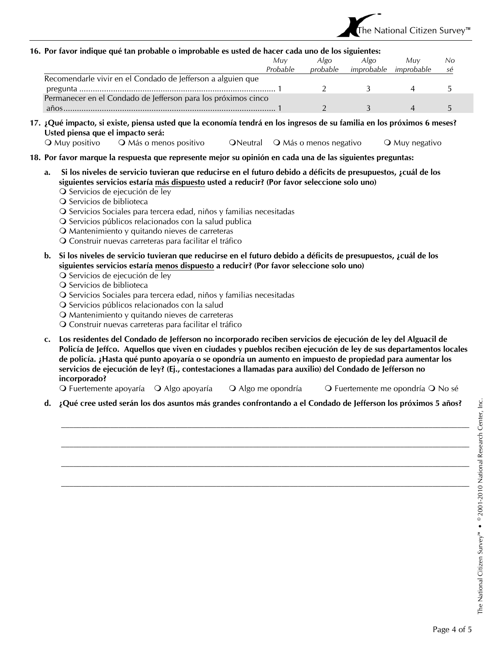

#### **16. Por favor indique qué tan probable o improbable es usted de hacer cada uno de los siguientes:**

|                                                               | Muv      | Algo     | Algo       | Muv        | No |
|---------------------------------------------------------------|----------|----------|------------|------------|----|
|                                                               | Probable | probable | improbable | improbable | se |
| Recomendarle vivir en el Condado de Jefferson a alguien que   |          |          |            |            |    |
|                                                               |          |          |            |            |    |
| Permanecer en el Condado de Jefferson para los próximos cinco |          |          |            |            |    |
| años                                                          |          |          |            |            |    |

- **17. ¿Qué impacto, si existe, piensa usted que la economía tendrá en los ingresos de su familia en los próximos 6 meses? Usted piensa que el impacto será:** 
	- O Muy positivo Q Más o menos positivo Q Neutral Q Más o menos negativo Q Muy negativo
- **18. Por favor marque la respuesta que represente mejor su opinión en cada una de las siguientes preguntas:** 
	- **a. Si los niveles de servicio tuvieran que reducirse en el futuro debido a déficits de presupuestos, ¿cuál de los siguientes servicios estaría más dispuesto usted a reducir? (Por favor seleccione solo uno)** 
		- O Servicios de ejecución de ley
		- O Servicios de biblioteca
		- O Servicios Sociales para tercera edad, niños y familias necesitadas
		- O Servicios públicos relacionados con la salud publica
		- Mantenimiento y quitando nieves de carreteras
		- Construir nuevas carreteras para facilitar el tráfico
	- **b. Si los niveles de servicio tuvieran que reducirse en el futuro debido a déficits de presupuestos, ¿cuál de los siguientes servicios estaría menos dispuesto a reducir? (Por favor seleccione solo uno)** 
		- O Servicios de ejecución de ley
		- O Servicios de biblioteca
		- O Servicios Sociales para tercera edad, niños y familias necesitadas
		- O Servicios públicos relacionados con la salud
		- Mantenimiento y quitando nieves de carreteras
		- O Construir nuevas carreteras para facilitar el tráfico
	- **c. Los residentes del Condado de Jefferson no incorporado reciben servicios de ejecución de ley del Alguacil de Policía de Jeffco. Aquellos que viven en ciudades y pueblos reciben ejecución de ley de sus departamentos locales de policía. ¿Hasta qué punto apoyaría o se opondría un aumento en impuesto de propiedad para aumentar los servicios de ejecución de ley? (Ej., contestaciones a llamadas para auxilio) del Condado de Jefferson no incorporado?**

O Fuertemente apoyaría  $\bigcirc$  Algo apoyaría  $\bigcirc$  Algo me opondría  $\bigcirc$  Fuertemente me opondría  $\bigcirc$  No sé

 $\mathcal{L}_\text{max} = \mathcal{L}_\text{max} = \mathcal{L}_\text{max} = \mathcal{L}_\text{max} = \mathcal{L}_\text{max} = \mathcal{L}_\text{max} = \mathcal{L}_\text{max} = \mathcal{L}_\text{max} = \mathcal{L}_\text{max} = \mathcal{L}_\text{max} = \mathcal{L}_\text{max} = \mathcal{L}_\text{max} = \mathcal{L}_\text{max} = \mathcal{L}_\text{max} = \mathcal{L}_\text{max} = \mathcal{L}_\text{max} = \mathcal{L}_\text{max} = \mathcal{L}_\text{max} = \mathcal{$ 

 $\mathcal{L}_\text{max} = \mathcal{L}_\text{max} = \mathcal{L}_\text{max} = \mathcal{L}_\text{max} = \mathcal{L}_\text{max} = \mathcal{L}_\text{max} = \mathcal{L}_\text{max} = \mathcal{L}_\text{max} = \mathcal{L}_\text{max} = \mathcal{L}_\text{max} = \mathcal{L}_\text{max} = \mathcal{L}_\text{max} = \mathcal{L}_\text{max} = \mathcal{L}_\text{max} = \mathcal{L}_\text{max} = \mathcal{L}_\text{max} = \mathcal{L}_\text{max} = \mathcal{L}_\text{max} = \mathcal{$ 

 $\mathcal{L}_\text{max} = \mathcal{L}_\text{max} = \mathcal{L}_\text{max} = \mathcal{L}_\text{max} = \mathcal{L}_\text{max} = \mathcal{L}_\text{max} = \mathcal{L}_\text{max} = \mathcal{L}_\text{max} = \mathcal{L}_\text{max} = \mathcal{L}_\text{max} = \mathcal{L}_\text{max} = \mathcal{L}_\text{max} = \mathcal{L}_\text{max} = \mathcal{L}_\text{max} = \mathcal{L}_\text{max} = \mathcal{L}_\text{max} = \mathcal{L}_\text{max} = \mathcal{L}_\text{max} = \mathcal{$ 

 $\mathcal{L}_\text{max} = \mathcal{L}_\text{max} = \mathcal{L}_\text{max} = \mathcal{L}_\text{max} = \mathcal{L}_\text{max} = \mathcal{L}_\text{max} = \mathcal{L}_\text{max} = \mathcal{L}_\text{max} = \mathcal{L}_\text{max} = \mathcal{L}_\text{max} = \mathcal{L}_\text{max} = \mathcal{L}_\text{max} = \mathcal{L}_\text{max} = \mathcal{L}_\text{max} = \mathcal{L}_\text{max} = \mathcal{L}_\text{max} = \mathcal{L}_\text{max} = \mathcal{L}_\text{max} = \mathcal{$ 

**d. ¿Qué cree usted serán los dos asuntos más grandes confrontando a el Condado de Jefferson los próximos 5 años?**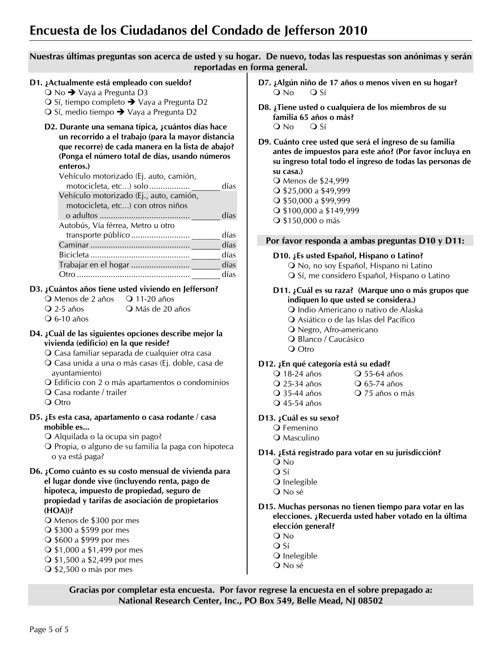# **Encuesta de los Ciudadanos del Condado de Jefferson 2010**

## **Nuestras últimas preguntas son acerca de usted y su hogar. De nuevo, todas las respuestas son anónimas y serán reportadas en forma general.**

#### **D1. ¿Actualmente está empleado con sueldo?**

 $\bigcirc$  No  $\rightarrow$  Vaya a Pregunta D3

- $\bigcirc$  Sí, tiempo completo  $\rightarrow$  Vaya a Pregunta D2
- O Sí, medio tiempo → Vaya a Pregunta D2
- **D2. Durante una semana típica, ¿cuántos días hace un recorrido a el trabajo (para la mayor distancia que recorre) de cada manera en la lista de abajo? (Ponga el número total de días, usando números enteros.)**

| Vehículo motorizado (Ej. auto, camión,  |      |
|-----------------------------------------|------|
| motocicleta, etc) solo                  | días |
| Vehículo motorizado (Ej., auto, camión, |      |
| motocicleta, etc) con otros niños       |      |
|                                         | días |
| Autobús, Vía férrea, Metro u otro       |      |
| transporte público                      | días |
|                                         | días |
|                                         | días |
|                                         | días |
| ∩tro                                    | días |
|                                         |      |

## **D3. ¿Cuántos años tiene usted viviendo en Jefferson?**

- O Menos de 2 años O 11-20 años
- Q 2-5 años Q Más de 20 años
- 6-10 años

### **D4. ¿Cuál de las siguientes opciones describe mejor la vivienda (edificio) en la que reside?**

- Casa familiar separada de cualquier otra casa
- Casa unida a una o más casas (Ej. doble, casa de ayuntamiento)
- Edificio con 2 o más apartamentos o condominios
- Casa rodante / trailer
- Q Otro
- **D5. ¿Es esta casa, apartamento o casa rodante / casa mobible es...** 
	- Alquilada o la ocupa sin pago?
	- O Propia, o alguno de su familia la paga con hipoteca o ya está paga?
- **D6. ¿Como cuánto es su costo mensual de vivienda para el lugar donde vive (incluyendo renta, pago de hipoteca, impuesto de propiedad, seguro de propiedad y tarifas de asociación de propietarios (HOA))?** 
	- Menos de \$300 por mes
	- **O** \$300 a \$599 por mes
	- \$600 a \$999 por mes
	- $\bigcirc$  \$1,000 a \$1,499 por mes
	- $\bigcirc$  \$1,500 a \$2,499 por mes
	- $\bigcirc$  \$2,500 o más por mes
- **D7. ¿Algún niño de 17 años o menos viven en su hogar?**  Q No Q Sí
- **D8. ¿Tiene usted o cualquiera de los miembros de su familia 65 años o más?**   $Q$  No  $Q$  Sí
- **D9. Cuánto cree usted que será el ingreso de su familia antes de impuestos para este ańo? (Por favor incluya en su ingreso total todo el ingreso de todas las personas de su casa.)**

 Menos de \$24,999 \$25,000 a \$49,999  $\bigcirc$  \$50,000 a \$99,999 \$100,000 a \$149,999 \$150,000 o más

### **Por favor responda a ambas preguntas D10 y D11:**

### **D10. ¿Es usted Español, Hispano o Latino?**

 No, no soy Español, Hispano ni Latino O Sí, me considero Español, Hispano o Latino

### **D11. ¿Cuál es su raza? (Marque uno o más grupos que indiquen lo que usted se considera.)**

- O Indio Americano o nativo de Alaska
- Asiático o de las Islas del Pacífico
- Negro, Afro-americano
- O Blanco / Caucásico
- O Otro

### **D12. ¿En qué categoría está su edad?**

Q 18-24 años  $\bigcirc$  55-64 años Q 25-34 años **Q 65-74 años** Q 35-44 años Q 75 años o más 45-54 años

### **D13. ¿Cuál es su sexo?**

- Q Femenino
	- Q Masculino

### **D14. ¿Está registrado para votar en su jurisdicción?**

- No
- Q Sí
- O Inelegible
- No sé

### **D15. Muchas personas no tienen tiempo para votar en las elecciones. ¿Recuerda usted haber votado en la última elección general?**

- No
- O Sí
- O Inelegible
- No sé

**Gracias por completar esta encuesta. Por favor regrese la encuesta en el sobre prepagado a: National Research Center, Inc., PO Box 549, Belle Mead, NJ 08502**